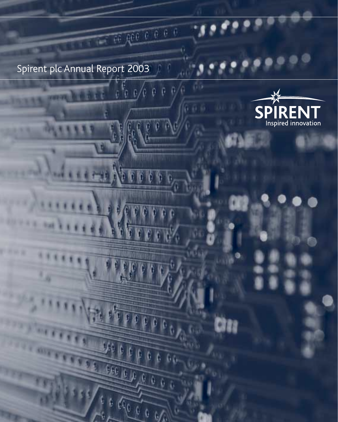Spirent plc Annual Report 2003

 $\frac{1}{2}$ 

Q.

 $\frac{1}{2}$ 

 $1000$ 

FOOT

00 800 0 0 0 0

 $\begin{smallmatrix} 0 & 0 & 0 & 0 \end{smallmatrix}$ 

o n

ole e



×

Cita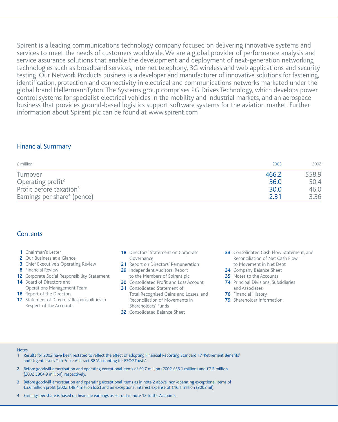Spirent is a leading communications technology company focused on delivering innovative systems and services to meet the needs of customers worldwide. We are a global provider of performance analysis and service assurance solutions that enable the development and deployment of next-generation networking technologies such as broadband services, Internet telephony, 3G wireless and web applications and security testing. Our Network Products business is a developer and manufacturer of innovative solutions for fastening, identification, protection and connectivity in electrical and communications networks marketed under the global brand HellermannTyton. The Systems group comprises PG Drives Technology, which develops power control systems for specialist electrical vehicles in the mobility and industrial markets, and an aerospace business that provides ground-based logistics support software systems for the aviation market. Further information about Spirent plc can be found at www.spirent.com

## Financial Summary

| £ million                               | 2003  | 20021 |
|-----------------------------------------|-------|-------|
| Turnover                                | 466.2 | 558.9 |
| Operating profit <sup>2</sup>           | 36.0  | 50.4  |
| Profit before taxation <sup>3</sup>     | 30.0  | 46.0  |
| Earnings per share <sup>4</sup> (pence) | 2 31  | 3.36  |

## **Contents**

- **1** Chairman's Letter
- **2** Our Business at a Glance
- **3** Chief Executive's Operating Review
- **8** Financial Review
- **12** Corporate Social Responsibility Statement
- **14** Board of Directors and Operations Management Team
- **16** Report of the Directors
- **17** Statement of Directors' Responsibilities in Respect of the Accounts
- **18** Directors' Statement on Corporate Governance
- **21** Report on Directors' Remuneration
- **29** Independent Auditors' Report to the Members of Spirent plc
- **30** Consolidated Profit and Loss Account
- **31** Consolidated Statement of
- Total Recognised Gains and Losses, and Reconciliation of Movements in Shareholders' Funds
- **32** Consolidated Balance Sheet
- **33** Consolidated Cash Flow Statement, and Reconciliation of Net Cash Flow to Movement in Net Debt
- **34** Company Balance Sheet
- **35** Notes to the Accounts
- **74** Principal Divisions, Subsidiaries and Associates
- **76** Financial History
- **79** Shareholder Information

#### Notes

- 1 Results for 2002 have been restated to reflect the effect of adopting Financial Reporting Standard 17 'Retirement Benefits' and Urgent Issues Task Force Abstract 38 'Accounting for ESOP Trusts'.
- 2 Before goodwill amortisation and operating exceptional items of £9.7 million (2002 £56.1 million) and £7.5 million (2002 £964.9 million), respectively.
- 3 Before goodwill amortisation and operating exceptional items as in note 2 above, non-operating exceptional items of £3.6 million profit (2002 £48.4 million loss) and an exceptional interest expense of £16.1 million (2002 nil).
- 4 Earnings per share is based on headline earnings as set out in note 12 to the Accounts.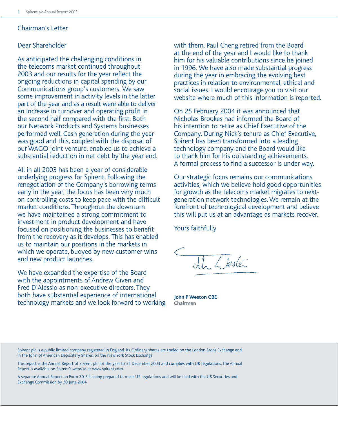## Chairman's Letter

## Dear Shareholder

As anticipated the challenging conditions in the telecoms market continued throughout 2003 and our results for the year reflect the ongoing reductions in capital spending by our Communications group's customers. We saw some improvement in activity levels in the latter part of the year and as a result were able to deliver an increase in turnover and operating profit in the second half compared with the first. Both our Network Products and Systems businesses performed well. Cash generation during the year was good and this, coupled with the disposal of our WAGO joint venture, enabled us to achieve a substantial reduction in net debt by the year end.

All in all 2003 has been a year of considerable underlying progress for Spirent. Following the renegotiation of the Company's borrowing terms early in the year, the focus has been very much on controlling costs to keep pace with the difficult market conditions. Throughout the downturn we have maintained a strong commitment to investment in product development and have focused on positioning the businesses to benefit from the recovery as it develops. This has enabled us to maintain our positions in the markets in which we operate, buoyed by new customer wins and new product launches.

We have expanded the expertise of the Board with the appointments of Andrew Given and Fred D'Alessio as non-executive directors. They both have substantial experience of international technology markets and we look forward to working with them. Paul Cheng retired from the Board at the end of the year and I would like to thank him for his valuable contributions since he joined in 1996. We have also made substantial progress during the year in embracing the evolving best practices in relation to environmental, ethical and social issues. I would encourage you to visit our website where much of this information is reported.

On 25 February 2004 it was announced that Nicholas Brookes had informed the Board of his intention to retire as Chief Executive of the Company. During Nick's tenure as Chief Executive, Spirent has been transformed into a leading technology company and the Board would like to thank him for his outstanding achievements. A formal process to find a successor is under way.

Our strategic focus remains our communications activities, which we believe hold good opportunities for growth as the telecoms market migrates to nextgeneration network technologies. We remain at the forefront of technological development and believe this will put us at an advantage as markets recover.

Yours faithfully

Ich Llesler

**John P Weston CBE Chairman**

Spirent plc is a public limited company registered in England. Its Ordinary shares are traded on the London Stock Exchange and, in the form of American Depositary Shares, on the New York Stock Exchange.

This report is the Annual Report of Spirent plc for the year to 31 December 2003 and complies with UK regulations. The Annual Report is available on Spirent's website at www.spirent.com

A separate Annual Report on Form 20-F is being prepared to meet US regulations and will be filed with the US Securities and Exchange Commission by 30 June 2004.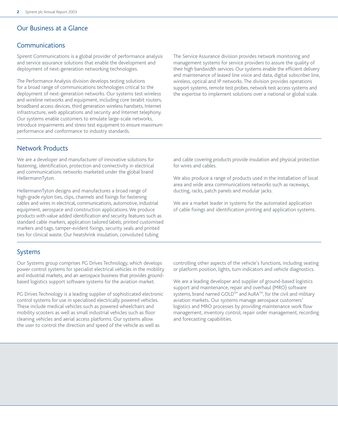## Our Business at a Glance

## Communications

Spirent Communications is a global provider of performance analysis and service assurance solutions that enable the development and deployment of next-generation networking technologies.

The Performance Analysis division develops testing solutions for a broad range of communications technologies critical to the deployment of next-generation networks. Our systems test wireless and wireline networks and equipment, including core terabit routers, broadband access devices, third generation wireless handsets, Internet infrastructure, web applications and security and Internet telephony. Our systems enable customers to emulate large-scale networks, introduce impairments and stress test equipment to ensure maximum performance and conformance to industry standards.

The Service Assurance division provides network monitoring and management systems for service providers to assure the quality of their high bandwidth services. Our systems enable the efficient delivery and maintenance of leased line voice and data, digital subscriber line, wireless, optical and IP networks. The division provides operations support systems, remote test probes, network test access systems and the expertise to implement solutions over a national or global scale.

## Network Products

We are a developer and manufacturer of innovative solutions for fastening, identification, protection and connectivity in electrical and communications networks marketed under the global brand HellermannTyton.

HellermannTyton designs and manufactures a broad range of high-grade nylon ties, clips, channels and fixings for fastening cables and wires in electrical, communications, automotive, industrial equipment, aerospace and construction applications. We produce products with value added identification and security features such as standard cable markers, application tailored labels, printed customised markers and tags, tamper-evident fixings, security seals and printed ties for clinical waste. Our heatshrink insulation, convoluted tubing

and cable covering products provide insulation and physical protection for wires and cables.

We also produce a range of products used in the installation of local area and wide area communications networks such as raceways, ducting, racks, patch panels and modular jacks.

We are a market leader in systems for the automated application of cable fixings and identification printing and application systems.

## Systems

Our Systems group comprises PG Drives Technology, which develops power control systems for specialist electrical vehicles in the mobility and industrial markets, and an aerospace business that provides groundbased logistics support software systems for the aviation market.

PG Drives Technology is a leading supplier of sophisticated electronic control systems for use in specialised electrically powered vehicles. These include medical vehicles such as powered wheelchairs and mobility scooters as well as small industrial vehicles such as floor cleaning vehicles and aerial access platforms. Our systems allow the user to control the direction and speed of the vehicle as well as

controlling other aspects of the vehicle's functions, including seating or platform position, lights, turn indicators and vehicle diagnostics.

We are a leading developer and supplier of ground-based logistics support and maintenance, repair and overhaul (MRO) software systems, brand named GOLD™ and AuRA™, for the civil and military aviation markets. Our systems manage aerospace customers' logistics and MRO processes by providing maintenance work flow management, inventory control, repair order management, recording and forecasting capabilities.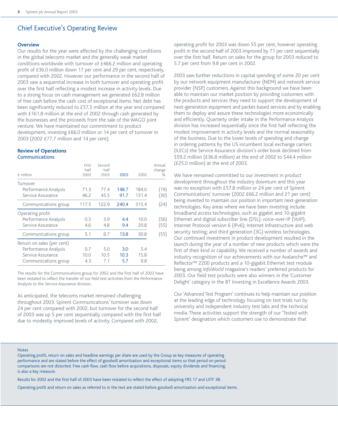## Chief Executive's Operating Review

#### **Overview**

Our results for the year were affected by the challenging conditions in the global telecoms market and the generally weak market conditions worldwide with turnover of £466.2 million and operating profit of £36.0 million down 17 per cent and 29 per cent, respectively, compared with 2002. However our performance in the second half of 2003 saw a sequential increase in both turnover and operating profit over the first half reflecting a modest increase in activity levels. Due to a strong focus on cash management we generated £62.8 million of free cash before the cash cost of exceptional items. Net debt has been significantly reduced to £57.5 million at the year end compared with £161.8 million at the end of 2002 through cash generated by the businesses and the proceeds from the sale of the WAGO joint venture. We have maintained our commitment to product development, investing £66.0 million or 14 per cent of turnover in 2003 (2002 £77.7 million and 14 per cent).

#### **Review of Operations**  Communications

| $f$ million                               | First<br>half<br>2003 | Second<br>half<br>2003 | 2003          | 2002           | Annual<br>change<br>% |
|-------------------------------------------|-----------------------|------------------------|---------------|----------------|-----------------------|
| Turnover                                  |                       |                        |               |                |                       |
| Performance Analysis<br>Service Assurance | 71.3<br>46.2          | 77.4<br>45.5           | 148.7<br>91.7 | 184.0<br>131.4 | (19)<br>(30)          |
| Communications group                      | 117.5                 | 122.9                  | 240.4         | 315.4          | (24)                  |
| Operating profit                          |                       |                        |               |                |                       |
| Performance Analysis                      | 0.5                   | 3.9                    | 4.4           | 10.0           | (56)                  |
| Service Assurance                         | 4.6                   | 4.8                    | 9.4           | 20.8           | (55)                  |
| Communications group                      | 5.1                   | 8.7                    | 13.8          | 30.8           | (55)                  |
| Return on sales (per cent)                |                       |                        |               |                |                       |
| Performance Analysis                      | 0.7                   | 5.0                    | 3.0           | 5.4            |                       |
| Service Assurance                         | 10.0                  | 10.5                   | 10.3          | 15.8           |                       |
| Communications group                      | 4.3                   | 7.1                    | 5.7           | 9.8            |                       |

The results for the Communications group for 2002 and the first half of 2003 have been restated to reflect the transfer of our field test activities from the Performance Analysis to the Service Assurance division.

As anticipated, the telecoms market remained challenging throughout 2003. Spirent Communications' turnover was down 24 per cent compared with 2002, but turnover for the second half of 2003 was up 5 per cent sequentially compared with the first half due to modestly improved levels of activity. Compared with 2002,

operating profit for 2003 was down 55 per cent, however operating profit in the second half of 2003 improved by 71 per cent sequentially over the first half. Return on sales for the group for 2003 reduced to 5.7 per cent from 9.8 per cent in 2002.

2003 saw further reductions in capital spending of some 20 per cent by our network equipment manufacturer (NEM) and network service provider (NSP) customers. Against this background we have been able to maintain our market position by providing customers with the products and services they need to support the development of next-generation equipment and packet-based services and by enabling them to deploy and assure these technologies more economically and efficiently. Quarterly order intake in the Performance Analysis division has increased sequentially since the first half reflecting the modest improvement in activity levels and the normal seasonality of the business. Due to the lower levels of spending and change in ordering patterns by the US incumbent local exchange carriers (ILECs) the Service Assurance division's order book declined from \$59.2 million (£36.8 million) at the end of 2002 to \$44.4 million (£25.0 million) at the end of 2003.

We have remained committed to our investment in product development throughout the industry downturn and this year was no exception with £57.8 million or 24 per cent of Spirent Communications' turnover (2002 £66.2 million and 21 per cent) being invested to maintain our position in important next-generation technologies. Key areas where we have been investing include: broadband access technologies, such as gigabit and 10-gigabit Ethernet and digital subscriber line (DSL); voice-over-IP (VoIP); Internet Protocol version 6 (IPv6); Internet infrastructure and web security testing; and third generation (3G) wireless technologies. Our continued investment in product development resulted in the launch during the year of a number of new products which were the first of their kind or capability. We received a number of awards and industry recognition of our achievements with our Avalanche™ and Reflector™ 2200 products and a 10-gigabit Ethernet test module being among *InfoWorld* magazine's readers' preferred products for 2003. Our field test products were also winners in the 'Customer Delight' category in the BT Investing in Excellence Awards 2003.

Our 'Advanced Test Program' continues to help maintain our position at the leading edge of technology focusing on test trials run by university and independent industry test labs and the technical media. These activities support the strength of our 'Tested with Spirent' designation which customers use to demonstrate that

#### Notes

Operating profit, return on sales and headline earnings per share are used by the Group as key measures of operating performance and are stated before the effect of goodwill amortisation and exceptional items so that period on period comparisons are not distorted. Free cash flow, cash flow before acquisitions, disposals, equity dividends and financing, is also a key measure.

Results for 2002 and the first half of 2003 have been restated to reflect the effect of adopting FRS 17 and UITF 38.

Operating profit and return on sales as referred to in the text are stated before goodwill amortisation and exceptional items.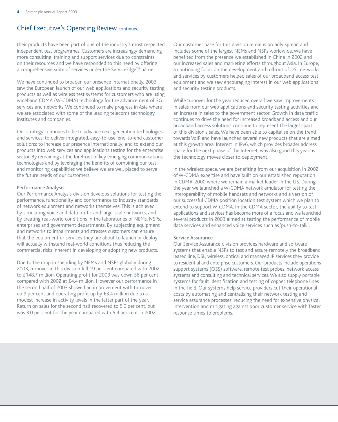## Chief Executive's Operating Review continued

their products have been part of one of the industry's most respected independent test programmes. Customers are increasingly demanding more consulting, training and support services due to constraints on their resources and we have responded to this need by offering a comprehensive suite of services under the ServiceEdge™ name.

We have continued to broaden our presence internationally. 2003 saw the European launch of our web applications and security testing products as well as wireless test systems for customers who are using wideband CDMA (W-CDMA) technology for the advancement of 3G services and networks. We continued to make progress in Asia where we are associated with some of the leading telecoms technology institutes and companies.

Our strategy continues to be to advance next-generation technologies and services; to deliver integrated, easy-to-use, end-to-end customer solutions; to increase our presence internationally; and to extend our products into web services and applications testing for the enterprise sector. By remaining at the forefront of key emerging communications technologies and by leveraging the benefits of combining our test and monitoring capabilities we believe we are well placed to serve the future needs of our customers.

#### Performance Analysis

Our Performance Analysis division develops solutions for testing the performance, functionality and conformance to industry standards of network equipment and networks themselves. This is achieved by simulating voice and data traffic and large-scale networks, and by creating real-world conditions in the laboratories of NEMs, NSPs, enterprises and government departments. By subjecting equipment and networks to impairments and stresses customers can ensure that the equipment or services they are about to launch or deploy will actually withstand real-world conditions thus reducing the commercial risks inherent in developing or adopting new products.

Due to the drop in spending by NEMs and NSPs globally during 2003, turnover in this division fell 19 per cent compared with 2002 to £148.7 million. Operating profit for 2003 was down 56 per cent compared with 2002 at £4.4 million. However our performance in the second half of 2003 showed an improvement with turnover up 9 per cent and operating profit up by £3.4 million due to a modest increase in activity levels in the latter part of the year. Return on sales for the second half recovered to 5.0 per cent, but was 3.0 per cent for the year compared with 5.4 per cent in 2002.

Our customer base for this division remains broadly spread and includes some of the largest NEMs and NSPs worldwide. We have benefited from the presence we established in China in 2002 and our increased sales and marketing efforts throughout Asia. In Europe, a continuing focus on the development and roll-out of DSL networks and services by customers helped sales of our broadband access test equipment and we saw encouraging interest in our web applications and security testing products.

While turnover for the year reduced overall we saw improvements in sales from our web applications and security testing activities and an increase in sales to the government sector. Growth in data traffic continues to drive the need for increased broadband access and our broadband access solutions continue to represent the largest part of this division's sales. We have been able to capitalise on the trend towards VoIP and have launched several new products that are aimed at this growth area. Interest in IPv6, which provides broader address space for the next phase of the Internet, was also good this year as the technology moves closer to deployment.

In the wireless space, we are benefiting from our acquisition in 2002 of W-CDMA expertise and have built on our established reputation in CDMA-2000 where we remain a market leader in the US. During the year we launched a W-CDMA network emulator for testing the interoperability of mobile handsets and networks and a version of our successful CDMA position location test system which we plan to extend to support W-CDMA. In the CDMA sector, the ability to test applications and services has become more of a focus and we launched several products in 2003 aimed at testing the performance of mobile data services and enhanced voice services such as 'push-to-talk'.

#### Service Assurance

Our Service Assurance division provides hardware and software systems that enable NSPs to test and assure remotely the broadband leased line, DSL, wireless, optical and managed IP services they provide to residential and enterprise customers. Our products include operations support systems (OSS) software, remote test probes, network access systems and consulting and technical services.We also supply portable systems for fault identification and testing of copper telephone lines in the field. Our systems help service providers cut their operational costs by automating and centralising their network testing and service assurance processes, reducing the need for expensive physical intervention and mitigating against poor customer service with faster response times to problems.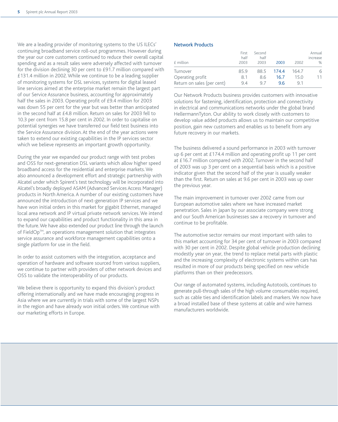We are a leading provider of monitoring systems to the US ILECs' continuing broadband service roll-out programmes. However during the year our core customers continued to reduce their overall capital spending and as a result sales were adversely affected with turnover for the division declining 30 per cent to £91.7 million compared with £131.4 million in 2002. While we continue to be a leading supplier of monitoring systems for DSL services, systems for digital leased line services aimed at the enterprise market remain the largest part of our Service Assurance business, accounting for approximately half the sales in 2003. Operating profit of £9.4 million for 2003 was down 55 per cent for the year but was better than anticipated in the second half at £4.8 million. Return on sales for 2003 fell to 10.3 per cent from 15.8 per cent in 2002. In order to capitalise on potential synergies we have transferred our field test business into the Service Assurance division. At the end of the year actions were taken to extend our existing capabilities in the IP services sector which we believe represents an important growth opportunity.

During the year we expanded our product range with test probes and OSS for next-generation DSL variants which allow higher speed broadband access for the residential and enterprise markets. We also announced a development effort and strategic partnership with Alcatel under which Spirent's test technology will be incorporated into Alcatel's broadly deployed ASAM (Advanced Services Access Manager) products in North America. A number of our existing customers have announced the introduction of next-generation IP services and we have won initial orders in this market for gigabit Ethernet, managed local area network and IP virtual private network services. We intend to expand our capabilities and product functionality in this area in the future.We have also extended our product line through the launch of FieldOp<sup> $M$ </sup>, an operations management solution that integrates service assurance and workforce management capabilities onto a single platform for use in the field.

In order to assist customers with the integration, acceptance and operation of hardware and software sourced from various suppliers, we continue to partner with providers of other network devices and OSS to validate the interoperability of our products.

We believe there is opportunity to expand this division's product offering internationally and we have made encouraging progress in Asia where we are currently in trials with some of the largest NSPs in the region and have already won initial orders. We continue with our marketing efforts in Europe.

#### Network Products

| £ million                  | First<br>half<br>2003 | Second<br>half<br>2003 | 2003  | 2002  | Annual<br>increase<br>% |
|----------------------------|-----------------------|------------------------|-------|-------|-------------------------|
| Turnover                   | 85.9                  | 88.5                   | 174.4 | 164.7 | 6                       |
| Operating profit           | 8.1                   | 8.6                    | 16.7  | 15.0  | 11                      |
| Return on sales (per cent) | 9.4                   | 97                     | 96    | 91    |                         |

Our Network Products business provides customers with innovative solutions for fastening, identification, protection and connectivity in electrical and communications networks under the global brand HellermannTyton. Our ability to work closely with customers to develop value added products allows us to maintain our competitive position, gain new customers and enables us to benefit from any future recovery in our markets.

The business delivered a sound performance in 2003 with turnover up 6 per cent at £174.4 million and operating profit up 11 per cent at £16.7 million compared with 2002. Turnover in the second half of 2003 was up 3 per cent on a sequential basis which is a positive indicator given that the second half of the year is usually weaker than the first. Return on sales at 9.6 per cent in 2003 was up over the previous year.

The main improvement in turnover over 2002 came from our European automotive sales where we have increased market penetration. Sales in Japan by our associate company were strong and our South American businesses saw a recovery in turnover and continue to be profitable.

The automotive sector remains our most important with sales to this market accounting for 34 per cent of turnover in 2003 compared with 30 per cent in 2002. Despite global vehicle production declining modestly year on year, the trend to replace metal parts with plastic and the increasing complexity of electronic systems within cars has resulted in more of our products being specified on new vehicle platforms than on their predecessors.

Our range of automated systems, including Autotools, continues to generate pull-through sales of the high volume consumables required, such as cable ties and identification labels and markers. We now have a broad installed base of these systems at cable and wire harness manufacturers worldwide.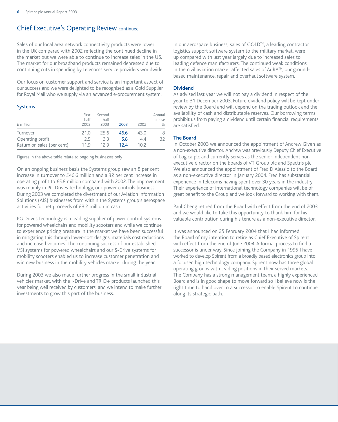## Chief Executive's Operating Review continued

Sales of our local area network connectivity products were lower in the UK compared with 2002 reflecting the continued decline in the market but we were able to continue to increase sales in the US. The market for our broadband products remained depressed due to continuing cuts in spending by telecoms service providers worldwide.

Our focus on customer support and service is an important aspect of our success and we were delighted to be recognised as a Gold Supplier for Royal Mail who we supply via an advanced e-procurement system.

#### Systems

| £ million                  | First<br>half<br>2003 | Second<br>half<br>2003 | 2003 | 2002              | Annual<br>increase<br>$\frac{0}{0}$ |
|----------------------------|-----------------------|------------------------|------|-------------------|-------------------------------------|
| Turnover                   | 21.0                  | 25.6                   | 46.6 | 43.0              | 8                                   |
| Operating profit           | 2.5                   | 3.3                    | 5.8  | 4.4               | 32                                  |
| Return on sales (per cent) | 11.9                  | 12.9                   | 12.4 | 10.2 <sup>2</sup> |                                     |

Figures in the above table relate to ongoing businesses only

On an ongoing business basis the Systems group saw an 8 per cent increase in turnover to £46.6 million and a 32 per cent increase in operating profit to £5.8 million compared with 2002.The improvement was mainly in PG Drives Technology, our power controls business. During 2003 we completed the divestment of our Aviation Information Solutions (AIS) businesses from within the Systems group's aerospace activities for net proceeds of £3.2 million in cash.

PG Drives Technology is a leading supplier of power control systems for powered wheelchairs and mobility scooters and while we continue to experience pricing pressure in the market we have been successful in mitigating this through lower-cost designs, materials cost reductions and increased volumes. The continuing success of our established VSI systems for powered wheelchairs and our S-Drive systems for mobility scooters enabled us to increase customer penetration and win new business in the mobility vehicles market during the year.

During 2003 we also made further progress in the small industrial vehicles market, with the I-Drive and TRIO+ products launched this year being well received by customers, and we intend to make further investments to grow this part of the business.

In our aerospace business, sales of GOLD™, a leading contractor logistics support software system to the military market, were up compared with last year largely due to increased sales to leading defence manufacturers. The continued weak conditions in the civil aviation market affected sales of AuRA™, our groundbased maintenance, repair and overhaul software system.

#### **Dividend**

As advised last year we will not pay a dividend in respect of the year to 31 December 2003. Future dividend policy will be kept under review by the Board and will depend on the trading outlook and the availability of cash and distributable reserves. Our borrowing terms prohibit us from paying a dividend until certain financial requirements are satisfied.

#### **The Board**

In October 2003 we announced the appointment of Andrew Given as a non-executive director. Andrew was previously Deputy Chief Executive of Logica plc and currently serves as the senior independent nonexecutive director on the boards of VT Group plc and Spectris plc. We also announced the appointment of Fred D'Alessio to the Board as a non-executive director in January 2004. Fred has substantial experience in telecoms having spent over 30 years in the industry. Their experience of international technology companies will be of great benefit to the Group and we look forward to working with them.

Paul Cheng retired from the Board with effect from the end of 2003 and we would like to take this opportunity to thank him for his valuable contribution during his tenure as a non-executive director.

It was announced on 25 February 2004 that I had informed the Board of my intention to retire as Chief Executive of Spirent with effect from the end of June 2004. A formal process to find a successor is under way. Since joining the Company in 1995 I have worked to develop Spirent from a broadly based electronics group into a focused high technology company. Spirent now has three global operating groups with leading positions in their served markets. The Company has a strong management team, a highly experienced Board and is in good shape to move forward so I believe now is the right time to hand over to a successor to enable Spirent to continue along its strategic path.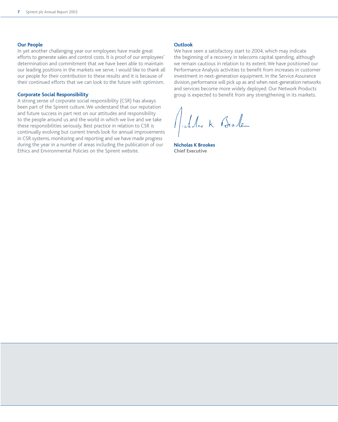#### **Our People**

In yet another challenging year our employees have made great efforts to generate sales and control costs. It is proof of our employees' determination and commitment that we have been able to maintain our leading positions in the markets we serve. I would like to thank all our people for their contribution to these results and it is because of their continued efforts that we can look to the future with optimism.

#### **Corporate Social Responsibility**

A strong sense of corporate social responsibility (CSR) has always been part of the Spirent culture. We understand that our reputation and future success in part rest on our attitudes and responsibility to the people around us and the world in which we live and we take these responsibilities seriously. Best practice in relation to CSR is continually evolving but current trends look for annual improvements in CSR systems, monitoring and reporting and we have made progress during the year in a number of areas including the publication of our Ethics and Environmental Policies on the Spirent website.

#### **Outlook**

We have seen a satisfactory start to 2004, which may indicate the beginning of a recovery in telecoms capital spending, although we remain cautious in relation to its extent. We have positioned our Performance Analysis activities to benefit from increases in customer investment in next-generation equipment. In the Service Assurance division, performance will pick up as and when next-generation networks and services become more widely deployed. Our Network Products group is expected to benefit from any strengthening in its markets.

Alder K Brode

**Nicholas K Brookes Chief Executive**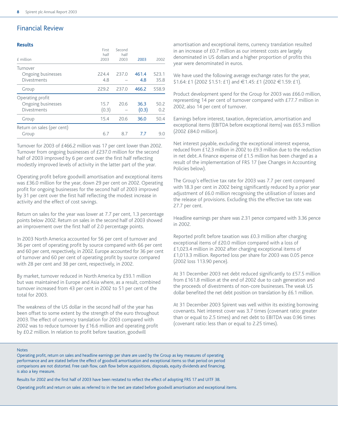## Financial Review

#### **Results**

| £ million                  | First<br>half<br>2003 | Second<br>half<br>2003 | 2003  | 2002  |
|----------------------------|-----------------------|------------------------|-------|-------|
| Turnover                   |                       |                        |       |       |
| Ongoing businesses         | 224.4                 | 237.0                  | 461.4 | 523.1 |
| <b>Divestments</b>         | 4.8                   |                        | 4.8   | 35.8  |
| Group                      | 229.2                 | 237.0                  | 466.2 | 558.9 |
| Operating profit           |                       |                        |       |       |
| Ongoing businesses         | 15.7                  | 20.6                   | 36.3  | 50.2  |
| <b>Divestments</b>         | (0.3)                 |                        | (0.3) | 0.2   |
| Group                      | 15.4                  | 20.6                   | 36.0  | 50.4  |
| Return on sales (per cent) |                       |                        |       |       |
| Group                      | 6.7                   | 8.7                    | 7.7   | 9.0   |
|                            |                       |                        |       |       |

Turnover for 2003 of £466.2 million was 17 per cent lower than 2002. Turnover from ongoing businesses of £237.0 million for the second half of 2003 improved by 6 per cent over the first half reflecting modestly improved levels of activity in the latter part of the year.

Operating profit before goodwill amortisation and exceptional items was £36.0 million for the year, down 29 per cent on 2002. Operating profit for ongoing businesses for the second half of 2003 improved by 31 per cent over the first half reflecting the modest increase in activity and the effect of cost savings.

Return on sales for the year was lower at 7.7 per cent, 1.3 percentage points below 2002. Return on sales in the second half of 2003 showed an improvement over the first half of 2.0 percentage points.

In 2003 North America accounted for 56 per cent of turnover and 36 per cent of operating profit by source compared with 66 per cent and 60 per cent, respectively, in 2002. Europe accounted for 36 per cent of turnover and 60 per cent of operating profit by source compared with 28 per cent and 38 per cent, respectively, in 2002.

By market, turnover reduced in North America by £93.1 million but was maintained in Europe and Asia where, as a result, combined turnover increased from 43 per cent in 2002 to 51 per cent of the total for 2003.

The weakness of the US dollar in the second half of the year has been offset to some extent by the strength of the euro throughout 2003. The effect of currency translation for 2003 compared with 2002 was to reduce turnover by £16.6 million and operating profit by £0.2 million. In relation to profit before taxation, goodwill

amortisation and exceptional items, currency translation resulted in an increase of £0.7 million as our interest costs are largely denominated in US dollars and a higher proportion of profits this year were denominated in euros.

We have used the following average exchange rates for the year, \$1.64: £1 (2002 \$1.51: £1) and €1.45: £1 (2002 €1.59: £1).

Product development spend for the Group for 2003 was £66.0 million, representing 14 per cent of turnover compared with £77.7 million in 2002, also 14 per cent of turnover.

Earnings before interest, taxation, depreciation, amortisation and exceptional items (EBITDA before exceptional items) was £65.3 million (2002 £84.0 million).

Net interest payable, excluding the exceptional interest expense, reduced from £12.3 million in 2002 to £9.3 million due to the reduction in net debt. A finance expense of £1.5 million has been charged as a result of the implementation of FRS 17 (see Changes in Accounting Policies below).

The Group's effective tax rate for 2003 was 7.7 per cent compared with 18.3 per cent in 2002 being significantly reduced by a prior year adjustment of £6.0 million recognising the utilisation of losses and the release of provisions. Excluding this the effective tax rate was 27.7 per cent.

Headline earnings per share was 2.31 pence compared with 3.36 pence in 2002.

Reported profit before taxation was £0.3 million after charging exceptional items of £20.0 million compared with a loss of £1,023.4 million in 2002 after charging exceptional items of £1,013.3 million. Reported loss per share for 2003 was 0.05 pence (2002 loss 113.90 pence).

At 31 December 2003 net debt reduced significantly to £57.5 million from £161.8 million at the end of 2002 due to cash generation and the proceeds of divestments of non-core businesses. The weak US dollar benefited the net debt position on translation by £6.1 million.

At 31 December 2003 Spirent was well within its existing borrowing covenants. Net interest cover was 3.7 times (covenant ratio: greater than or equal to 2.5 times) and net debt to EBITDA was 0.96 times (covenant ratio: less than or equal to 2.25 times).

#### Notes

Operating profit, return on sales and headline earnings per share are used by the Group as key measures of operating performance and are stated before the effect of goodwill amortisation and exceptional items so that period on period comparisons are not distorted. Free cash flow, cash flow before acquisitions, disposals, equity dividends and financing, is also a key measure.

Results for 2002 and the first half of 2003 have been restated to reflect the effect of adopting FRS 17 and UITF 38.

Operating profit and return on sales as referred to in the text are stated before goodwill amortisation and exceptional items.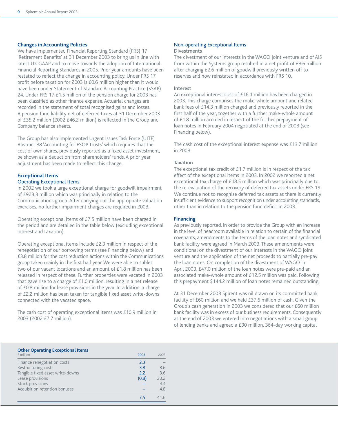#### **Changes in Accounting Policies**

We have implemented Financial Reporting Standard (FRS) 17 'Retirement Benefits' at 31 December 2003 to bring us in line with latest UK GAAP and to move towards the adoption of International Financial Reporting Standards in 2005. Prior year amounts have been restated to reflect the change in accounting policy. Under FRS 17 profit before taxation for 2003 is £0.6 million higher than it would have been under Statement of Standard Accounting Practice (SSAP) 24. Under FRS 17 £1.5 million of the pension charge for 2003 has been classified as other finance expense. Actuarial changes are recorded in the statement of total recognised gains and losses. A pension fund liability net of deferred taxes at 31 December 2003 of £35.2 million (2002 £46.2 million) is reflected in the Group and Company balance sheets.

The Group has also implemented Urgent Issues Task Force (UITF) Abstract 38 'Accounting for ESOP Trusts' which requires that the cost of own shares, previously reported as a fixed asset investment, be shown as a deduction from shareholders' funds. A prior year adjustment has been made to reflect this change.

#### **Exceptional Items**  Operating Exceptional Items

#### In 2002 we took a large exceptional charge for goodwill impairment of £923.3 million which was principally in relation to the Communications group. After carrying out the appropriate valuation exercises, no further impairment charges are required in 2003.

Operating exceptional items of £7.5 million have been charged in the period and are detailed in the table below (excluding exceptional interest and taxation).

Operating exceptional items include £2.3 million in respect of the renegotiation of our borrowing terms (see Financing below) and £3.8 million for the cost reduction actions within the Communications group taken mainly in the first half year. We were able to sublet two of our vacant locations and an amount of £1.8 million has been released in respect of these. Further properties were vacated in 2003 that gave rise to a charge of £1.0 million, resulting in a net release of £0.8 million for lease provisions in the year. In addition, a charge of £2.2 million has been taken for tangible fixed asset write-downs connected with the vacated space.

The cash cost of operating exceptional items was £10.9 million in 2003 (2002 £7.7 million).

#### Non-operating Exceptional Items Divestments

The divestment of our interests in the WAGO joint venture and of AIS from within the Systems group resulted in a net profit of £3.6 million after charging £2.6 million of goodwill previously written off to reserves and now reinstated in accordance with FRS 10.

#### Interest

An exceptional interest cost of £16.1 million has been charged in 2003. This charge comprises the make-whole amount and related bank fees of £14.3 million charged and previously reported in the first half of the year, together with a further make-whole amount of £1.8 million accrued in respect of the further prepayment of loan notes in February 2004 negotiated at the end of 2003 (see Financing below).

The cash cost of the exceptional interest expense was £13.7 million in 2003.

#### Taxation

The exceptional tax credit of  $£1.7$  million is in respect of the tax effect of the exceptional items in 2003. In 2002 we reported a net exceptional tax charge of £18.5 million which was principally due to the re-evaluation of the recovery of deferred tax assets under FRS 19. We continue not to recognise deferred tax assets as there is currently insufficient evidence to support recognition under accounting standards, other than in relation to the pension fund deficit in 2003.

#### **Financing**

As previously reported, in order to provide the Group with an increase in the level of headroom available in relation to certain of the financial covenants, amendments to the terms of the loan notes and syndicated bank facility were agreed in March 2003. These amendments were conditional on the divestment of our interests in the WAGO joint venture and the application of the net proceeds to partially pre-pay the loan notes. On completion of the divestment of WAGO in April 2003, £47.0 million of the loan notes were pre-paid and an associated make-whole amount of £12.5 million was paid. Following this prepayment \$144.2 million of loan notes remained outstanding.

At 31 December 2003 Spirent was nil drawn on its committed bank facility of £60 million and we held £37.6 million of cash. Given the Group's cash generation in 2003 we considered that our £60 million bank facility was in excess of our business requirements. Consequently at the end of 2003 we entered into negotiations with a small group of lending banks and agreed a £30 million, 364-day working capital

#### **Other Operating Exceptional Items**

| £ million                        | 2003  | 2002 |
|----------------------------------|-------|------|
| Finance renegotiation costs      | 2.3   |      |
| Restructuring costs              | 3.8   | 8.6  |
| Tangible fixed asset write-downs | 2.2   | 3.6  |
| Lease provisions                 | (0.8) | 20.2 |
| Stock provisions                 |       | 4.4  |
| Acquisition retention bonuses    |       | 4.8  |
|                                  | 75    | 41.6 |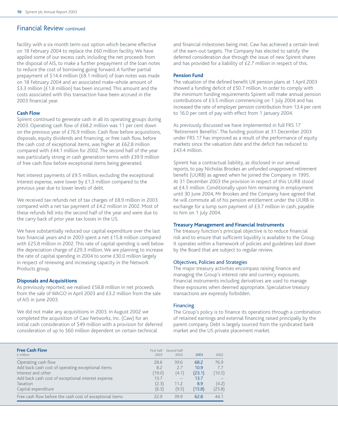## Financial Review continued

facility with a six month term-out option which became effective on 18 February 2004 to replace the £60 million facility. We have applied some of our excess cash, including the net proceeds from the disposal of AIS, to make a further prepayment of the loan notes to reduce the cost of borrowing going forward. A further partial prepayment of \$14.4 million (£8.1 million) of loan notes was made on 18 February 2004 and an associated make-whole amount of \$3.3 million (£1.8 million) has been incurred. This amount and the costs associated with this transaction have been accrued in the 2003 financial year.

#### **Cash Flow**

Spirent continued to generate cash in all its operating groups during 2003. Operating cash flow of £68.2 million was 11 per cent down on the previous year of £76.9 million. Cash flow before acquisitions, disposals, equity dividends and financing, or free cash flow, before the cash cost of exceptional items, was higher at £62.8 million compared with £44.1 million for 2002. The second half of the year was particularly strong in cash generation terms with £39.9 million of free cash flow before exceptional items being generated.

Net interest payments of £9.5 million, excluding the exceptional interest expense, were lower by £1.3 million compared to the previous year due to lower levels of debt.

We received tax refunds net of tax charges of £8.9 million in 2003 compared with a net tax payment of £4.2 million in 2002. Most of these refunds fell into the second half of the year and were due to the carry back of prior year tax losses in the US.

We have substantially reduced our capital expenditure over the last two financial years and in 2003 spent a net £15.8 million compared with £25.8 million in 2002. This rate of capital spending is well below the depreciation charge of £29.3 million. We are planning to increase the rate of capital spending in 2004 to some £30.0 million largely in respect of renewing and increasing capacity in the Network Products group.

#### **Disposals and Acquisitions**

As previously reported, we realised £58.8 million in net proceeds from the sale of WAGO in April 2003 and £3.2 million from the sale of AIS in June 2003.

We did not make any acquisitions in 2003. In August 2002 we completed the acquisition of Caw Networks, Inc. (Caw) for an initial cash consideration of \$49 million with a provision for deferred consideration of up to \$60 million dependent on certain technical

and financial milestones being met. Caw has achieved a certain level of the earn-out targets. The Company has elected to satisfy the deferred consideration due through the issue of new Spirent shares and has provided for a liability of £2.7 million in respect of this.

#### **Pension Fund**

The valuation of the defined benefit UK pension plans at 1 April 2003 showed a funding deficit of £50.7 million. In order to comply with the minimum funding requirements Spirent will make annual pension contributions of £3.5 million commencing on 1 July 2004 and has increased the rate of employer pension contribution from 13.4 per cent to 16.0 per cent of pay with effect from 1 January 2004.

As previously discussed we have implemented in full FRS 17 'Retirement Benefits'. The funding position at 31 December 2003 under FRS 17 has improved as a result of the performance of equity markets since the valuation date and the deficit has reduced to £43.4 million.

Spirent has a contractual liability, as disclosed in our annual reports, to pay Nicholas Brookes an unfunded unapproved retirement benefit (UURB) as agreed when he joined the Company in 1995. At 31 December 2003 the provision in respect of this UURB stood at £4.5 million. Conditionally upon him remaining in employment until 30 June 2004, Mr Brookes and the Company have agreed that he will commute all of his pension entitlement under the UURB in exchange for a lump sum payment of £3.7 million in cash, payable to him on 1 July 2004.

#### **Treasury Management and Financial Instruments**

The treasury function's principal objective is to reduce financial risk and to ensure that sufficient liquidity is available to the Group. It operates within a framework of policies and guidelines laid down by the Board that are subject to regular review.

#### Objectives, Policies and Strategies

The major treasury activities encompass raising finance and managing the Group's interest rate and currency exposures. Financial instruments including derivatives are used to manage these exposures when deemed appropriate. Speculative treasury transactions are expressly forbidden.

#### Financing

The Group's policy is to finance its operations through a combination of retained earnings and external financing raised principally by the parent company. Debt is largely sourced from the syndicated bank market and the US private placement market.

| <b>Free Cash Flow</b><br>$f$ million                     | 2003   | First half Second half<br>2003 | 2003   | 2002   |
|----------------------------------------------------------|--------|--------------------------------|--------|--------|
| Operating cash flow                                      | 28.6   | 39.6                           | 68.2   | 76.9   |
| Add back cash cost of operating exceptional items        | 8.2    | 2.7                            | 10.9   | 7.7    |
| Interest and other                                       | (19.0) | (4.1)                          | (23.1) | (10.5) |
| Add back cash cost of exceptional interest expense       | 13.7   |                                | 13.7   |        |
| Taxation                                                 | (2.3)  | 11.2                           | 8.9    | (4.2)  |
| Capital expenditure                                      | (6.3)  | (9.5)                          | (15.8) | (25.8) |
| Free cash flow before the cash cost of exceptional items | 22.9   | 39.9                           | 62.8   | 44.1   |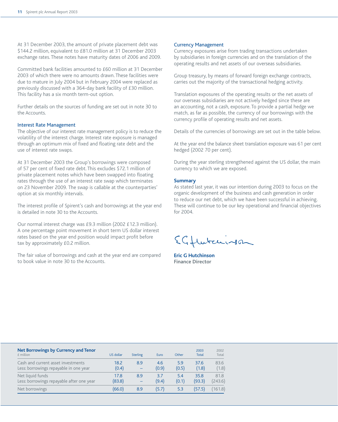At 31 December 2003, the amount of private placement debt was \$144.2 million, equivalent to £81.0 million at 31 December 2003 exchange rates. These notes have maturity dates of 2006 and 2009.

Committed bank facilities amounted to £60 million at 31 December 2003 of which there were no amounts drawn. These facilities were due to mature in July 2004 but in February 2004 were replaced as previously discussed with a 364-day bank facility of £30 million. This facility has a six month term-out option.

Further details on the sources of funding are set out in note 30 to the Accounts.

#### Interest Rate Management

The objective of our interest rate management policy is to reduce the volatility of the interest charge. Interest rate exposure is managed through an optimum mix of fixed and floating rate debt and the use of interest rate swaps.

At 31 December 2003 the Group's borrowings were composed of 57 per cent of fixed rate debt. This excludes \$72.1 million of private placement notes which have been swapped into floating rates through the use of an interest rate swap which terminates on 23 November 2009. The swap is callable at the counterparties' option at six monthly intervals.

The interest profile of Spirent's cash and borrowings at the year end is detailed in note 30 to the Accounts.

Our normal interest charge was £9.3 million (2002 £12.3 million). A one percentage point movement in short term US dollar interest rates based on the year end position would impact profit before tax by approximately £0.2 million.

The fair value of borrowings and cash at the year end are compared to book value in note 30 to the Accounts.

#### Currency Management

Currency exposures arise from trading transactions undertaken by subsidiaries in foreign currencies and on the translation of the operating results and net assets of our overseas subsidiaries.

Group treasury, by means of forward foreign exchange contracts, carries out the majority of the transactional hedging activity.

Translation exposures of the operating results or the net assets of our overseas subsidiaries are not actively hedged since these are an accounting, not a cash, exposure. To provide a partial hedge we match, as far as possible, the currency of our borrowings with the currency profile of operating results and net assets.

Details of the currencies of borrowings are set out in the table below.

At the year end the balance sheet translation exposure was 61 per cent hedged (2002 70 per cent).

During the year sterling strengthened against the US dollar, the main currency to which we are exposed.

#### **Summary**

As stated last year, it was our intention during 2003 to focus on the organic development of the business and cash generation in order to reduce our net debt, which we have been successful in achieving. These will continue to be our key operational and financial objectives for 2004.

EGHwtenisson

**Eric G Hutchinson Finance Director**

| Net Borrowings by Currency and Tenor<br>$f$ million | US dollar | <b>Sterling</b>          | Euro  | Other | 2003<br>Total | 2002<br>Total |
|-----------------------------------------------------|-----------|--------------------------|-------|-------|---------------|---------------|
| Cash and current asset investments                  | 18.2      | 8.9                      | 4.6   | 5.9   | 37.6          | 83.6          |
| Less: borrowings repayable in one year              | (0.4)     | $\overline{\phantom{0}}$ | (0.9) | (0.5) | (1.8)         | (1.8)         |
| Net liquid funds                                    | 17.8      | 8.9                      | 3.7   | 5.4   | 35.8          | 81.8          |
| Less: borrowings repayable after one year           | (83.8)    | $\equiv$                 | (9.4) | (0.1) | (93.3)        | (243.6)       |
| Net borrowings                                      | (66.0)    | 8.9                      | (5.7) | 5.3   | (57.5)        | (161.8)       |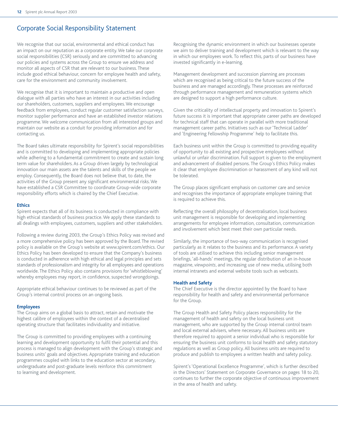## Corporate Social Responsibility Statement

We recognise that our social, environmental and ethical conduct has an impact on our reputation as a corporate entity. We take our corporate social responsibilities (CSR) seriously and are committed to advancing our policies and systems across the Group to ensure we address and monitor all aspects of CSR that are relevant to our business. These include good ethical behaviour, concern for employee health and safety, care for the environment and community involvement.

We recognise that it is important to maintain a productive and open dialogue with all parties who have an interest in our activities including our shareholders, customers, suppliers and employees. We encourage feedback from employees, conduct regular customer satisfaction surveys, monitor supplier performance and have an established investor relations programme. We welcome communication from all interested groups and maintain our website as a conduit for providing information and for contacting us.

The Board takes ultimate responsibility for Spirent's social responsibilities and is committed to developing and implementing appropriate policies while adhering to a fundamental commitment to create and sustain long term value for shareholders. As a Group driven largely by technological innovation our main assets are the talents and skills of the people we employ. Consequently, the Board does not believe that, to date, the activities of the Group present any significant environmental risks. We have established a CSR Committee to coordinate Group-wide corporate responsibility efforts which is chaired by the Chief Executive.

#### **Ethics**

Spirent expects that all of its business is conducted in compliance with high ethical standards of business practice. We apply these standards to all dealings with employees, customers, suppliers and other stakeholders.

Following a review during 2003, the Group's Ethics Policy was revised and a more comprehensive policy has been approved by the Board. The revised policy is available on the Group's website at www.spirent.com/ethics. Our Ethics Policy has been developed to ensure that the Company's business is conducted in adherence with high ethical and legal principles and sets standards of professionalism and integrity for all employees and operations worldwide. The Ethics Policy also contains provisions for 'whistleblowing' whereby employees may report, in confidence, suspected wrongdoings.

Appropriate ethical behaviour continues to be reviewed as part of the Group's internal control process on an ongoing basis.

#### **Employees**

The Group aims on a global basis to attract, retain and motivate the highest calibre of employees within the context of a decentralised operating structure that facilitates individuality and initiative.

The Group is committed to providing employees with a continuing learning and development opportunity to fulfil their potential and this process is managed to align development with the Group's strategic and business units' goals and objectives. Appropriate training and education programmes coupled with links to the education sector at secondary, undergraduate and post-graduate levels reinforce this commitment to learning and development.

Recognising the dynamic environment in which our businesses operate we aim to deliver training and development which is relevant to the way in which our employees work. To reflect this, parts of our business have invested significantly in e-learning.

Management development and succession planning are processes which are recognised as being critical to the future success of the business and are managed accordingly. These processes are reinforced through performance management and remuneration systems which are designed to support a high performance culture.

Given the criticality of intellectual property and innovation to Spirent's future success it is important that appropriate career paths are developed for technical staff that can operate in parallel with more traditional management career paths. Initiatives such as our 'Technical Ladder' and 'Engineering Fellowship Programme' help to facilitate this.

Each business unit within the Group is committed to providing equality of opportunity to all existing and prospective employees without unlawful or unfair discrimination. Full support is given to the employment and advancement of disabled persons. The Group's Ethics Policy makes it clear that employee discrimination or harassment of any kind will not be tolerated.

The Group places significant emphasis on customer care and service and recognises the importance of appropriate employee training that is required to achieve this.

Reflecting the overall philosophy of decentralisation, local business unit management is responsible for developing and implementing arrangements for employee information, consultation, communication and involvement which best meet their own particular needs.

Similarly, the importance of two-way communication is recognised particularly as it relates to the business and its performance. A variety of tools are utilised to achieve this including senior management briefings, 'all-hands' meetings, the regular distribution of an in-house magazine, *viewpoints*, and increasing use of new media, utilising both internal intranets and external website tools such as webcasts.

#### **Health and Safety**

The Chief Executive is the director appointed by the Board to have responsibility for health and safety and environmental performance for the Group.

The Group Health and Safety Policy places responsibility for the management of health and safety on the local business unit management, who are supported by the Group internal control team and local external advisers, where necessary. All business units are therefore required to appoint a senior individual who is responsible for ensuring the business unit conforms to local health and safety statutory regulations as well as Group policy. All business units are required to produce and publish to employees a written health and safety policy.

Spirent's 'Operational Excellence Programme', which is further described in the Directors' Statement on Corporate Governance on pages 18 to 20, continues to further the corporate objective of continuous improvement in the area of health and safety.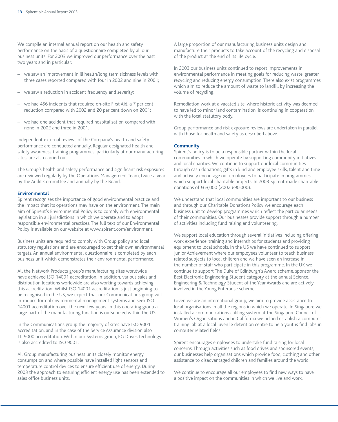We compile an internal annual report on our health and safety performance on the basis of a questionnaire completed by all our business units. For 2003 we improved our performance over the past two years and in particular:

- we saw an improvement in ill health/long term sickness levels with three cases reported compared with four in 2002 and nine in 2001;
- we saw a reduction in accident frequency and severity;
- we had 456 incidents that required on-site First Aid, a 7 per cent reduction compared with 2002 and 20 per cent down on 2001;
- we had one accident that required hospitalisation compared with none in 2002 and three in 2001.

Independent external reviews of the Company's health and safety performance are conducted annually. Regular designated health and safety awareness training programmes, particularly at our manufacturing sites, are also carried out.

The Group's health and safety performance and significant risk exposures are reviewed regularly by the Operations Management Team, twice a year by the Audit Committee and annually by the Board.

#### **Environmental**

Spirent recognises the importance of good environmental practice and the impact that its operations may have on the environment. The main aim of Spirent's Environmental Policy is to comply with environmental legislation in all jurisdictions in which we operate and to adopt responsible environmental practices. The full text of our Environmental Policy is available on our website at www.spirent.com/environment.

Business units are required to comply with Group policy and local statutory regulations and are encouraged to set their own environmental targets. An annual environmental questionnaire is completed by each business unit which demonstrates their environmental performance.

All the Network Products group's manufacturing sites worldwide have achieved ISO 14001 accreditation. In addition, various sales and distribution locations worldwide are also working towards achieving this accreditation. Whilst ISO 14001 accreditation is just beginning to be recognised in the US, we expect that our Communications group will introduce formal environmental management systems and seek ISO 14001 accreditation over the next few years. In this operating group a large part of the manufacturing function is outsourced within the US.

In the Communications group the majority of sites have ISO 9001 accreditation, and in the case of the Service Assurance division also TL-9000 accreditation. Within our Systems group, PG Drives Technology is also accredited to ISO 9001.

All Group manufacturing business units closely monitor energy consumption and where possible have installed light sensors and temperature control devices to ensure efficient use of energy. During 2003 the approach to ensuring efficient energy use has been extended to sales office business units.

A large proportion of our manufacturing business units design and manufacture their products to take account of the recycling and disposal of the product at the end of its life cycle.

In 2003 our business units continued to report improvements in environmental performance in meeting goals for reducing waste, greater recycling and reducing energy consumption. There also exist programmes which aim to reduce the amount of waste to landfill by increasing the volume of recycling.

Remediation work at a vacated site, where historic activity was deemed to have led to minor land contamination, is continuing in cooperation with the local statutory body.

Group performance and risk exposure reviews are undertaken in parallel with those for health and safety as described above.

#### **Community**

Spirent's policy is to be a responsible partner within the local communities in which we operate by supporting community initiatives and local charities. We continue to support our local communities through cash donations, gifts in kind and employee skills, talent and time and actively encourage our employees to participate in programmes which support local charitable projects. In 2003 Spirent made charitable donations of £63,000 (2002 £90,000).

We understand that local communities are important to our business and through our Charitable Donations Policy we encourage each business unit to develop programmes which reflect the particular needs of their communities. Our businesses provide support through a number of activities including fund raising and volunteering.

We support local education through several initiatives including offering work experience, training and internships for students and providing equipment to local schools. In the US we have continued to support Junior Achievement where our employees volunteer to teach business related subjects to local children and we have seen an increase in the number of staff who participate in this programme. In the UK we continue to support The Duke of Edinburgh's Award scheme, sponsor the Best Electronic Engineering Student category at the annual Science, Engineering & Technology Student of the Year Awards and are actively involved in the Young Enterprise scheme.

Given we are an international group, we aim to provide assistance to local organisations in all the regions in which we operate. In Singapore we installed a communications cabling system at the Singapore Council of Women's Organisations and in California we helped establish a computer training lab at a local juvenile detention centre to help youths find jobs in computer related fields.

Spirent encourages employees to undertake fund raising for local concerns. Through activities such as food drives and sponsored events, our businesses help organisations which provide food, clothing and other assistance to disadvantaged children and families around the world.

We continue to encourage all our employees to find new ways to have a positive impact on the communities in which we live and work.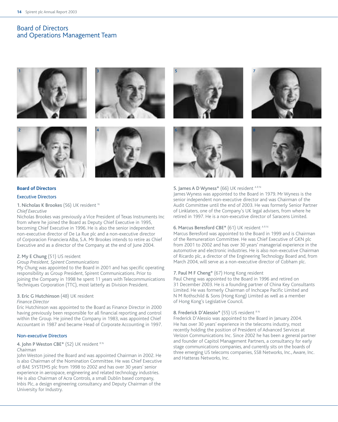## Board of Directors and Operations Management Team









# 5 7







#### **Board of Directors**

#### Executive Directors

#### 1. Nicholas K Brookes (56) UK resident N

#### *Chief Executive*

Nicholas Brookes was previously a Vice President of Texas Instruments Inc from where he joined the Board as Deputy Chief Executive in 1995, becoming Chief Executive in 1996. He is also the senior independent non-executive director of De La Rue plc and a non-executive director of Corporacion Financiera Alba, S.A. Mr Brookes intends to retire as Chief Executive and as a director of the Company at the end of June 2004.

#### 2. My E Chung (51) US resident

#### *Group President, Spirent Communications*

My Chung was appointed to the Board in 2001 and has specific operating responsibility as Group President, Spirent Communications. Prior to joining the Company in 1998 he spent 11 years with Telecommunications Techniques Corporation (TTC), most latterly as Division President.

#### 3. Eric G Hutchinson (48) UK resident

#### *Finance Director*

Eric Hutchinson was appointed to the Board as Finance Director in 2000 having previously been responsible for all financial reporting and control within the Group. He joined the Company in 1983, was appointed Chief Accountant in 1987 and became Head of Corporate Accounting in 1997.

#### Non-executive Directors

#### 4. John P Weston CBE\* (52) UK resident RN

#### *Chairman*

John Weston joined the Board and was appointed Chairman in 2002. He is also Chairman of the Nomination Committee. He was Chief Executive of BAE SYSTEMS plc from 1998 to 2002 and has over 30 years' senior experience in aerospace, engineering and related technology industries. He is also Chairman of Acra Controls, a small Dublin based company, Inbis Plc, a design engineering consultancy and Deputy Chairman of the University for Industry.

#### 5. James A D Wyness\* (66) UK resident ARN

James Wyness was appointed to the Board in 1979. Mr Wyness is the senior independent non-executive director and was Chairman of the Audit Committee until the end of 2003. He was formerly Senior Partner of Linklaters, one of the Company's UK legal advisers, from where he retired in 1997. He is a non-executive director of Saracens Limited.

#### 6. Marcus Beresford CBE\* (61) UK resident ARN

Marcus Beresford was appointed to the Board in 1999 and is Chairman of the Remuneration Committee. He was Chief Executive of GKN plc from 2001 to 2002 and has over 30 years' managerial experience in the automotive and electronic industries. He is also non-executive Chairman of Ricardo plc, a director of the Engineering Technology Board and, from March 2004, will serve as a non-executive director of Cobham plc.

#### 7. Paul M F Cheng\* (67) Hong Kong resident

Paul Cheng was appointed to the Board in 1996 and retired on 31 December 2003. He is a founding partner of China Key Consultants Limited. He was formerly Chairman of Inchcape Pacific Limited and N M Rothschild & Sons (Hong Kong) Limited as well as a member of Hong Kong's Legislative Council.

#### 8. Frederick D'Alessio\* (55) US resident RN

Frederick D'Alessio was appointed to the Board in January 2004. He has over 30 years' experience in the telecoms industry, most recently holding the position of President of Advanced Services at Verizon Communications Inc. Since 2002 he has been a general partner and founder of Capitol Management Partners, a consultancy for early stage communications companies, and currently sits on the boards of three emerging US telecoms companies, SS8 Networks, Inc., Aware, Inc. and Hatteras Networks, Inc.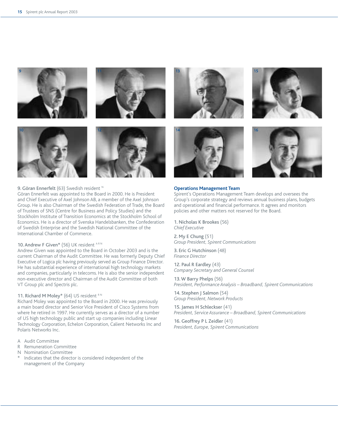





#### 9. Göran Ennerfelt (63) Swedish resident N

Göran Ennerfelt was appointed to the Board in 2000. He is President and Chief Executive of Axel Johnson AB, a member of the Axel Johnson Group. He is also Chairman of the Swedish Federation of Trade, the Board of Trustees of SNS (Centre for Business and Policy Studies) and the Stockholm Institute of Transition Economics at the Stockholm School of Economics. He is a director of Svenska Handelsbanken, the Confederation of Swedish Enterprise and the Swedish National Committee of the International Chamber of Commerce.

#### 10. Andrew F Given\* (56) UK resident ARN

Andrew Given was appointed to the Board in October 2003 and is the current Chairman of the Audit Committee. He was formerly Deputy Chief Executive of Logica plc having previously served as Group Finance Director. He has substantial experience of international high technology markets and companies, particularly in telecoms. He is also the senior independent non-executive director and Chairman of the Audit Committee of both VT Group plc and Spectris plc.

#### 11. Richard M Moley\* (64) US resident RN

Richard Moley was appointed to the Board in 2000. He was previously a main board director and Senior Vice President of Cisco Systems from where he retired in 1997. He currently serves as a director of a number of US high technology public and start up companies including Linear Technology Corporation, Echelon Corporation, Calient Networks Inc and Polaris Networks Inc.

- A Audit Committee
- R Remuneration Committee
- N Nomination Committee
- Indicates that the director is considered independent of the management of the Company









#### **Operations Management Team**

Spirent's Operations Management Team develops and oversees the Group's corporate strategy and reviews annual business plans, budgets and operational and financial performance. It agrees and monitors policies and other matters not reserved for the Board.

1. Nicholas K Brookes (56) *Chief Executive*

2. My E Chung (51) *Group President, Spirent Communications*

3. Eric G Hutchinson (48) *Finance Director*

12. Paul R Eardley (43) *Company Secretary and General Counsel*

13. W Barry Phelps (56) *President, Performance Analysis – Broadband, Spirent Communications*

14. Stephen J Salmon (54) *Group President, Network Products*

15. James H Schleckser (41) *President, Service Assurance – Broadband, Spirent Communications*

16. Geoffrey P L Zeidler (41) *President, Europe, Spirent Communications*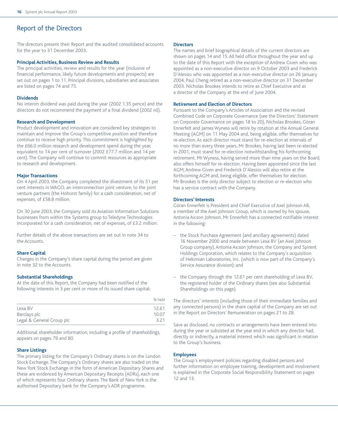## Report of the Directors

The directors present their Report and the audited consolidated accounts for the year to 31 December 2003.

#### **Principal Activities, Business Review and Results**

The principal activities, review and results for the year (inclusive of financial performance, likely future developments and prospects) are set out on pages 1 to 11. Principal divisions, subsidiaries and associates are listed on pages 74 and 75.

#### **Dividends**

No interim dividend was paid during the year (2002 1.35 pence) and the directors do not recommend the payment of a final dividend (2002 nil).

#### **Research and Development**

Product development and innovation are considered key strategies to maintain and improve the Group's competitive position and therefore continue to receive high priority. This commitment is highlighted by the £66.0 million research and development spend during the year, equivalent to 14 per cent of turnover (2002 £77.7 million and 14 per cent). The Company will continue to commit resources as appropriate to research and development.

#### **Major Transactions**

On 4 April 2003, the Company completed the divestment of its 51 per cent interests in WAGO, an interconnection joint venture, to the joint venture partners (the Hohorst family) for a cash consideration, net of expenses, of £58.8 million.

On 30 June 2003, the Company sold its Aviation Information Solutions businesses from within the Systems group to Teledyne Technologies Incorporated for a cash consideration, net of expenses, of £3.2 million.

Further details of the above transactions are set out in note 34 to the Accounts.

#### **Share Capital**

Changes in the Company's share capital during the period are given in note 32 to the Accounts.

#### **Substantial Shareholdings**

At the date of this Report, the Company had been notified of the following interests in 3 per cent or more of its issued share capital:

|                           | % held |
|---------------------------|--------|
| Lexa BV                   | 12.61  |
| Barclays plc              | 10.07  |
| Legal & General Group plc | 3.21   |

Additional shareholder information, including a profile of shareholdings, appears on pages 79 and 80.

#### **Share Listings**

The primary listing for the Company's Ordinary shares is on the London Stock Exchange. The Company's Ordinary shares are also traded on the New York Stock Exchange in the form of American Depositary Shares and these are evidenced by American Depositary Receipts (ADRs), each one of which represents four Ordinary shares. The Bank of New York is the authorised Depositary bank for the Company's ADR programme.

#### **Directors**

The names and brief biographical details of the current directors are shown on pages 14 and 15. All held office throughout the year and up to the date of this Report with the exception of Andrew Given who was appointed as a non-executive director on 9 October 2003 and Frederick D'Alessio who was appointed as a non-executive director on 26 January 2004. Paul Cheng retired as a non-executive director on 31 December 2003. Nicholas Brookes intends to retire as Chief Executive and as a director of the Company at the end of June 2004.

#### **Retirement and Election of Directors**

Pursuant to the Company's Articles of Association and the revised Combined Code on Corporate Governance (see the Directors' Statement on Corporate Governance on pages 18 to 20), Nicholas Brookes, Göran Ennerfelt and James Wyness will retire by rotation at the Annual General Meeting (AGM) on 11 May 2004 and, being eligible, offer themselves for re-election. As each director must stand for re-election at intervals of no more than every three years, Mr Brookes, having last been re-elected in 2001, must stand for re-election notwithstanding his forthcoming retirement. Mr Wyness, having served more than nine years on the Board, also offers himself for re-election. Having been appointed since the last AGM, Andrew Given and Frederick D'Alessio will also retire at the forthcoming AGM and, being eligible, offer themselves for election. Mr Brookes is the only director subject to election or re-election who has a service contract with the Company.

#### **Directors' Interests**

Göran Ennerfelt is President and Chief Executive of Axel Johnson AB, a member of the Axel Johnson Group, which is owned by his spouse, Antonia Ax:son Johnson. Mr Ennerfelt has a connected notifiable interest in the following:

- the Stock Purchase Agreement (and ancillary agreements) dated 16 November 2000 and made between Lexa BV (an Axel Johnson Group company), Antonia Ax:son Johnson, the Company and Spirent Holdings Corporation, which relates to the Company's acquisition of Hekimian Laboratories, Inc. (which is now part of the Company's Service Assurance division); and
- the Company through the 12.61 per cent shareholding of Lexa BV, the registered holder of the Ordinary shares (see also Substantial Shareholdings on this page).

The directors' interests (including those of their immediate families and any connected persons) in the share capital of the Company are set out in the Report on Directors' Remuneration on pages 21 to 28.

Save as disclosed, no contracts or arrangements have been entered into during the year or subsisted at the year end in which any director had, directly or indirectly, a material interest which was significant in relation to the Group's business.

#### **Employees**

The Group's employment policies regarding disabled persons and further information on employee training, development and involvement is explained in the Corporate Social Responsibility Statement on pages 12 and 13.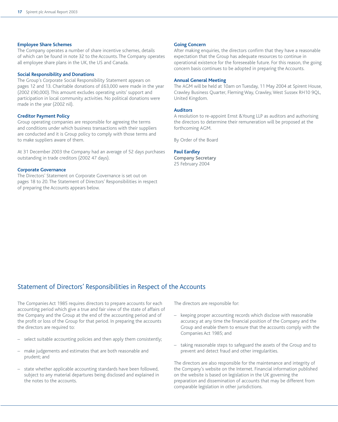#### **Employee Share Schemes**

The Company operates a number of share incentive schemes, details of which can be found in note 32 to the Accounts. The Company operates all employee share plans in the UK, the US and Canada.

#### **Social Responsibility and Donations**

The Group's Corporate Social Responsibility Statement appears on pages 12 and 13. Charitable donations of £63,000 were made in the year (2002 £90,000). This amount excludes operating units' support and participation in local community activities. No political donations were made in the year (2002 nil).

#### **Creditor Payment Policy**

Group operating companies are responsible for agreeing the terms and conditions under which business transactions with their suppliers are conducted and it is Group policy to comply with those terms and to make suppliers aware of them.

At 31 December 2003 the Company had an average of 52 days purchases outstanding in trade creditors (2002 47 days).

#### **Corporate Governance**

The Directors' Statement on Corporate Governance is set out on pages 18 to 20. The Statement of Directors' Responsibilities in respect of preparing the Accounts appears below.

#### **Going Concern**

After making enquiries, the directors confirm that they have a reasonable expectation that the Group has adequate resources to continue in operational existence for the foreseeable future. For this reason, the going concern basis continues to be adopted in preparing the Accounts.

#### **Annual General Meeting**

The AGM will be held at 10am on Tuesday, 11 May 2004 at Spirent House, Crawley Business Quarter, Fleming Way, Crawley, West Sussex RH10 9QL, United Kingdom.

#### **Auditors**

A resolution to re-appoint Ernst &Young LLP as auditors and authorising the directors to determine their remuneration will be proposed at the forthcoming AGM.

By Order of the Board

#### **Paul Eardley**

**Company Secretary** 25 February 2004

## Statement of Directors' Responsibilities in Respect of the Accounts

The Companies Act 1985 requires directors to prepare accounts for each accounting period which give a true and fair view of the state of affairs of the Company and the Group at the end of the accounting period and of the profit or loss of the Group for that period. In preparing the accounts the directors are required to:

- select suitable accounting policies and then apply them consistently;
- make judgements and estimates that are both reasonable and prudent; and
- state whether applicable accounting standards have been followed, subject to any material departures being disclosed and explained in the notes to the accounts.

The directors are responsible for:

- keeping proper accounting records which disclose with reasonable accuracy at any time the financial position of the Company and the Group and enable them to ensure that the accounts comply with the Companies Act 1985; and
- taking reasonable steps to safeguard the assets of the Group and to prevent and detect fraud and other irregularities.

The directors are also responsible for the maintenance and integrity of the Company's website on the Internet. Financial information published on the website is based on legislation in the UK governing the preparation and dissemination of accounts that may be different from comparable legislation in other jurisdictions.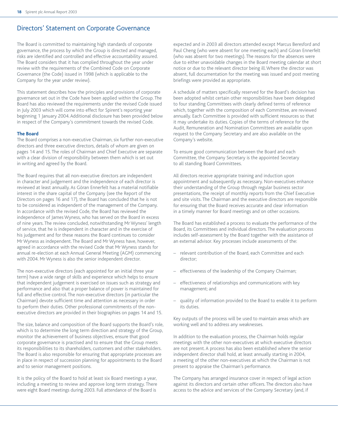## Directors' Statement on Corporate Governance

The Board is committed to maintaining high standards of corporate governance, the process by which the Group is directed and managed, risks are identified and controlled and effective accountability assured. The Board considers that it has complied throughout the year under review with the requirements of the Combined Code on Corporate Governance (the Code) issued in 1998 (which is applicable to the Company for the year under review).

This statement describes how the principles and provisions of corporate governance set out in the Code have been applied within the Group. The Board has also reviewed the requirements under the revised Code issued in July 2003 which will come into effect for Spirent's reporting year beginning 1 January 2004. Additional disclosure has been provided below in respect of the Company's commitment towards the revised Code.

#### **The Board**

The Board comprises a non-executive Chairman, six further non-executive directors and three executive directors, details of whom are given on pages 14 and 15. The roles of Chairman and Chief Executive are separate with a clear division of responsibility between them which is set out in writing and agreed by the Board.

The Board requires that all non-executive directors are independent in character and judgement and the independence of each director is reviewed at least annually. As Göran Ennerfelt has a material notifiable interest in the share capital of the Company (see the Report of the Directors on pages 16 and 17), the Board has concluded that he is not to be considered as independent of the management of the Company. In accordance with the revised Code, the Board has reviewed the independence of James Wyness, who has served on the Board in excess of nine years. The review concluded, notwithstanding Mr Wyness' length of service, that he is independent in character and in the exercise of his judgement and for these reasons the Board continues to consider Mr Wyness as independent. The Board and Mr Wyness have, however, agreed in accordance with the revised Code that Mr Wyness stands for annual re-election at each Annual General Meeting (AGM) commencing with 2004. Mr Wyness is also the senior independent director.

The non-executive directors (each appointed for an initial three year term) have a wide range of skills and experience which helps to ensure that independent judgement is exercised on issues such as strategy and performance and also that a proper balance of power is maintained for full and effective control. The non-executive directors (in particular the Chairman) devote sufficient time and attention as necessary in order to perform their duties. Other professional commitments of the nonexecutive directors are provided in their biographies on pages 14 and 15.

The size, balance and composition of the Board supports the Board's role, which is to determine the long term direction and strategy of the Group, monitor the achievement of business objectives, ensure that good corporate governance is practised and to ensure that the Group meets its responsibilities to its shareholders, customers and other stakeholders. The Board is also responsible for ensuring that appropriate processes are in place in respect of succession planning for appointments to the Board and to senior management positions.

It is the policy of the Board to hold at least six Board meetings a year, including a meeting to review and approve long term strategy. There were eight Board meetings during 2003. Full attendance of the Board is

expected and in 2003 all directors attended except Marcus Beresford and Paul Cheng (who were absent for one meeting each) and Göran Ennerfelt (who was absent for two meetings). The reasons for the absences were due to either unavoidable changes in the Board meeting calendar at short notice or due to the relevant director being ill. Where the director was absent, full documentation for the meeting was issued and post meeting briefings were provided as appropriate.

A schedule of matters specifically reserved for the Board's decision has been adopted whilst certain other responsibilities have been delegated to four standing Committees with clearly defined terms of reference which, together with the composition of each Committee, are reviewed annually. Each Committee is provided with sufficient resources so that it may undertake its duties. Copies of the terms of reference for the Audit, Remuneration and Nomination Committees are available upon request to the Company Secretary and are also available on the Company's website.

To ensure good communication between the Board and each Committee, the Company Secretary is the appointed Secretary to all standing Board Committees.

All directors receive appropriate training and induction upon appointment and subsequently as necessary. Non-executives enhance their understanding of the Group through regular business sector presentations, the receipt of monthly reports from the Chief Executive and site visits. The Chairman and the executive directors are responsible for ensuring that the Board receives accurate and clear information in a timely manner for Board meetings and on other occasions.

The Board has established a process to evaluate the performance of the Board, its Committees and individual directors. The evaluation process includes self-assessment by the Board together with the assistance of an external advisor. Key processes include assessments of the:

- relevant contribution of the Board, each Committee and each director;
- effectiveness of the leadership of the Company Chairman;
- effectiveness of relationships and communications with key management; and
- quality of information provided to the Board to enable it to perform its duties.

Key outputs of the process will be used to maintain areas which are working well and to address any weaknesses.

In addition to the evaluation process, the Chairman holds regular meetings with the other non-executives at which executive directors are not present. A process has also been established where the senior independent director shall hold, at least annually starting in 2004, a meeting of the other non-executives at which the Chairman is not present to appraise the Chairman's performance.

The Company has arranged insurance cover in respect of legal action against its directors and certain other officers. The directors also have access to the advice and services of the Company Secretary (and, if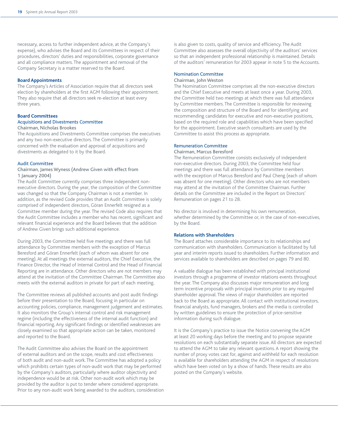necessary, access to further independent advice, at the Company's expense), who advises the Board and its Committees in respect of their procedures, directors' duties and responsibilities, corporate governance and all compliance matters. The appointment and removal of the Company Secretary is a matter reserved to the Board.

#### **Board Appointments**

The Company's Articles of Association require that all directors seek election by shareholders at the first AGM following their appointment. They also require that all directors seek re-election at least every three years.

### **Board Committees**

#### Acquisitions and Divestments Committee Chairman, Nicholas Brookes

The Acquisitions and Divestments Committee comprises the executives and any two non-executive directors. The Committee is primarily concerned with the evaluation and approval of acquisitions and divestments as delegated to it by the Board.

#### Audit Committee

#### Chairman, James Wyness (Andrew Given with effect from 1 January 2004)

The Audit Committee currently comprises three independent nonexecutive directors. During the year, the composition of the Committee was changed so that the Company Chairman is not a member. In addition, as the revised Code provides that an Audit Committee is solely comprised of independent directors, Göran Ennerfelt resigned as a Committee member during the year. The revised Code also requires that the Audit Committee includes a member who has recent, significant and relevant financial experience and the Board believes that the addition of Andrew Given brings such additional experience.

During 2003, the Committee held five meetings and there was full attendance by Committee members with the exception of Marcus Beresford and Göran Ennerfelt (each of whom was absent for one meeting). At all meetings the external auditors, the Chief Executive, the Finance Director, the Head of Internal Control and the Head of Financial Reporting are in attendance. Other directors who are not members may attend at the invitation of the Committee Chairman. The Committee also meets with the external auditors in private for part of each meeting.

The Committee reviews all published accounts and post audit findings before their presentation to the Board, focusing in particular on accounting policies, compliance, management judgement and estimates. It also monitors the Group's internal control and risk management regime (including the effectiveness of the internal audit function) and financial reporting. Any significant findings or identified weaknesses are closely examined so that appropriate action can be taken, monitored and reported to the Board.

The Audit Committee also advises the Board on the appointment of external auditors and on the scope, results and cost effectiveness of both audit and non-audit work. The Committee has adopted a policy which prohibits certain types of non-audit work that may be performed by the Company's auditors, particularly where auditor objectivity and independence would be at risk. Other non-audit work which may be provided by the auditor is put to tender where considered appropriate. Prior to any non-audit work being awarded to the auditors, consideration is also given to costs, quality of service and efficiency. The Audit Committee also assesses the overall objectivity of the auditors' services so that an independent professional relationship is maintained. Details of the auditors' remuneration for 2003 appear in note 5 to the Accounts.

#### Nomination Committee

#### Chairman, John Weston

The Nomination Committee comprises all the non-executive directors and the Chief Executive and meets at least once a year. During 2003, the Committee held two meetings at which there was full attendance by Committee members. The Committee is responsible for reviewing the composition and structure of the Board and for identifying and recommending candidates for executive and non-executive positions, based on the required role and capabilities which have been specified for the appointment. Executive search consultants are used by the Committee to assist this process as appropriate.

#### Remuneration Committee

#### Chairman, Marcus Beresford

The Remuneration Committee consists exclusively of independent non-executive directors. During 2003, the Committee held four meetings and there was full attendance by Committee members with the exception of Marcus Beresford and Paul Cheng (each of whom was absent for one meeting). Other directors who are not members may attend at the invitation of the Committee Chairman. Further details on the Committee are included in the Report on Directors' Remuneration on pages 21 to 28.

No director is involved in determining his own remuneration, whether determined by the Committee or, in the case of non-executives, by the Board.

#### **Relations with Shareholders**

The Board attaches considerable importance to its relationships and communication with shareholders. Communication is facilitated by full year and interim reports issued to shareholders. Further information and services available to shareholders are described on pages 79 and 80.

A valuable dialogue has been established with principal institutional investors through a programme of investor relations events throughout the year. The Company also discusses major remuneration and long term incentive proposals with principal investors prior to any required shareholder approval. The views of major shareholders are reported back to the Board as appropriate. All contact with institutional investors, financial analysts, fund managers, brokers and the media is controlled by written guidelines to ensure the protection of price-sensitive information during such dialogue.

It is the Company's practice to issue the Notice convening the AGM at least 20 working days before the meeting and to propose separate resolutions on each substantially separate issue. All directors are expected to attend the AGM to take any relevant questions. A report showing the number of proxy votes cast for, against and withheld for each resolution is available for shareholders attending the AGM in respect of resolutions which have been voted on by a show of hands. These results are also posted on the Company's website.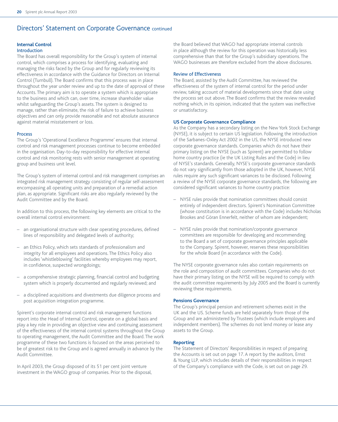## Directors' Statement on Corporate Governance continued

## **Internal Control**

#### Introduction

The Board has overall responsibility for the Group's system of internal control, which comprises a process for identifying, evaluating and managing the risks faced by the Group and for regularly reviewing its effectiveness in accordance with the Guidance for Directors on Internal Control (Turnbull). The Board confirms that this process was in place throughout the year under review and up to the date of approval of these Accounts. The primary aim is to operate a system which is appropriate to the business and which can, over time, increase shareholder value whilst safeguarding the Group's assets. The system is designed to manage, rather than eliminate, the risk of failure to achieve business objectives and can only provide reasonable and not absolute assurance against material misstatement or loss.

#### Process

The Group's 'Operational Excellence Programme' ensures that internal control and risk management processes continue to become embedded in the organisation. Day-to-day responsibility for effective internal control and risk monitoring rests with senior management at operating group and business unit level.

The Group's system of internal control and risk management comprises an integrated risk management strategy consisting of regular self-assessment encompassing all operating units and preparation of a remedial action plan, as appropriate. Significant risks are also regularly reviewed by the Audit Committee and by the Board.

In addition to this process, the following key elements are critical to the overall internal control environment:

- an organisational structure with clear operating procedures, defined lines of responsibility and delegated levels of authority;
- an Ethics Policy, which sets standards of professionalism and integrity for all employees and operations. The Ethics Policy also includes 'whistleblowing' facilities whereby employees may report, in confidence, suspected wrongdoings;
- a comprehensive strategic planning, financial control and budgeting system which is properly documented and regularly reviewed; and
- a disciplined acquisitions and divestments due diligence process and post acquisition integration programme.

Spirent's corporate internal control and risk management functions report into the Head of Internal Control, operate on a global basis and play a key role in providing an objective view and continuing assessment of the effectiveness of the internal control systems throughout the Group to operating management, the Audit Committee and the Board. The work programme of these two functions is focused on the areas perceived to be of greatest risk to the Group and is agreed annually in advance by the Audit Committee.

In April 2003, the Group disposed of its 51 per cent joint venture investment in the WAGO group of companies. Prior to the disposal, the Board believed that WAGO had appropriate internal controls in place although the review for this operation was historically less comprehensive than that for the Group's subsidiary operations. The WAGO businesses are therefore excluded from the above disclosures.

#### Review of Effectiveness

The Board, assisted by the Audit Committee, has reviewed the effectiveness of the system of internal control for the period under review, taking account of material developments since that date using the process set out above. The Board confirms that the review revealed nothing which, in its opinion, indicated that the system was ineffective or unsatisfactory.

#### **US Corporate Governance Compliance**

As the Company has a secondary listing on the New York Stock Exchange (NYSE), it is subject to certain US legislation. Following the introduction of the Sarbanes-Oxley Act 2002 in the US, the NYSE introduced new corporate governance standards. Companies which do not have their primary listing on the NYSE (such as Spirent) are permitted to follow home country practice (ie the UK Listing Rules and the Code) in lieu of NYSE's standards. Generally, NYSE's corporate governance standards do not vary significantly from those adopted in the UK, however, NYSE rules require any such significant variances to be disclosed. Following a review of the NYSE corporate governance standards, the following are considered significant variances to home country practice:

- NYSE rules provide that nomination committees should consist entirely of independent directors. Spirent's Nomination Committee (whose constitution is in accordance with the Code) includes Nicholas Brookes and Göran Ennerfelt, neither of whom are independent;
- NYSE rules provide that nomination/corporate governance committees are responsible for developing and recommending to the Board a set of corporate governance principles applicable to the Company. Spirent, however, reserves these responsibilities for the whole Board (in accordance with the Code).

The NYSE corporate governance rules also contain requirements on the role and composition of audit committees. Companies who do not have their primary listing on the NYSE will be required to comply with the audit committee requirements by July 2005 and the Board is currently reviewing these requirements.

#### **Pensions Governance**

The Group's principal pension and retirement schemes exist in the UK and the US. Scheme funds are held separately from those of the Group and are administered by Trustees (which include employees and independent members). The schemes do not lend money or lease any assets to the Group.

#### **Reporting**

The Statement of Directors' Responsibilities in respect of preparing the Accounts is set out on page 17. A report by the auditors, Ernst & Young LLP, which includes details of their responsibilities in respect of the Company's compliance with the Code, is set out on page 29.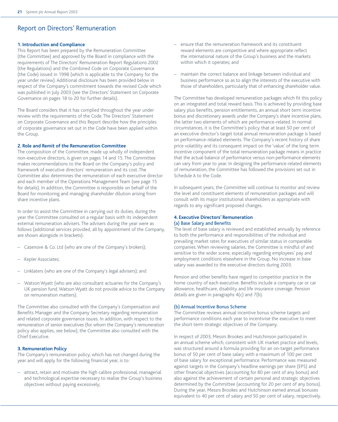## Report on Directors' Remuneration

#### **1. Introduction and Compliance**

This Report has been prepared by the Remuneration Committee (the Committee) and approved by the Board in compliance with the requirements of The Directors' Remuneration Report Regulations 2002 (the Regulations) and the Combined Code on Corporate Governance (the Code) issued in 1998 (which is applicable to the Company for the year under review). Additional disclosure has been provided below in respect of the Company's commitment towards the revised Code which was published in July 2003 (see the Directors' Statement on Corporate Governance on pages 18 to 20 for further details).

The Board considers that it has complied throughout the year under review with the requirements of the Code. The Directors' Statement on Corporate Governance and this Report describe how the principles of corporate governance set out in the Code have been applied within the Group.

#### **2. Role and Remit of the Remuneration Committee**

The composition of the Committee, made up wholly of independent non-executive directors, is given on pages 14 and 15. The Committee makes recommendations to the Board on the Company's policy and framework of executive directors' remuneration and its cost. The Committee also determines the remuneration of each executive director and each member of the Operations Management Team (see page 15 for details). In addition, the Committee is responsible on behalf of the Board for monitoring and managing shareholder dilution arising from share incentive plans.

In order to assist the Committee in carrying out its duties, during the year the Committee consulted on a regular basis with its independent external remuneration advisers. The advisers during the year were as follows (additional services provided, all by appointment of the Company, are shown alongside in brackets):

- Cazenove & Co. Ltd (who are one of the Company's brokers);
- Kepler Associates;
- Linklaters (who are one of the Company's legal advisers); and
- Watson Wyatt (who are also consultant actuaries for the Company's UK pension fund. Watson Wyatt do not provide advice to the Company on remuneration matters).

The Committee also consulted with the Company's Compensation and Benefits Manager and the Company Secretary regarding remuneration and related corporate governance issues. In addition, with respect to the remuneration of senior executives (for whom the Company's remuneration policy also applies, see below), the Committee also consulted with the Chief Executive.

#### **3. Remuneration Policy**

The Company's remuneration policy, which has not changed during the year and will apply for the following financial year, is to:

– attract, retain and motivate the high calibre professional, managerial and technological expertise necessary to realise the Group's business objectives without paying excessively;

- ensure that the remuneration framework and its constituent reward elements are competitive and where appropriate reflect the international nature of the Group's business and the markets within which it operates; and
- maintain the correct balance and linkage between individual and business performance so as to align the interests of the executive with those of shareholders, particularly that of enhancing shareholder value.

The Committee has developed remuneration packages which fit this policy on an integrated and total reward basis. This is achieved by providing base salary plus benefits, pension entitlements, an annual short term incentive bonus and discretionary awards under the Company's share incentive plans, the latter two elements of which are performance-related. In normal circumstances, it is the Committee's policy that at least 50 per cent of an executive director's target total annual remuneration package is based on performance-related elements. The Company's recent history of share price volatility and its consequent impact on the 'value' of the long term incentive component of the total remuneration package means in practice that the actual balance of performance versus non-performance elements can vary from year to year. In designing the performance-related elements of remuneration, the Committee has followed the provisions set out in Schedule A to the Code.

In subsequent years, the Committee will continue to monitor and review the level and constituent elements of remuneration packages and will consult with its major institutional shareholders as appropriate with regards to any significant proposed changes.

#### **4. Executive Directors' Remuneration** (a) Base Salary and Benefits

The level of base salary is reviewed and established annually by reference to both the performance and responsibilities of the individual and prevailing market rates for executives of similar status in comparable companies. When reviewing salaries, the Committee is mindful of and sensitive to the wider scene, especially regarding employees' pay and employment conditions elsewhere in the Group. No increase in base salary was awarded to the executive directors during 2003.

Pension and other benefits have regard to competitor practice in the home country of each executive. Benefits include a company car or car allowance, healthcare, disability and life insurance coverage. Pension details are given in paragraphs 4(c) and 7(b).

#### (b) Annual Incentive Bonus Scheme

The Committee reviews annual incentive bonus scheme targets and performance conditions each year to incentivise the executive to meet the short term strategic objectives of the Company.

In respect of 2003, Messrs Brookes and Hutchinson participated in an annual scheme which, consistent with UK market practice and levels, was structured around a formula providing for an on-target performance bonus of 50 per cent of base salary with a maximum of 100 per cent of base salary for exceptional performance. Performance was measured against targets in the Company's headline earnings per share (EPS) and other financial objectives (accounting for 80 per cent of any bonus) and also against the achievement of certain personal and strategic objectives determined by the Committee (accounting for 20 per cent of any bonus). During the year, Messrs Brookes and Hutchinson earned annual bonuses equivalent to 40 per cent of salary and 50 per cent of salary, respectively.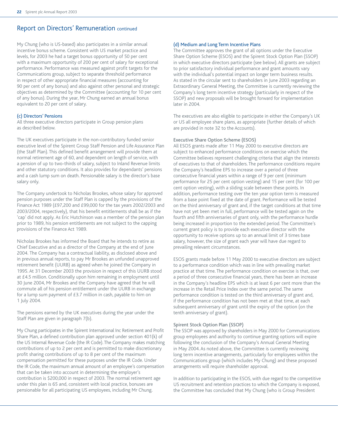## Report on Directors' Remuneration continued

My Chung (who is US-based) also participates in a similar annual incentive bonus scheme. Consistent with US market practice and levels, for 2003 he had a target bonus opportunity of 50 per cent with a maximum opportunity of 200 per cent of salary for exceptional performance. Performance was measured against profit targets for the Communications group, subject to separate threshold performance in respect of other appropriate financial measures (accounting for 90 per cent of any bonus) and also against other personal and strategic objectives as determined by the Committee (accounting for 10 per cent of any bonus). During the year, Mr Chung earned an annual bonus equivalent to 20 per cent of salary.

#### (c) Directors' Pensions

All three executive directors participate in Group pension plans as described below.

The UK executives participate in the non-contributory funded senior executive level of the Spirent Group Staff Pension and Life Assurance Plan (the Staff Plan). This defined benefit arrangement will provide them at normal retirement age of 60, and dependent on length of service, with a pension of up to two-thirds of salary, subject to Inland Revenue limits and other statutory conditions. It also provides for dependants' pensions and a cash lump sum on death. Pensionable salary is the director's base salary only.

The Company undertook to Nicholas Brookes, whose salary for approved pension purposes under the Staff Plan is capped by the provisions of the Finance Act 1989 (£97,200 and £99,000 for the tax years 2002/2003 and 2003/2004, respectively), that his benefit entitlements shall be as if the 'cap' did not apply. As Eric Hutchinson was a member of the pension plan prior to 1989, his pension entitlements are not subject to the capping provisions of the Finance Act 1989.

Nicholas Brookes has informed the Board that he intends to retire as Chief Executive and as a director of the Company at the end of June 2004. The Company has a contractual liability, as disclosed above and in previous annual reports, to pay Mr Brookes an unfunded unapproved retirement benefit (UURB) as agreed when he joined the Company in 1995. At 31 December 2003 the provision in respect of this UURB stood at £4.5 million. Conditionally upon him remaining in employment until 30 June 2004, Mr Brookes and the Company have agreed that he will commute all of his pension entitlement under the UURB in exchange for a lump sum payment of £3.7 million in cash, payable to him on 1 July 2004.

The pensions earned by the UK executives during the year under the Staff Plan are given in paragraph 7(b).

My Chung participates in the Spirent International Inc Retirement and Profit Share Plan, a defined contribution plan approved under section 401(k) of the US Internal Revenue Code (the IR Code).The Company makes matching contributions of up to 2 per cent and is permitted to make discretionary profit sharing contributions of up to 8 per cent of the maximum compensation permitted for these purposes under the IR Code. Under the IR Code, the maximum annual amount of an employee's compensation that can be taken into account in determining the employer's contribution is \$200,000 in respect of 2003. The normal retirement age under this plan is 65 and, consistent with local practice, bonuses are pensionable for all participating US employees, including Mr Chung.

#### (d) Medium and Long Term Incentive Plans

The Committee approves the grant of all options under the Executive Share Option Scheme (ESOS) and the Spirent Stock Option Plan (SSOP) in which executive directors participate (see below). All grants are subject to prior satisfactory individual performance and grant amounts vary with the individual's potential impact on longer term business results. As stated in the circular sent to shareholders in June 2003 regarding an Extraordinary General Meeting, the Committee is currently reviewing the Company's long term incentive strategy (particularly in respect of the SSOP) and new proposals will be brought forward for implementation later in 2004.

The executives are also eligible to participate in either the Company's UK or US all employee share plans, as appropriate (further details of which are provided in note 32 to the Accounts).

#### Executive Share Option Scheme (ESOS)

All ESOS grants made after 11 May 2000 to executive directors are subject to enhanced performance conditions on exercise which the Committee believes represent challenging criteria that align the interests of executives to that of shareholders. The performance conditions require the Company's headline EPS to increase over a period of three consecutive financial years within a range of 9 per cent (minimum performance for 25 per cent option vesting) and 15 per cent (for 100 per cent option vesting), with a sliding scale between these points. In addition, performance testing over the ten year option term is measured from a base point fixed at the date of grant. Performance will be tested on the third anniversary of grant and, if the target conditions at that time have not yet been met in full, performance will be tested again on the fourth and fifth anniversaries of grant only, with the performance hurdle being increased in proportion to the extended period. The Committee's current grant policy is to provide each executive director with the opportunity to receive options up to an annual limit of 3 times base salary, however, the size of grant each year will have due regard to prevailing relevant circumstances.

ESOS grants made before 11 May 2000 to executive directors are subject to a performance condition which was in line with prevailing market practice at that time. The performance condition on exercise is that, over a period of three consecutive financial years, there has been an increase in the Company's headline EPS which is at least 6 per cent more than the increase in the Retail Price Index over the same period. The same performance condition is tested on the third anniversary of grant and, if the performance condition has not been met at that time, at each subsequent anniversary of grant until the expiry of the option (on the tenth anniversary of grant).

#### Spirent Stock Option Plan (SSOP)

The SSOP was approved by shareholders in May 2000 for Communications group employees and authority to continue granting options will expire following the conclusion of the Company's Annual General Meeting in May 2004. As noted above, the Committee is currently reviewing long term incentive arrangements, particularly for employees within the Communications group (which includes My Chung) and these proposed arrangements will require shareholder approval.

In addition to participating in the ESOS, with due regard to the competitive US recruitment and retention practices to which the Company is exposed, the Committee has concluded that My Chung (who is Group President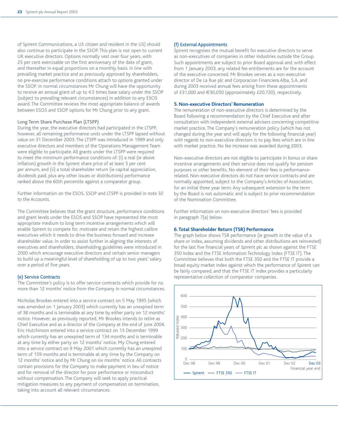of Spirent Communications, a US citizen and resident in the US) should also continue to participate in the SSOP. This plan is not open to current UK executive directors. Options normally vest over four years, with 25 per cent exercisable on the first anniversary of the date of grant, and thereafter in equal proportions on a monthly basis. In line with prevailing market practice and as previously approved by shareholders, no pre-exercise performance conditions attach to options granted under the SSOP. In normal circumstances Mr Chung will have the opportunity to receive an annual grant of up to 4.5 times base salary under the SSOP (subject to prevailing relevant circumstances) in addition to any ESOS award. The Committee reviews the most appropriate balance of awards between ESOS and SSOP options for Mr Chung prior to any grant.

#### Long Term Share Purchase Plan (LTSPP)

During the year, the executive directors had participated in the LTSPP, however, all remaining performance units under the LTSPP lapsed without value on 31 December 2003. The LTSPP was introduced in 1999 and only executive directors and members of the Operations Management Team were eligible to participate. All grants under the LTSPP were required to meet the minimum performance conditions of: (i) a real (ie above inflation) growth in the Spirent share price of at least 5 per cent per annum, and (ii) a total shareholder return (ie capital appreciation, dividends paid, plus any other issues or distributions) performance ranked above the 60th percentile against a comparator group.

Further information on the ESOS, SSOP and LTSPP is provided in note 32 to the Accounts.

The Committee believes that the grant structure, performance conditions and grant levels under the ESOS and SSOP have represented the most appropriate medium to long term incentive arrangements which will enable Spirent to compete for, motivate and retain the highest calibre executives which it needs to drive the business forward and increase shareholder value. In order to assist further in aligning the interests of executives and shareholders, shareholding guidelines were introduced in 2000 which encourage executive directors and certain senior managers to build up a meaningful level of shareholding of up to two years' salary over a period of five years.

#### (e) Service Contracts

The Committee's policy is to offer service contracts which provide for no more than 12 months' notice from the Company in normal circumstances.

Nicholas Brookes entered into a service contract on 5 May 1995 (which was amended on 1 January 2003) which currently has an unexpired term of 38 months and is terminable at any time by either party on 12 months' notice. However, as previously reported, Mr Brookes intends to retire as Chief Executive and as a director of the Company at the end of June 2004. Eric Hutchinson entered into a service contract on 13 December 1999 which currently has an unexpired term of 134 months and is terminable at any time by either party on 12 months' notice. My Chung entered into a service contract on 9 May 2001 which currently has an unexpired term of 159 months and is terminable at any time by the Company on 12 months' notice and by Mr Chung on six months' notice. All contracts contain provisions for the Company to make payment in lieu of notice and for removal of the director for poor performance or misconduct without compensation. The Company will seek to apply practical mitigation measures to any payment of compensation on termination, taking into account all relevant circumstances.

#### (f) External Appointments

Spirent recognises the mutual benefit for executive directors to serve as non-executives of companies in other industries outside the Group. Such appointments are subject to prior Board approval and, with effect from 1 January 2003, any related fee entitlements are for the account of the executive concerned. Mr Brookes serves as a non-executive director of De La Rue plc and Corporacion Financiera Alba, S.A. and during 2003 received annual fees arising from these appointments of £31,000 and €30,050 (approximately £20,720), respectively.

#### **5. Non-executive Directors' Remuneration**

The remuneration of non-executive directors is determined by the Board following a recommendation by the Chief Executive and after consultation with independent external advisers concerning competitive market practice. The Company's remuneration policy (which has not changed during the year and will apply for the following financial year) with regards to non-executive directors is to pay fees which are in line with market practice. No fee increase was awarded during 2003.

Non-executive directors are not eligible to participate in bonus or share incentive arrangements and their service does not qualify for pension purposes or other benefits. No element of their fees is performancerelated. Non-executive directors do not have service contracts and are normally appointed, subject to the Company's Articles of Association, for an initial three year term. Any subsequent extension to the term by the Board is not automatic and is subject to prior recommendation of the Nomination Committee.

Further information on non-executive directors' fees is provided in paragraph 7(a) below.

#### **6. Total Shareholder Return (TSR) Performance**

The graph below shows TSR performance (ie growth in the value of a share or index, assuming dividends and other distributions are reinvested) for the last five financial years of Spirent plc as shown against the FTSE 350 Index and the FTSE Information Technology Index (FTSE IT). The Committee believes that both the FTSE 350 and the FTSE IT provide a broad equity market index against which the performance of Spirent can be fairly compared, and that the FTSE IT index provides a particularly representative collection of comparator companies.

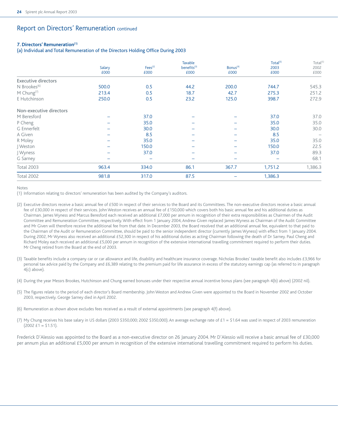## Report on Directors' Remuneration continued

#### **7. Directors' Remuneration(1)**

(a) Individual and Total Remuneration of the Directors Holding Office During 2003

|                            |                          | Fees <sup>(2)</sup> | Taxable<br>benefits <sup>(3)</sup> | Bonus <sup>(4)</sup>     | Total <sup>(5)</sup> | Total <sup>(5)</sup><br>2002 |
|----------------------------|--------------------------|---------------------|------------------------------------|--------------------------|----------------------|------------------------------|
|                            | Salary<br>£000           | £000                | £000                               | £000                     | 2003<br>£000         | £000                         |
| <b>Executive directors</b> |                          |                     |                                    |                          |                      |                              |
| $N$ Brookes <sup>(6)</sup> | 500.0                    | 0.5                 | 44.2                               | 200.0                    | 744.7                | 545.3                        |
| $M$ Chung <sup>(7)</sup>   | 213.4                    | 0.5                 | 18.7                               | 42.7                     | 275.3                | 251.2                        |
| E Hutchinson               | 250.0                    | 0.5                 | 23.2                               | 125.0                    | 398.7                | 272.9                        |
| Non-executive directors    |                          |                     |                                    |                          |                      |                              |
| M Beresford                |                          | 37.0                |                                    |                          | 37.0                 | 37.0                         |
| P Cheng                    |                          | 35.0                |                                    |                          | 35.0                 | 35.0                         |
| G Ennerfelt                | $\overline{\phantom{0}}$ | 30.0                |                                    |                          | 30.0                 | 30.0                         |
| A Given                    | $\overline{\phantom{m}}$ | 8.5                 | -                                  | $\overline{\phantom{0}}$ | 8.5                  |                              |
| R Moley                    |                          | 35.0                |                                    |                          | 35.0                 | 35.0                         |
| Weston                     | -                        | 150.0               |                                    |                          | 150.0                | 22.5                         |
| J Wyness                   |                          | 37.0                |                                    |                          | 37.0                 | 89.3                         |
| G Sarney                   |                          |                     |                                    |                          |                      | 68.1                         |
| <b>Total 2003</b>          | 963.4                    | 334.0               | 86.1                               | 367.7                    | 1,751.2              | 1,386.3                      |
| <b>Total 2002</b>          | 981.8                    | 317.0               | 87.5                               |                          | 1,386.3              |                              |

Notes

(1) Information relating to directors' remuneration has been audited by the Company's auditors.

- (2) Executive directors receive a basic annual fee of £500 in respect of their services to the Board and its Committees. The non-executive directors receive a basic annual fee of £30,000 in respect of their services. John Weston receives an annual fee of £150,000 which covers both his basic annual fee and his additional duties as Chairman. James Wyness and Marcus Beresford each received an additional £7,000 per annum in recognition of their extra responsibilities as Chairmen of the Audit Committee and Remuneration Committee, respectively. With effect from 1 January 2004, Andrew Given replaced James Wyness as Chairman of the Audit Committee and Mr Given will therefore receive the additional fee from that date. In December 2003, the Board resolved that an additional annual fee, equivalent to that paid to the Chairman of the Audit or Remuneration Committee, should be paid to the senior independent director (currently James Wyness) with effect from 1 January 2004. During 2002, Mr Wyness also received an additional £52,300 in respect of his additional duties as acting Chairman following the death of Dr Sarney. Paul Cheng and Richard Moley each received an additional £5,000 per annum in recognition of the extensive international travelling commitment required to perform their duties. Mr Cheng retired from the Board at the end of 2003.
- (3) Taxable benefits include a company car or car allowance and life, disability and healthcare insurance coverage. Nicholas Brookes' taxable benefit also includes £3,966 for personal tax advice paid by the Company and £6,389 relating to the premium paid for life assurance in excess of the statutory earnings cap (as referred to in paragraph 4(c) above).
- (4) During the year Messrs Brookes, Hutchinson and Chung earned bonuses under their respective annual incentive bonus plans (see paragraph 4(b) above) (2002 nil).
- (5) The figures relate to the period of each director's Board membership. John Weston and Andrew Given were appointed to the Board in November 2002 and October 2003, respectively. George Sarney died in April 2002.
- (6) Remuneration as shown above excludes fees received as a result of external appointments (see paragraph 4(f) above).
- (7) My Chung receives his base salary in US dollars (2003 \$350,000; 2002 \$350,000). An average exchange rate of £1 = \$1.64 was used in respect of 2003 remuneration  $(2002 \text{ f1} = $1.51)$ .

Frederick D'Alessio was appointed to the Board as a non-executive director on 26 January 2004. Mr D'Alessio will receive a basic annual fee of £30,000 per annum plus an additional £5,000 per annum in recognition of the extensive international travelling commitment required to perform his duties.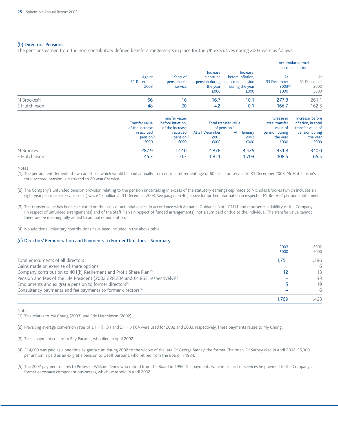#### (b) Directors' Pensions

The pensions earned from the non-contributory defined benefit arrangements in place for the UK executives during 2003 were as follows:

|                          |                               |                                    |                                                   |                                                                                                |                                           | <b>Accumulated total</b><br>accrued pension |
|--------------------------|-------------------------------|------------------------------------|---------------------------------------------------|------------------------------------------------------------------------------------------------|-------------------------------------------|---------------------------------------------|
|                          | Age at<br>31 December<br>2003 | Years of<br>pensionable<br>service | <b>Increase</b><br>in accrued<br>the year<br>£000 | Increase,<br>before inflation.<br>pension during in accrued pension<br>during the year<br>£000 | At<br>31 December<br>$2003^{(1)}$<br>£000 | At<br>31 December<br>2002<br>£000           |
| N Brookes <sup>(2)</sup> | 56                            | 16                                 | 16.7                                              | 10.1                                                                                           | 277.8                                     | 261.1                                       |
| E Hutchinson             | 48                            | 20                                 | 4.2                                               | 0.1                                                                                            | 166.7                                     | 162.5                                       |
|                          |                               | Transfer value.                    |                                                   |                                                                                                | Increase in                               | Increase, before                            |
|                          | Transfer value                | before inflation,                  |                                                   | Total transfer value                                                                           | total transfer                            | inflation, in total                         |
|                          | of the increase               | of the increase                    |                                                   | of pension(3)                                                                                  | value of                                  | transfer value of                           |
|                          | in accrued                    | in accrued                         | At 31 December                                    | At 1 January                                                                                   | pension during                            | pension during                              |
|                          | pension <sup>(3)</sup>        | pension <sup>(3)</sup>             | 2003                                              | 2003                                                                                           | the year                                  | the year                                    |
|                          | £000                          | £000                               | £000                                              | £000                                                                                           | £000                                      | £000                                        |
| N Brookes                | 287.9                         | 172.0                              | 4,876                                             | 4,425                                                                                          | 451.8                                     | 340.0                                       |
| E Hutchinson             | 45.3                          | 0.7                                | 1,811                                             | 1.703                                                                                          | 108.5                                     | 65.5                                        |

Notes

(1) The pension entitlements shown are those which would be paid annually from normal retirement age of 60 based on service to 31 December 2003. Mr Hutchinson's total accrued pension is restricted to 20 years' service.

- (2) The Company's unfunded pension provision relating to the pension undertaking in excess of the statutory earnings cap made to Nicholas Brookes (which includes an eight year pensionable service credit) was £4.5 million at 31 December 2003. See paragraph 4(c) above for further information in respect of Mr Brookes' pension entitlement.
- (3) The transfer value has been calculated on the basis of actuarial advice in accordance with Actuarial Guidance Note GN11 and represents a liability of the Company (in respect of unfunded arrangements) and of the Staff Plan (in respect of funded arrangements), not a sum paid or due to the individual. The transfer value cannot therefore be meaningfully added to annual remuneration.
- (4) No additional voluntary contributions have been included in the above table.

#### (c) Directors' Remuneration and Payments to Former Directors – Summary

|                                                                                               | 2003  | 2002  |
|-----------------------------------------------------------------------------------------------|-------|-------|
|                                                                                               | £000  | £000  |
| Total emoluments of all directors                                                             | 1.751 | 1.386 |
| Gains made on exercise of share options <sup>(1)</sup>                                        |       | 6     |
| Company contribution to 401(k) Retirement and Profit Share Plan <sup>(2)</sup>                | 12    | 13    |
| Pension and fees of the Life President (2002 £28,204 and £4,865, respectively) <sup>(3)</sup> |       | 33    |
| Emoluments and ex gratia pension to former directors <sup>(4)</sup>                           |       | 19    |
| Consultancy payments and fee payments to former directors <sup>(5)</sup>                      |       | 6     |
|                                                                                               | 1.769 | 1.463 |

#### Notes

(1) This relates to My Chung (2003) and Eric Hutchinson (2002).

(2) Prevailing average conversion rates of £1 = \$1.51 and £1 = \$1.64 were used for 2002 and 2003, respectively. These payments relate to My Chung.

(3) These payments relate to Ray Parsons, who died in April 2002.

(4) £14,000 was paid as a one time ex gratia sum during 2002 to the widow of the late Dr George Sarney, the former Chairman. Dr Sarney died in April 2002. £5,000 per annum is paid as an ex gratia pension to Geoff Bastians, who retired from the Board in 1984.

(5) The 2002 payment relates to Professor William Penny who retired from the Board in 1996. The payments were in respect of services he provided to the Company's former aerospace component businesses, which were sold in April 2002.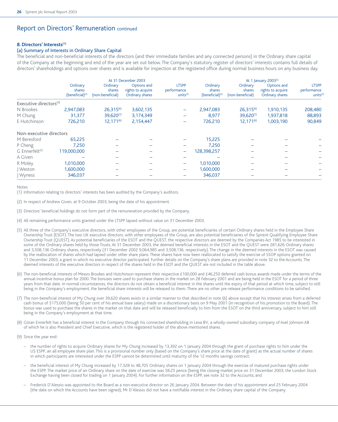## Report on Directors' Remuneration continued

#### **8. Directors' Interests(1)**

#### (a) Summary of Interests in Ordinary Share Capital

The beneficial and non-beneficial interests of the directors (and their immediate families and any connected persons) in the Ordinary share capital of the Company at the beginning and end of the year are set out below. The Company's statutory register of directors' interests contains full details of directors' shareholdings and options over shares and is available for inspection at the registered office during normal business hours on any business day.

|                                    |                                                   | At 31 December 2003                    |                                                     |                                            |                                            | At 1 January 2003(2)                   |                                                     |                                                     |  |
|------------------------------------|---------------------------------------------------|----------------------------------------|-----------------------------------------------------|--------------------------------------------|--------------------------------------------|----------------------------------------|-----------------------------------------------------|-----------------------------------------------------|--|
|                                    | Ordinary<br>shares<br>(beneficial) <sup>(3)</sup> | Ordinary<br>shares<br>(non-beneficial) | Options and<br>rights to acquire<br>Ordinary shares | <b>LTSPP</b><br>performance<br>units $(4)$ | Ordinary<br>shares<br>$(beneficial)^{(3)}$ | Ordinary<br>shares<br>(non-beneficial) | Options and<br>rights to acquire<br>Ordinary shares | <b>LTSPP</b><br>performance<br>units <sup>(4)</sup> |  |
| Executive directors <sup>(5)</sup> |                                                   |                                        |                                                     |                                            |                                            |                                        |                                                     |                                                     |  |
| N Brookes                          | 2,947,083                                         | $26,315^{(6)}$                         | 3,602,135                                           |                                            | 2,947,083                                  | $26,315^{(6)}$                         | 1,910,135                                           | 208,480                                             |  |
| M Chung                            | 31,377                                            | 39,620(7)                              | 3,174,349                                           |                                            | 8,977                                      | 39,620(7)                              | 1,937,818                                           | 88,893                                              |  |
| E Hutchinson                       | 726,210                                           | $12,171^{(6)}$                         | 2,154,447                                           |                                            | 726,210                                    | $12,171^{(6)}$                         | 1,003,190                                           | 90,849                                              |  |
| Non-executive directors            |                                                   |                                        |                                                     |                                            |                                            |                                        |                                                     |                                                     |  |
| M Beresford                        | 65,225                                            |                                        |                                                     |                                            | 15,225                                     |                                        |                                                     |                                                     |  |
| P Cheng                            | 7,250                                             |                                        |                                                     |                                            | 7,250                                      |                                        |                                                     |                                                     |  |
| G Ennerfelt <sup>(8)</sup>         | 119,000,000                                       |                                        |                                                     |                                            | 128,398,257                                |                                        |                                                     |                                                     |  |
| A Given                            |                                                   |                                        |                                                     |                                            |                                            |                                        |                                                     |                                                     |  |
| R Moley                            | 1,010,000                                         | $\overline{\phantom{0}}$               |                                                     | $\overline{\phantom{0}}$                   | 1,010,000                                  |                                        |                                                     |                                                     |  |
| Weston                             | 1,600,000                                         |                                        |                                                     |                                            | 1,600,000                                  |                                        |                                                     |                                                     |  |
| Wyness                             | 346,037                                           |                                        |                                                     |                                            | 346,037                                    |                                        |                                                     |                                                     |  |

Notes

(1) Information relating to directors' interests has been audited by the Company's auditors.

(2) In respect of Andrew Given, at 9 October 2003, being the date of his appointment.

- (3) Directors' beneficial holdings do not form part of the remuneration provided by the Company.
- (4) All remaining performance units granted under the LTSPP lapsed without value on 31 December 2003.
- (5) All three of the Company's executive directors, with other employees of the Group, are potential beneficiaries of certain Ordinary shares held in the Employee Share Ownership Trust (ESOT). The two UK executive directors, with other employees of the Group, are also potential beneficiaries of the Spirent Qualifying Employee Share Ownership Trust (QUEST). As potential beneficiaries of the ESOT and the QUEST, the respective directors are deemed by the Companies Act 1985 to be interested in some of the Ordinary shares held by those Trusts. At 31 December 2003, the deemed beneficial interests in the ESOT and the QUEST were 281,626 Ordinary shares and 3,508,136 Ordinary shares, respectively (31 December 2002 9,064,985 and 3,508,136, respectively). The change in the deemed interests in the ESOT was caused by the reallocation of shares which had lapsed under other share plans. These shares have now been reallocated to satisfy the exercise of SSOP options granted on 11 December 2003, a grant in which no executive director participated. Further details on the Company's share plans are provided in note 32 to the Accounts. The deemed interests of the executive directors in respect of the shares held in the ESOT and the QUEST are not included in the table above.
- (6) The non-beneficial interests of Messrs Brookes and Hutchinson represent their respective £100,000 and £46,250 deferred cash bonus awards made under the terms of the annual incentive bonus plan for 2000. The bonuses were used to purchase shares in the market on 28 February 2001 and are being held in the ESOT for a period of three years from that date. In normal circumstances, the directors do not obtain a beneficial interest in the shares until the expiry of that period at which time, subject to still being in the Company's employment, the beneficial share interests will be released to them. There are no other pre-release performance conditions to be satisfied.
- (7) The non-beneficial interest of My Chung over 39,620 shares exists in a similar manner to that described in note (6) above except that his interest arises from a deferred cash bonus of \$175,000 (being 50 per cent of his annual base salary) made on a discretionary basis on 9 May 2001 (in recognition of his promotion to the Board). The bonus was used to purchase the shares in the market on that date and will be released beneficially to him from the ESOT on the third anniversary, subject to him still being in the Company's employment at that time.
- (8) Göran Ennerfelt has a beneficial interest in the Company through his connected shareholding in Lexa BV, a wholly-owned subsidiary company of Axel Johnson AB of which he is also President and Chief Executive, which is the registered holder of the above mentioned shares.
- (9) Since the year end:
	- the number of rights to acquire Ordinary shares for My Chung increased by 13,392 on 1 January 2004 through the grant of purchase rights to him under the US ESPP, an all employee share plan. This is a provisional number only (based on the Company's share price at the date of grant) as the actual number of shares in which participants are interested under the ESPP cannot be determined until maturity of the 12 months savings contract;
	- the beneficial interest of My Chung increased by 17,328 to 48,705 Ordinary shares on 1 January 2004 through the exercise of matured purchase rights under the ESPP. The market price of an Ordinary share on the date of exercise was 58.25 pence (being the closing market price on 31 December 2003, the London Stock Exchange having been closed for trading on 1 January 2004). For further information on the ESPP, see note 32 to the Accounts; and
	- Frederick D'Alessio was appointed to the Board as a non-executive director on 26 January 2004. Between the date of his appointment and 25 February 2004 (the date on which the Accounts have been signed), Mr D'Alessio did not have a notifiable interest in the Ordinary share capital of the Company.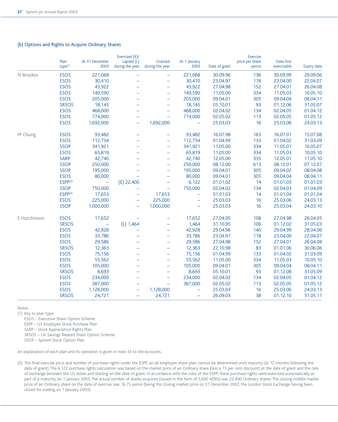|              | Plan<br>type <sup>(1)</sup> | At 31 December<br>2003 | Exercised (E)/<br>Lapsed (L)<br>during the year | Granted<br>during the year | At 1 January<br>2003 | Date of grant | <b>Exercise</b><br>price per share<br>pence | Date first<br>exercisable | <b>Expiry date</b> |
|--------------|-----------------------------|------------------------|-------------------------------------------------|----------------------------|----------------------|---------------|---------------------------------------------|---------------------------|--------------------|
| N Brookes    | <b>ESOS</b>                 | 221,068                | $\overline{\phantom{0}}$                        | ÷                          | 221,068              | 30.09.96      | 136                                         | 30.09.99                  | 29.09.06           |
|              | <b>ESOS</b>                 | 30,410                 | $\equiv$                                        | ÷                          | 30,410               | 23.04.97      | 118                                         | 23.04.00                  | 22.04.07           |
|              | <b>ESOS</b>                 | 43,922                 | $\overline{\phantom{0}}$                        | $\equiv$                   | 43,922               | 27.04.98      | 152                                         | 27.04.01                  | 26.04.08           |
|              | <b>ESOS</b>                 | 149,590                | ÷                                               | ÷                          | 149,590              | 11.05.00      | 334                                         | 11.05.03                  | 10.05.10           |
|              | <b>ESOS</b>                 | 205,000                | ÷                                               | ÷,                         | 205,000              | 09.04.01      | 305                                         | 09.04.04                  | 08.04.11           |
|              | <b>SRSOS</b>                | 18,145                 | $\overline{\phantom{0}}$                        | $\overline{\phantom{0}}$   | 18,145               | 05.10.01      | 93                                          | 01.12.06                  | 31.05.07           |
|              | <b>ESOS</b>                 | 468,000                | $\overline{\phantom{0}}$                        | $\equiv$                   | 468,000              | 02.04.02      | 134                                         | 02.04.05                  | 01.04.12           |
|              | <b>ESOS</b>                 | 774,000                | -                                               | -                          | 774,000              | 02.05.02      | 113                                         | 02.05.05                  | 01.05.12           |
|              | <b>ESOS</b>                 | 1,692,000              | $\equiv$                                        | 1,692,000                  | ÷                    | 25.03.03      | 16                                          | 25.03.06                  | 24.03.13           |
| M Chung      | <b>ESOS</b>                 | 93,482                 | ÷                                               | -                          | 93,482               | 16.07.98      | 163                                         | 16.07.01                  | 15.07.08           |
|              | <b>ESOS</b>                 | 112,734                | -                                               | -                          | 112,734              | 01.04.99      | 133                                         | 01.04.02                  | 31.03.09           |
|              | <b>SSOP</b>                 | 341,921                | $\overline{\phantom{0}}$                        | $\equiv$                   | 341,921              | 11.05.00      | 334                                         | 11.05.01                  | 10.05.07           |
|              | <b>ESOS</b>                 | 65,819                 | -                                               | ÷                          | 65,819               | 11.05.00      | 334                                         | 11.05.03                  | 10.05.10           |
|              | <b>SARP</b>                 | 42,740                 | -                                               | ÷                          | 42,740               | 12.05.00      | 335                                         | 12.05.01                  | 11.05.10           |
|              | <b>SSOP</b>                 | 250,000                | $\equiv$                                        | ÷,                         | 250,000              | 08.12.00      | 613                                         | 08.12.01                  | 07.12.07           |
|              | <b>SSOP</b>                 | 195,000                | -                                               | ÷                          | 195,000              | 09.04.01      | 305                                         | 09.04.02                  | 08.04.08           |
|              | <b>ESOS</b>                 | 80,000                 |                                                 | $\overline{\phantom{0}}$   | 80,000               | 09.04.01      | 305                                         | 09.04.04                  | 08.04.11           |
|              | $ESPP^{(2)}$                |                        | $(E)$ 22,400                                    | ÷                          | 6,122                | 01.01.02      | 14                                          | 01.01.03                  | 01.01.03           |
|              | <b>SSOP</b>                 | 750,000                |                                                 | $\qquad \qquad -$          | 750,000              | 02.04.02      | 134                                         | 02.04.03                  | 01.04.09           |
|              | $ESPP^{(3)}$                | 17,653                 | ÷                                               | 17,653                     | $\equiv$             | 01.01.03      | 14                                          | 01.01.04                  | 01.01.04           |
|              | <b>ESOS</b>                 | 225,000                | ۳                                               | 225,000                    | ÷                    | 25.03.03      | 16                                          | 25.03.06                  | 24.03.13           |
|              | <b>SSOP</b>                 | 1,000,000              | ÷,                                              | 1,000,000                  | ÷                    | 25.03.03      | 16                                          | 25.03.04                  | 24.03.10           |
| E Hutchinson | <b>ESOS</b>                 | 17,652                 |                                                 |                            | 17,652               | 27.04.95      | 108                                         | 27.04.98                  | 26.04.05           |
|              | <b>SRSOS</b>                | $\equiv$               | (L) 1,464                                       | $\equiv$                   | 1,464                | 31.10.95      | 106                                         | 01.12.02                  | 31.05.03           |
|              | <b>ESOS</b>                 | 42,928                 | $\overline{\phantom{0}}$                        | ÷                          | 42,928               | 29.04.96      | 140                                         | 29.04.99                  | 28.04.06           |
|              | <b>ESOS</b>                 | 33,786                 |                                                 | ÷                          | 33,786               | 23.04.97      | 118                                         | 23.04.00                  | 22.04.07           |
|              | <b>ESOS</b>                 | 29,586                 |                                                 | ÷,                         | 29,586               | 27.04.98      | 152                                         | 27.04.01                  | 26.04.08           |
|              | <b>SRSOS</b>                | 12,363                 | $\overline{\phantom{0}}$                        | ÷                          | 12,363               | 22.10.98      | 83                                          | 01.01.06                  | 30.06.06           |
|              | <b>ESOS</b>                 | 75,156                 | -                                               | ÷                          | 75,156               | 01.04.99      | 133                                         | 01.04.02                  | 31.03.09           |
|              | <b>ESOS</b>                 | 55,562                 | $\equiv$                                        | ÷                          | 55,562               | 11.05.00      | 334                                         | 11.05.03                  | 10.05.10           |
|              | <b>ESOS</b>                 | 105,000                | $\equiv$                                        | $\overline{\phantom{m}}$   | 105,000              | 09.04.01      | 305                                         | 09.04.04                  | 08.04.11           |
|              | <b>SRSOS</b>                | 8,693                  | $\equiv$                                        | ÷                          | 8,693                | 05.10.01      | 93                                          | 01.12.08                  | 31.05.09           |
|              | <b>ESOS</b>                 | 234,000                | $\overline{\phantom{0}}$                        | -                          | 234,000              | 02.04.02      | 134                                         | 02.04.05                  | 01.04.12           |
|              | <b>ESOS</b>                 | 387,000                | ÷                                               | $\qquad \qquad -$          | 387,000              | 02.05.02      | 113                                         | 02.05.05                  | 01.05.12           |
|              | <b>ESOS</b>                 | 1,128,000              | $\overline{\phantom{0}}$                        | 1,128,000                  | ÷,                   | 25.03.03      | 16                                          | 25.03.06                  | 24.03.13           |
|              | <b>SRSOS</b>                | 24,721                 | ÷,                                              | 24,721                     | $\qquad \qquad -$    | 26.09.03      | 38                                          | 01.12.10                  | 31.05.11           |

#### (b) Options and Rights to Acquire Ordinary Shares

Notes

(1) Key to plan type:

ESOS – Executive Share Option Scheme

ESPP – US Employee Stock Purchase Plan

SARP – Stock Appreciation Rights Plan

SRSOS – UK Savings Related Share Option Scheme

SSOP – Spirent Stock Option Plan

An explanation of each plan and its operation is given in note 32 to the Accounts.

(2) The final exercise price and number of purchase rights under the ESPP, an all employee share plan, cannot be determined until maturity (ie 12 months following the date of grant). The 6,122 purchase rights calculation was based on the market price of an Ordinary share (less a 15 per cent discount) at the date of grant and the rate of exchange between the US dollar and sterling on the date of grant. In accordance with the rules of the ESPP, these purchase rights were exercised automatically as part of a maturity on 1 January 2003. The actual number of shares acquired (issued in the form of 5,600 ADRs) was 22,400 Ordinary shares. The closing middle market price of an Ordinary share on the date of exercise was 16.75 pence (being the closing market price on 31 December 2002, the London Stock Exchange having been closed for trading on 1 January 2003).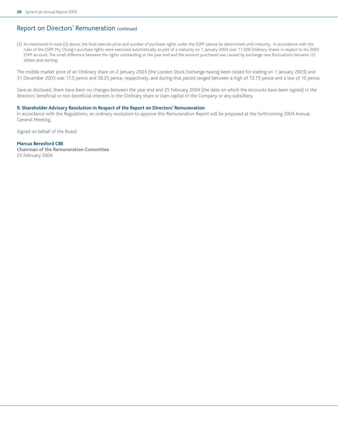## Report on Directors' Remuneration continued

(3) As mentioned in note (2) above, the final exercise price and number of purchase rights under the ESPP cannot be determined until maturity. In accordance with the rules of the ESPP, My Chung's purchase rights were exercised automatically as part of a maturity on 1 January 2004 over 17,328 Ordinary shares in respect to his 2003 ESPP account. The small difference between the rights outstanding at the year end and the amount purchased was caused by exchange rate fluctuations between US dollars and sterling.

The middle market price of an Ordinary share on 2 January 2003 (the London Stock Exchange having been closed for trading on 1 January 2003) and 31 December 2003 was 17.5 pence and 58.25 pence, respectively, and during that period ranged between a high of 72.75 pence and a low of 10 pence.

Save as disclosed, there have been no changes between the year end and 25 February 2004 (the date on which the Accounts have been signed) in the directors' beneficial or non-beneficial interests in the Ordinary share or loan capital of the Company or any subsidiary.

#### **9. Shareholder Advisory Resolution in Respect of the Report on Directors' Remuneration**

In accordance with the Regulations, an ordinary resolution to approve this Remuneration Report will be proposed at the forthcoming 2004 Annual General Meeting.

Signed on behalf of the Board

#### **Marcus Beresford CBE**

**Chairman of the Remuneration Committee** 25 February 2004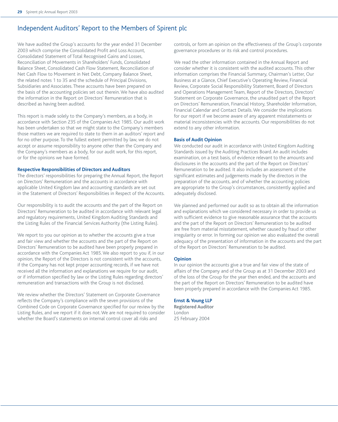## Independent Auditors' Report to the Members of Spirent plc

We have audited the Group's accounts for the year ended 31 December 2003 which comprise the Consolidated Profit and Loss Account, Consolidated Statement of Total Recognised Gains and Losses, Reconciliation of Movements in Shareholders' Funds, Consolidated Balance Sheet, Consolidated Cash Flow Statement, Reconciliation of Net Cash Flow to Movement in Net Debt, Company Balance Sheet, the related notes 1 to 35 and the schedule of Principal Divisions, Subsidiaries and Associates. These accounts have been prepared on the basis of the accounting policies set out therein. We have also audited the information in the Report on Directors' Remuneration that is described as having been audited.

This report is made solely to the Company's members, as a body, in accordance with Section 235 of the Companies Act 1985. Our audit work has been undertaken so that we might state to the Company's members those matters we are required to state to them in an auditors' report and for no other purpose. To the fullest extent permitted by law, we do not accept or assume responsibility to anyone other than the Company and the Company's members as a body, for our audit work, for this report, or for the opinions we have formed.

#### **Respective Responsibilities of Directors and Auditors**

The directors' responsibilities for preparing the Annual Report, the Report on Directors' Remuneration and the accounts in accordance with applicable United Kingdom law and accounting standards are set out in the Statement of Directors' Responsibilities in Respect of the Accounts.

Our responsibility is to audit the accounts and the part of the Report on Directors' Remuneration to be audited in accordance with relevant legal and regulatory requirements, United Kingdom Auditing Standards and the Listing Rules of the Financial Services Authority (the Listing Rules).

We report to you our opinion as to whether the accounts give a true and fair view and whether the accounts and the part of the Report on Directors' Remuneration to be audited have been properly prepared in accordance with the Companies Act 1985. We also report to you if, in our opinion, the Report of the Directors is not consistent with the accounts, if the Company has not kept proper accounting records, if we have not received all the information and explanations we require for our audit, or if information specified by law or the Listing Rules regarding directors' remuneration and transactions with the Group is not disclosed.

We review whether the Directors' Statement on Corporate Governance reflects the Company's compliance with the seven provisions of the Combined Code on Corporate Governance specified for our review by the Listing Rules, and we report if it does not. We are not required to consider whether the Board's statements on internal control cover all risks and

controls, or form an opinion on the effectiveness of the Group's corporate governance procedures or its risk and control procedures.

We read the other information contained in the Annual Report and consider whether it is consistent with the audited accounts. This other information comprises the Financial Summary, Chairman's Letter, Our Business at a Glance, Chief Executive's Operating Review, Financial Review, Corporate Social Responsibility Statement, Board of Directors and Operations Management Team, Report of the Directors, Directors' Statement on Corporate Governance, the unaudited part of the Report on Directors' Remuneration, Financial History, Shareholder Information, Financial Calendar and Contact Details. We consider the implications for our report if we become aware of any apparent misstatements or material inconsistencies with the accounts. Our responsibilities do not extend to any other information.

#### **Basis of Audit Opinion**

We conducted our audit in accordance with United Kingdom Auditing Standards issued by the Auditing Practices Board. An audit includes examination, on a test basis, of evidence relevant to the amounts and disclosures in the accounts and the part of the Report on Directors' Remuneration to be audited. It also includes an assessment of the significant estimates and judgements made by the directors in the preparation of the accounts, and of whether the accounting policies are appropriate to the Group's circumstances, consistently applied and adequately disclosed.

We planned and performed our audit so as to obtain all the information and explanations which we considered necessary in order to provide us with sufficient evidence to give reasonable assurance that the accounts and the part of the Report on Directors' Remuneration to be audited are free from material misstatement, whether caused by fraud or other irregularity or error. In forming our opinion we also evaluated the overall adequacy of the presentation of information in the accounts and the part of the Report on Directors' Remuneration to be audited.

#### **Opinion**

In our opinion the accounts give a true and fair view of the state of affairs of the Company and of the Group as at 31 December 2003 and of the loss of the Group for the year then ended, and the accounts and the part of the Report on Directors' Remuneration to be audited have been properly prepared in accordance with the Companies Act 1985.

#### **Ernst & Young LLP**

**Registered Auditor** London 25 February 2004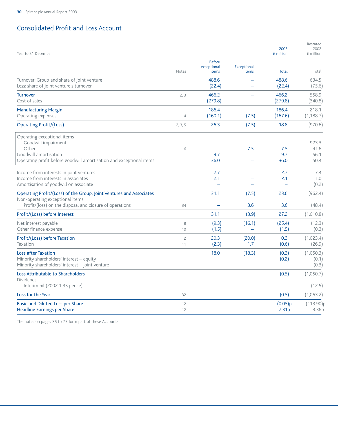## Consolidated Profit and Loss Account

| Year to 31 December                                                                                                                                               |                      |                                       |                                                             | 2003<br>£ million                      | Restated<br>2002<br>£ million |
|-------------------------------------------------------------------------------------------------------------------------------------------------------------------|----------------------|---------------------------------------|-------------------------------------------------------------|----------------------------------------|-------------------------------|
|                                                                                                                                                                   | Notes                | <b>Before</b><br>exceptional<br>items | Exceptional<br>items                                        | Total                                  | Total                         |
| Turnover: Group and share of joint venture<br>Less: share of joint venture's turnover                                                                             |                      | 488.6<br>(22.4)                       |                                                             | 488.6<br>(22.4)                        | 634.5<br>(75.6)               |
| <b>Turnover</b><br>Cost of sales                                                                                                                                  | 2, 3                 | 466.2<br>(279.8)                      | $\overline{\phantom{0}}$<br>÷                               | 466.2<br>(279.8)                       | 558.9<br>(340.8)              |
| <b>Manufacturing Margin</b><br>Operating expenses                                                                                                                 | $\overline{4}$       | 186.4<br>(160.1)                      | $\rightarrow$<br>(7.5)                                      | 186.4<br>(167.6)                       | 218.1<br>(1, 188.7)           |
| <b>Operating Profit/(Loss)</b>                                                                                                                                    | 2, 3, 5              | 26.3                                  | (7.5)                                                       | 18.8                                   | (970.6)                       |
| Operating exceptional items<br>Goodwill impairment<br>Other<br>Goodwill amortisation<br>Operating profit before goodwill amortisation and exceptional items       | 6                    | 9.7<br>36.0                           | 7.5<br>$\overline{\phantom{0}}$<br>$\overline{\phantom{0}}$ | 7.5<br>9.7<br>36.0                     | 923.3<br>41.6<br>56.1<br>50.4 |
| Income from interests in joint ventures<br>Income from interests in associates<br>Amortisation of goodwill on associate                                           |                      | 2.7<br>2.1                            |                                                             | 2.7<br>2.1<br>$\overline{\phantom{0}}$ | 7.4<br>1.0<br>(0.2)           |
| Operating Profit/(Loss) of the Group, Joint Ventures and Associates<br>Non-operating exceptional items<br>Profit/(loss) on the disposal and closure of operations | 34                   | 31.1                                  | (7.5)<br>3.6                                                | 23.6<br>3.6                            | (962.4)<br>(48.4)             |
| Profit/(Loss) before Interest                                                                                                                                     |                      | 31.1                                  | (3.9)                                                       | 27.2                                   | (1,010.8)                     |
| Net interest payable<br>Other finance expense                                                                                                                     | 8<br>10              | (9.3)<br>(1.5)                        | (16.1)                                                      | (25.4)<br>(1.5)                        | (12.3)<br>(0.3)               |
| Profit/(Loss) before Taxation<br><b>Taxation</b>                                                                                                                  | $\overline{c}$<br>11 | 20.3<br>(2.3)                         | (20.0)<br>1.7                                               | 0.3<br>(0.6)                           | (1,023.4)<br>(26.9)           |
| <b>Loss after Taxation</b><br>Minority shareholders' interest - equity<br>Minority shareholders' interest - joint venture                                         |                      | 18.0                                  | (18.3)                                                      | (0.3)<br>(0.2)<br>$\equiv$             | (1,050.3)<br>(0.1)<br>(0.3)   |
| Loss Attributable to Shareholders<br><b>Dividends</b><br>Interim nil (2002 1.35 pence)                                                                            |                      |                                       |                                                             | (0.5)<br>$\overline{\phantom{0}}$      | (1,050.7)<br>(12.5)           |
| Loss for the Year                                                                                                                                                 | 32                   |                                       |                                                             | (0.5)                                  | (1,063.2)                     |
| <b>Basic and Diluted Loss per Share</b><br><b>Headline Earnings per Share</b>                                                                                     | 12<br>12             |                                       |                                                             | (0.05)p<br>2.31 <sub>p</sub>           | (113.90)p<br>3.36p            |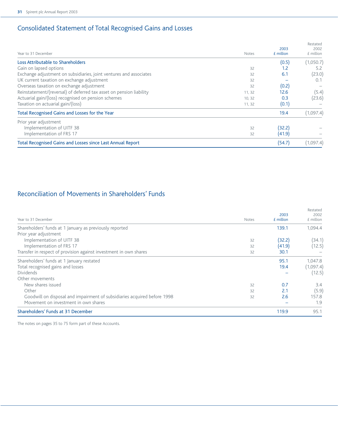# Consolidated Statement of Total Recognised Gains and Losses

|                                                                     |              | 2003        | Restated<br>2002 |
|---------------------------------------------------------------------|--------------|-------------|------------------|
| Year to 31 December                                                 | <b>Notes</b> | $f$ million | £ million        |
| Loss Attributable to Shareholders                                   |              | (0.5)       | (1,050.7)        |
| Gain on lapsed options                                              | 32           | 1.2         | 5.2              |
| Exchange adjustment on subsidiaries, joint ventures and associates  | 32           | 6.1         | (23.0)           |
| UK current taxation on exchange adjustment                          | 32           |             | 0.1              |
| Overseas taxation on exchange adjustment                            | 32           | (0.2)       |                  |
| Reinstatement/(reversal) of deferred tax asset on pension liability | 11, 32       | 12.6        | (5.4)            |
| Actuarial gain/(loss) recognised on pension schemes                 | 10, 32       | 0.3         | (23.6)           |
| Taxation on actuarial gain/(loss)                                   | 11, 32       | (0.1)       |                  |
| Total Recognised Gains and Losses for the Year                      |              | 19.4        | (1,097.4)        |
| Prior year adjustment                                               |              |             |                  |
| Implementation of UITF 38                                           | 32           | (32.2)      |                  |
| Implementation of FRS 17                                            | 32           | (41.9)      |                  |
| Total Recognised Gains and Losses since Last Annual Report          |              | (54.7)      | (1,097.4)        |

# Reconciliation of Movements in Shareholders' Funds

| Year to 31 December                                                      | Notes | 2003<br>£ million | Restated<br>2002<br>£ million |
|--------------------------------------------------------------------------|-------|-------------------|-------------------------------|
| Shareholders' funds at 1 January as previously reported                  |       | 139.1             | 1.094.4                       |
| Prior year adjustment                                                    |       |                   |                               |
| Implementation of UITF 38                                                | 32    | (32.2)            | (34.1)                        |
| Implementation of FRS 17                                                 | 32    | (41.9)            | (12.5)                        |
| Transfer in respect of provision against investment in own shares        | 32    | 30.1              |                               |
| Shareholders' funds at 1 January restated                                |       | 95.1              | 1.047.8                       |
| Total recognised gains and losses                                        |       | 19.4              | (1,097.4)                     |
| <b>Dividends</b>                                                         |       |                   | (12.5)                        |
| Other movements                                                          |       |                   |                               |
| New shares issued                                                        | 32    | 0.7               | 3.4                           |
| Other                                                                    | 32    | 2.1               | (5.9)                         |
| Goodwill on disposal and impairment of subsidiaries acquired before 1998 | 32    | 2.6               | 157.8                         |
| Movement on investment in own shares                                     |       |                   | 1.9                           |
| Shareholders' Funds at 31 December                                       |       | 119.9             | 95.1                          |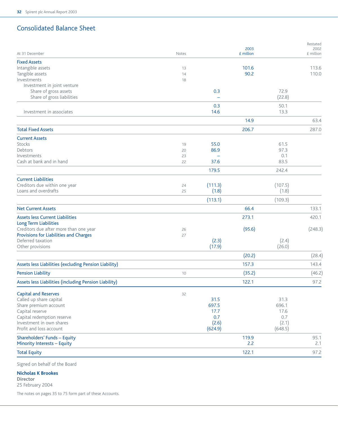# Consolidated Balance Sheet

| At 31 December                                              | Notes |         | £ million |         | £ million |
|-------------------------------------------------------------|-------|---------|-----------|---------|-----------|
| <b>Fixed Assets</b>                                         |       |         |           |         |           |
| Intangible assets                                           | 13    |         | 101.6     |         | 113.6     |
| Tangible assets                                             | 14    |         | 90.2      |         | 110.0     |
| Investments                                                 | 18    |         |           |         |           |
| Investment in joint venture                                 |       |         |           |         |           |
| Share of gross assets                                       |       | 0.3     |           | 72.9    |           |
| Share of gross liabilities                                  |       |         |           | (22.8)  |           |
|                                                             |       | 0.3     |           | 50.1    |           |
| Investment in associates                                    |       | 14.6    |           | 13.3    |           |
|                                                             |       |         | 14.9      |         | 63.4      |
| <b>Total Fixed Assets</b>                                   |       |         | 206.7     |         | 287.0     |
| <b>Current Assets</b>                                       |       |         |           |         |           |
| Stocks                                                      | 19    | 55.0    |           | 61.5    |           |
| Debtors                                                     | 20    | 86.9    |           | 97.3    |           |
| Investments                                                 | 23    |         |           | 0.1     |           |
| Cash at bank and in hand                                    | 22    | 37.6    |           | 83.5    |           |
|                                                             |       | 179.5   |           | 242.4   |           |
| <b>Current Liabilities</b>                                  |       |         |           |         |           |
| Creditors due within one year                               | 24    | (111.3) |           | (107.5) |           |
| Loans and overdrafts                                        | 25    | (1.8)   |           | (1.8)   |           |
|                                                             |       | (113.1) |           | (109.3) |           |
| <b>Net Current Assets</b>                                   |       |         | 66.4      |         | 133.1     |
| <b>Assets less Current Liabilities</b>                      |       |         | 273.1     |         | 420.1     |
| Long Term Liabilities                                       |       |         |           |         |           |
| Creditors due after more than one year                      | 26    |         | (95.6)    |         | (248.3)   |
| Provisions for Liabilities and Charges<br>Deferred taxation | 27    | (2.3)   |           | (2.4)   |           |
| Other provisions                                            |       | (17.9)  |           | (26.0)  |           |
|                                                             |       |         | (20.2)    |         | (28.4)    |
| Assets less Liabilities (excluding Pension Liability)       |       |         | 157.3     |         | 143.4     |
| <b>Pension Liability</b>                                    | 10    |         | (35.2)    |         | (46.2)    |
| Assets less Liabilities (including Pension Liability)       |       |         | 122.1     |         | 97.2      |
| <b>Capital and Reserves</b>                                 | 32    |         |           |         |           |
| Called up share capital                                     |       | 31.5    |           | 31.3    |           |
| Share premium account                                       |       | 697.5   |           | 696.1   |           |
| Capital reserve                                             |       | 11.7    |           | 17.6    |           |
| Capital redemption reserve                                  |       | 0.7     |           | 0.7     |           |
| Investment in own shares                                    |       | (2.6)   |           | (2.1)   |           |
| Profit and loss account                                     |       | (624.9) |           | (648.5) |           |
| Shareholders' Funds - Equity                                |       |         | 119.9     |         | 95.1      |
| Minority Interests - Equity                                 |       |         | 2.2       |         | 2.1       |
| <b>Total Equity</b>                                         |       |         | 122.1     |         | 97.2      |

Signed on behalf of the Board

## **Nicholas K Brookes**

**Director**

25 February 2004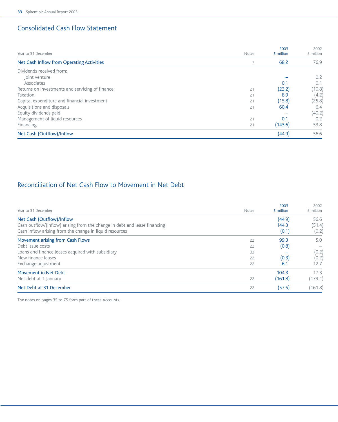# Consolidated Cash Flow Statement

| Year to 31 December                             | Notes | 2003<br>£ million | 2002<br>£ million |
|-------------------------------------------------|-------|-------------------|-------------------|
| Net Cash Inflow from Operating Activities       |       | 68.2              | 76.9              |
| Dividends received from:                        |       |                   |                   |
| Joint venture                                   |       |                   | 0.2               |
| Associates                                      |       | 0.1               | 0.1               |
| Returns on investments and servicing of finance | 21    | (23.2)            | (10.8)            |
| Taxation                                        | 21    | 8.9               | (4.2)             |
| Capital expenditure and financial investment    | 21    | (15.8)            | (25.8)            |
| Acquisitions and disposals                      | 21    | 60.4              | 6.4               |
| Equity dividends paid                           |       |                   | (40.2)            |
| Management of liquid resources                  | 21    | 0.1               | 0.2               |
| Financing                                       | 21    | (143.6)           | 53.8              |
| Net Cash (Outflow)/Inflow                       |       | (44.9)            | 56.6              |

# Reconciliation of Net Cash Flow to Movement in Net Debt

| Year to 31 December                                                                                                                  | Notes | 2003<br>£ million | 2002<br>£ million |
|--------------------------------------------------------------------------------------------------------------------------------------|-------|-------------------|-------------------|
| Net Cash (Outflow)/Inflow                                                                                                            |       | (44.9)            | 56.6              |
| Cash outflow/(inflow) arising from the change in debt and lease financing<br>Cash inflow arising from the change in liquid resources |       | 144.3<br>(0.1)    | (51.4)<br>(0.2)   |
| Movement arising from Cash Flows                                                                                                     | 22    | 99.3              | 5.0               |
| Debt issue costs                                                                                                                     | 22    | (0.8)             |                   |
| Loans and finance leases acquired with subsidiary                                                                                    | 33    |                   | (0.2)             |
| New finance leases                                                                                                                   | 22    | (0.3)             | (0.2)             |
| Exchange adjustment                                                                                                                  | 22    | 6.1               | 12.7              |
| Movement in Net Debt                                                                                                                 |       | 104.3             | 17.3              |
| Net debt at 1 January                                                                                                                | 22    | (161.8)           | (179.1)           |
| Net Debt at 31 December                                                                                                              | 22    | (57.5)            | (161.8)           |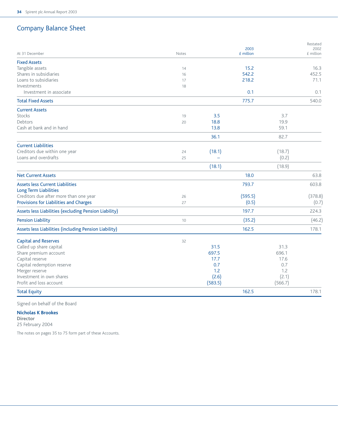# Company Balance Sheet

|                                                       |       |         | 2003      |         | Restated<br>2002 |
|-------------------------------------------------------|-------|---------|-----------|---------|------------------|
| At 31 December                                        | Notes |         | £ million |         | £ million        |
| <b>Fixed Assets</b>                                   |       |         |           |         |                  |
| Tangible assets                                       | 14    |         | 15.2      |         | 16.3             |
| Shares in subsidiaries                                | 16    |         | 542.2     |         | 452.5            |
| Loans to subsidiaries                                 | 17    |         | 218.2     |         | 71.1             |
| Investments                                           | 18    |         |           |         |                  |
| Investment in associate                               |       |         | 0.1       |         | 0.1              |
| <b>Total Fixed Assets</b>                             |       |         | 775.7     |         | 540.0            |
| <b>Current Assets</b>                                 |       |         |           |         |                  |
| Stocks                                                | 19    | 3.5     |           | 3.7     |                  |
| Debtors                                               | 20    | 18.8    |           | 19.9    |                  |
| Cash at bank and in hand                              |       | 13.8    |           | 59.1    |                  |
|                                                       |       | 36.1    |           | 82.7    |                  |
| <b>Current Liabilities</b>                            |       |         |           |         |                  |
| Creditors due within one year                         | 24    | (18.1)  |           | (18.7)  |                  |
| Loans and overdrafts                                  | 25    |         |           | (0.2)   |                  |
|                                                       |       | (18.1)  |           | (18.9)  |                  |
| <b>Net Current Assets</b>                             |       |         | 18.0      |         | 63.8             |
| <b>Assets less Current Liabilities</b>                |       |         | 793.7     |         | 603.8            |
| <b>Long Term Liabilities</b>                          |       |         |           |         |                  |
| Creditors due after more than one year                | 26    |         | (595.5)   |         | (378.8)          |
| Provisions for Liabilities and Charges                | 27    |         | (0.5)     |         | (0.7)            |
| Assets less Liabilities (excluding Pension Liability) |       |         | 197.7     |         | 224.3            |
| <b>Pension Liability</b>                              | 10    |         | (35.2)    |         | (46.2)           |
| Assets less Liabilities (including Pension Liability) |       |         | 162.5     |         | 178.1            |
| <b>Capital and Reserves</b>                           | 32    |         |           |         |                  |
| Called up share capital                               |       | 31.5    |           | 31.3    |                  |
| Share premium account                                 |       | 697.5   |           | 696.1   |                  |
| Capital reserve                                       |       | 17.7    |           | 17.6    |                  |
| Capital redemption reserve                            |       | 0.7     |           | 0.7     |                  |
| Merger reserve                                        |       | 1.2     |           | 1.2     |                  |
| Investment in own shares                              |       | (2.6)   |           | (2.1)   |                  |
| Profit and loss account                               |       | (583.5) |           | (566.7) |                  |
| <b>Total Equity</b>                                   |       |         | 162.5     |         | 178.1            |

Signed on behalf of the Board

## **Nicholas K Brookes**

**Director** 25 February 2004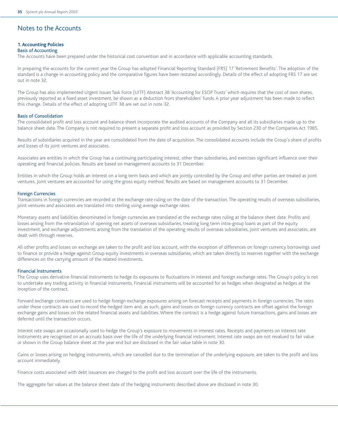## Notes to the Accounts

#### **1. Accounting Policies**

#### Basis of Accounting

The Accounts have been prepared under the historical cost convention and in accordance with applicable accounting standards.

In preparing the accounts for the current year the Group has adopted Financial Reporting Standard (FRS) 17 'Retirement Benefits'. The adoption of the standard is a change in accounting policy and the comparative figures have been restated accordingly. Details of the effect of adopting FRS 17 are set out in note 32.

The Group has also implemented Urgent Issues Task Force (UITF) Abstract 38 'Accounting for ESOP Trusts' which requires that the cost of own shares, previously reported as a fixed asset investment, be shown as a deduction from shareholders' funds. A prior year adjustment has been made to reflect this change. Details of the effect of adopting UITF 38 are set out in note 32.

#### Basis of Consolidation

The consolidated profit and loss account and balance sheet incorporate the audited accounts of the Company and all its subsidiaries made up to the balance sheet date. The Company is not required to present a separate profit and loss account as provided by Section 230 of the Companies Act 1985.

Results of subsidiaries acquired in the year are consolidated from the date of acquisition. The consolidated accounts include the Group's share of profits and losses of its joint ventures and associates.

Associates are entities in which the Group has a continuing participating interest, other than subsidiaries, and exercises significant influence over their operating and financial policies. Results are based on management accounts to 31 December.

Entities in which the Group holds an interest on a long term basis and which are jointly controlled by the Group and other parties are treated as joint ventures. Joint ventures are accounted for using the gross equity method. Results are based on management accounts to 31 December.

#### Foreign Currencies

Transactions in foreign currencies are recorded at the exchange rate ruling on the date of the transaction. The operating results of overseas subsidiaries, joint ventures and associates are translated into sterling using average exchange rates.

Monetary assets and liabilities denominated in foreign currencies are translated at the exchange rates ruling at the balance sheet date. Profits and losses arising from the retranslation of opening net assets of overseas subsidiaries, treating long term intra-group loans as part of the equity investment, and exchange adjustments arising from the translation of the operating results of overseas subsidiaries, joint ventures and associates, are dealt with through reserves.

All other profits and losses on exchange are taken to the profit and loss account, with the exception of differences on foreign currency borrowings used to finance or provide a hedge against Group equity investments in overseas subsidiaries, which are taken directly to reserves together with the exchange differences on the carrying amount of the related investments.

#### Financial Instruments

The Group uses derivative financial instruments to hedge its exposures to fluctuations in interest and foreign exchange rates. The Group's policy is not to undertake any trading activity in financial instruments. Financial instruments will be accounted for as hedges when designated as hedges at the inception of the contract.

Forward exchange contracts are used to hedge foreign exchange exposures arising on forecast receipts and payments in foreign currencies. The rates under these contracts are used to record the hedged item and, as such, gains and losses on foreign currency contracts are offset against the foreign exchange gains and losses on the related financial assets and liabilities. Where the contract is a hedge against future transactions, gains and losses are deferred until the transaction occurs.

Interest rate swaps are occasionally used to hedge the Group's exposure to movements in interest rates. Receipts and payments on interest rate instruments are recognised on an accruals basis over the life of the underlying financial instrument. Interest rate swaps are not revalued to fair value or shown in the Group balance sheet at the year end but are disclosed in the fair value table in note 30.

Gains or losses arising on hedging instruments, which are cancelled due to the termination of the underlying exposure, are taken to the profit and loss account immediately.

Finance costs associated with debt issuances are charged to the profit and loss account over the life of the instruments.

The aggregate fair values at the balance sheet date of the hedging instruments described above are disclosed in note 30.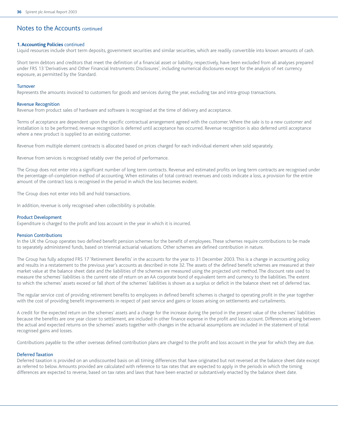#### **1. Accounting Policies** continued

Liquid resources include short term deposits, government securities and similar securities, which are readily convertible into known amounts of cash.

Short term debtors and creditors that meet the definition of a financial asset or liability, respectively, have been excluded from all analyses prepared under FRS 13 'Derivatives and Other Financial Instruments: Disclosures', including numerical disclosures except for the analysis of net currency exposure, as permitted by the Standard.

#### **Turnover**

Represents the amounts invoiced to customers for goods and services during the year, excluding tax and intra-group transactions.

#### Revenue Recognition

Revenue from product sales of hardware and software is recognised at the time of delivery and acceptance.

Terms of acceptance are dependent upon the specific contractual arrangement agreed with the customer. Where the sale is to a new customer and installation is to be performed, revenue recognition is deferred until acceptance has occurred. Revenue recognition is also deferred until acceptance where a new product is supplied to an existing customer.

Revenue from multiple element contracts is allocated based on prices charged for each individual element when sold separately.

Revenue from services is recognised ratably over the period of performance.

The Group does not enter into a significant number of long term contracts. Revenue and estimated profits on long term contracts are recognised under the percentage-of-completion method of accounting. When estimates of total contract revenues and costs indicate a loss, a provision for the entire amount of the contract loss is recognised in the period in which the loss becomes evident.

The Group does not enter into bill and hold transactions.

In addition, revenue is only recognised when collectibility is probable.

#### Product Development

Expenditure is charged to the profit and loss account in the year in which it is incurred.

#### Pension Contributions

In the UK the Group operates two defined benefit pension schemes for the benefit of employees. These schemes require contributions to be made to separately administered funds, based on triennial actuarial valuations. Other schemes are defined contribution in nature.

The Group has fully adopted FRS 17 'Retirement Benefits' in the accounts for the year to 31 December 2003. This is a change in accounting policy and results in a restatement to the previous year's accounts as described in note 32. The assets of the defined benefit schemes are measured at their market value at the balance sheet date and the liabilities of the schemes are measured using the projected unit method. The discount rate used to measure the schemes' liabilities is the current rate of return on an AA corporate bond of equivalent term and currency to the liabilities. The extent to which the schemes' assets exceed or fall short of the schemes' liabilities is shown as a surplus or deficit in the balance sheet net of deferred tax.

The regular service cost of providing retirement benefits to employees in defined benefit schemes is charged to operating profit in the year together with the cost of providing benefit improvements in respect of past service and gains or losses arising on settlements and curtailments.

A credit for the expected return on the schemes' assets and a charge for the increase during the period in the present value of the schemes' liabilities because the benefits are one year closer to settlement, are included in other finance expense in the profit and loss account. Differences arising between the actual and expected returns on the schemes' assets together with changes in the actuarial assumptions are included in the statement of total recognised gains and losses.

Contributions payable to the other overseas defined contribution plans are charged to the profit and loss account in the year for which they are due.

#### Deferred Taxation

Deferred taxation is provided on an undiscounted basis on all timing differences that have originated but not reversed at the balance sheet date except as referred to below. Amounts provided are calculated with reference to tax rates that are expected to apply in the periods in which the timing differences are expected to reverse, based on tax rates and laws that have been enacted or substantively enacted by the balance sheet date.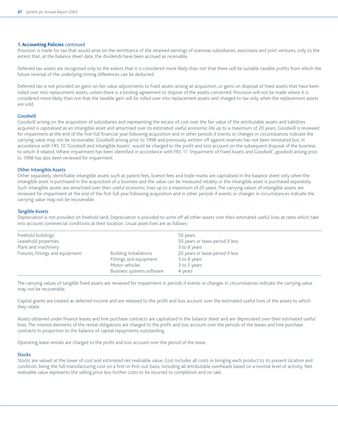#### **1. Accounting Policies** continued

Provision is made for tax that would arise on the remittance of the retained earnings of overseas subsidiaries, associates and joint ventures, only to the extent that, at the balance sheet date, the dividends have been accrued as receivable.

Deferred tax assets are recognised only to the extent that it is considered more likely than not that there will be suitable taxable profits from which the future reversal of the underlying timing differences can be deducted.

Deferred tax is not provided on gains on fair value adjustments to fixed assets arising at acquisition, or gains on disposal of fixed assets that have been rolled over into replacement assets, unless there is a binding agreement to dispose of the assets concerned. Provision will not be made where it is considered more likely than not that the taxable gain will be rolled over into replacement assets and charged to tax only when the replacement assets are sold.

#### Goodwill

Goodwill arising on the acquisition of subsidiaries and representing the excess of cost over the fair value of the attributable assets and liabilities acquired is capitalised as an intangible asset and amortised over its estimated useful economic life up to a maximum of 20 years. Goodwill is reviewed for impairment at the end of the first full financial year following acquisition and in other periods if events or changes in circumstances indicate the carrying value may not be recoverable. Goodwill arising prior to 1998 and previously written off against reserves has not been reinstated but, in accordance with FRS 10 'Goodwill and Intangible Assets', would be charged to the profit and loss account on the subsequent disposal of the business to which it related. Where impairment has been identified in accordance with FRS 11 'Impairment of Fixed Assets and Goodwill', goodwill arising prior to 1998 has also been reviewed for impairment.

#### Other Intangible Assets

Other separately identifiable intangible assets such as patent fees, licence fees and trade marks are capitalised in the balance sheet only when the intangible asset is purchased in the acquisition of a business and the value can be measured reliably or the intangible asset is purchased separately. Such intangible assets are amortised over their useful economic lives up to a maximum of 20 years. The carrying values of intangible assets are reviewed for impairment at the end of the first full year following acquisition and in other periods if events or changes in circumstances indicate the carrying value may not be recoverable.

#### Tangible Assets

Depreciation is not provided on freehold land. Depreciation is provided to write off all other assets over their estimated useful lives at rates which take into account commercial conditions at their location. Usual asset lives are as follows:

| Freehold buildings                |                           | 50 years                         |
|-----------------------------------|---------------------------|----------------------------------|
| Leasehold properties              |                           | 50 years or lease period if less |
| Plant and machinery               |                           | 3 to 8 years                     |
| Fixtures, fittings and equipment: | Building installations    | 20 years or lease period if less |
|                                   | Fittings and equipment    | 3 to 8 years                     |
|                                   | Motor vehicles            | 3 to 5 years                     |
|                                   | Business systems software | 4 years                          |

The carrying values of tangible fixed assets are reviewed for impairment in periods if events or changes in circumstances indicate the carrying value may not be recoverable.

Capital grants are treated as deferred income and are released to the profit and loss account over the estimated useful lives of the assets to which they relate.

Assets obtained under finance leases and hire purchase contracts are capitalised in the balance sheet and are depreciated over their estimated useful lives. The interest elements of the rental obligations are charged to the profit and loss account over the periods of the leases and hire purchase contracts in proportion to the balance of capital repayments outstanding.

Operating lease rentals are charged to the profit and loss account over the period of the lease.

#### **Stocks**

Stocks are valued at the lower of cost and estimated net realisable value. Cost includes all costs in bringing each product to its present location and condition, being the full manufacturing cost on a first-in-first-out basis, including all attributable overheads based on a normal level of activity. Net realisable value represents the selling price less further costs to be incurred to completion and on sale.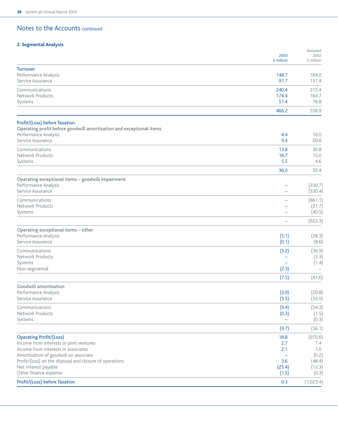## **2. Segmental Analysis**

|                                                                     |            | Restated     |
|---------------------------------------------------------------------|------------|--------------|
|                                                                     | 2003       | 2002         |
|                                                                     | £ million  | £ million    |
| <b>Turnover</b>                                                     |            |              |
| Performance Analysis                                                | 148.7      | 184.0        |
| Service Assurance                                                   | 91.7       | 131.4        |
| Communications                                                      | 240.4      | 315.4        |
| Network Products                                                    | 174.4      | 164.7        |
| Systems                                                             | 51.4       | 78.8         |
|                                                                     | 466.2      | 558.9        |
|                                                                     |            |              |
| Profit/(Loss) before Taxation                                       |            |              |
| Operating profit before goodwill amortisation and exceptional items |            |              |
| Performance Analysis<br>Service Assurance                           | 4.4<br>9.4 | 10.0<br>20.8 |
|                                                                     |            |              |
| Communications                                                      | 13.8       | 30.8         |
| Network Products                                                    | 16.7       | 15.0         |
| Systems                                                             | 5.5        | 4.6          |
|                                                                     | 36.0       | 50.4         |
| Operating exceptional items - goodwill impairment                   |            |              |
| Performance Analysis                                                |            | (330.7)      |
| Service Assurance                                                   | <u>—</u>   | (530.4)      |
| Communications                                                      |            | (861.1)      |
| <b>Network Products</b>                                             |            | (21.7)       |
| Systems                                                             | -          | (40.5)       |
|                                                                     |            |              |
|                                                                     |            | (923.3)      |
| Operating exceptional items - other                                 |            |              |
| Performance Analysis                                                | (5.1)      | (28.3)       |
| Service Assurance                                                   | (0.1)      | (8.6)        |
| Communications                                                      | (5.2)      | (36.9)       |
| <b>Network Products</b>                                             |            | (3.3)        |
| Systems                                                             |            | (1.4)        |
| Non-segmental                                                       | (2.3)      |              |
|                                                                     | (7.5)      | (41.6)       |
|                                                                     |            |              |
| Goodwill amortisation<br>Performance Analysis                       | (3.9)      | (20.8)       |
| Service Assurance                                                   | (5.5)      | (33.5)       |
|                                                                     |            |              |
| Communications                                                      | (9.4)      | (54.3)       |
| <b>Network Products</b>                                             | (0.3)      | (1.5)        |
| Systems                                                             |            | (0.3)        |
|                                                                     | (9.7)      | (56.1)       |
| <b>Operating Profit/(Loss)</b>                                      | 18.8       | (970.6)      |
| Income from interests in joint ventures                             | 2.7        | 7.4          |
| Income from interests in associates                                 | 2.1        | 1.0          |
| Amortisation of goodwill on associate                               |            | (0.2)        |
| Profit/(loss) on the disposal and closure of operations             | 3.6        | (48.4)       |
| Net interest payable                                                | (25.4)     | (12.3)       |
| Other finance expense                                               | (1.5)      | (0.3)        |
| Profit/(Loss) before Taxation                                       | 0.3        | (1,023.4)    |
|                                                                     |            |              |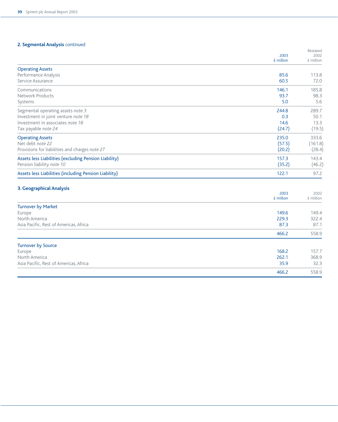## **2. Segmental Analysis** continued

|                                                       | 2003              | Restated<br>2002  |
|-------------------------------------------------------|-------------------|-------------------|
|                                                       | $E$ million       | £ million         |
| <b>Operating Assets</b>                               |                   |                   |
| Performance Analysis                                  | 85.6              | 113.8             |
| Service Assurance                                     | 60.5              | 72.0              |
| Communications                                        | 146.1             | 185.8             |
| Network Products                                      | 93.7              | 98.3              |
| Systems                                               | 5.0               | 5.6               |
| Segmental operating assets note 3                     | 244.8             | 289.7             |
| Investment in joint venture note 18                   | 0.3               | 50.1              |
| Investment in associates note 18                      | 14.6              | 13.3              |
| Tax payable note 24                                   | (24.7)            | (19.5)            |
| <b>Operating Assets</b>                               | 235.0             | 333.6             |
| Net debt note 22                                      | (57.5)            | (161.8)           |
| Provisions for liabilities and charges note 27        | (20.2)            | (28.4)            |
| Assets less Liabilities (excluding Pension Liability) | 157.3             | 143.4             |
| Pension liability note 10                             | (35.2)            | (46.2)            |
| Assets less Liabilities (including Pension Liability) | 122.1             | 97.2              |
| 3. Geographical Analysis                              |                   |                   |
|                                                       | 2003<br>£ million | 2002<br>£ million |
|                                                       |                   |                   |
| <b>Turnover by Market</b>                             | 149.6             | 149.4             |
| Europe<br>North America                               | 229.3             | 322.4             |
| Asia Pacific, Rest of Americas, Africa                | 87.3              | 87.1              |
|                                                       |                   |                   |
|                                                       | 466.2             | 558.9             |
| <b>Turnover by Source</b>                             |                   |                   |
| Europe                                                | 168.2             | 157.7             |

North America 262.1 368.9 Asia Pacific, Rest of Americas, Africa 32.3 32.3

466.2 558.9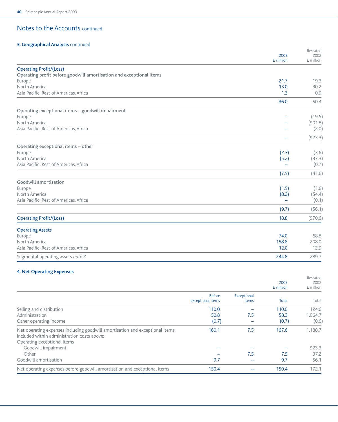## **3. Geographical Analysis** continued

|                                                                     | 2003<br>£ million        | Restated<br>2002<br>£ million |
|---------------------------------------------------------------------|--------------------------|-------------------------------|
| <b>Operating Profit/(Loss)</b>                                      |                          |                               |
| Operating profit before goodwill amortisation and exceptional items |                          |                               |
| Europe                                                              | 21.7                     | 19.3                          |
| North America                                                       | 13.0                     | 30.2                          |
| Asia Pacific, Rest of Americas, Africa                              | 1.3                      | 0.9                           |
|                                                                     | 36.0                     | 50.4                          |
| Operating exceptional items - goodwill impairment                   |                          |                               |
| Europe                                                              |                          | (19.5)                        |
| North America                                                       |                          | (901.8)                       |
| Asia Pacific, Rest of Americas, Africa                              |                          | (2.0)                         |
|                                                                     | $\overline{\phantom{0}}$ | (923.3)                       |
| Operating exceptional items - other                                 |                          |                               |
| Europe                                                              | (2.3)                    | (3.6)                         |
| North America                                                       | (5.2)                    | (37.3)                        |
| Asia Pacific, Rest of Americas, Africa                              |                          | (0.7)                         |
|                                                                     | (7.5)                    | (41.6)                        |
| Goodwill amortisation                                               |                          |                               |
| Europe                                                              | (1.5)                    | (1.6)                         |
| North America                                                       | (8.2)                    | (54.4)                        |
| Asia Pacific, Rest of Americas, Africa                              |                          | (0.1)                         |
|                                                                     | (9.7)                    | (56.1)                        |
| <b>Operating Profit/(Loss)</b>                                      | 18.8                     | (970.6)                       |
| <b>Operating Assets</b>                                             |                          |                               |
| Europe                                                              | 74.0                     | 68.8                          |
| North America                                                       | 158.8                    | 208.0                         |
| Asia Pacific, Rest of Americas, Africa                              | 12.0                     | 12.9                          |
| Segmental operating assets note 2                                   | 244.8                    | 289.7                         |

### **4. Net Operating Expenses**

|                                                                                                                             |                                    |                      | 2003<br>£ million | Restated<br>2002<br>£ million |
|-----------------------------------------------------------------------------------------------------------------------------|------------------------------------|----------------------|-------------------|-------------------------------|
|                                                                                                                             | <b>Before</b><br>exceptional items | Exceptional<br>items | Total             | Total                         |
| Selling and distribution                                                                                                    | 110.0                              |                      | 110.0             | 124.6                         |
| Administration                                                                                                              | 50.8                               | 7.5                  | 58.3              | 1.064.7                       |
| Other operating income                                                                                                      | (0.7)                              |                      | (0.7)             | (0.6)                         |
| Net operating expenses including goodwill amortisation and exceptional items<br>Included within administration costs above: | 160.1                              | 7.5                  | 167.6             | 1.188.7                       |
| Operating exceptional items                                                                                                 |                                    |                      |                   |                               |
| Goodwill impairment                                                                                                         |                                    |                      |                   | 923.3                         |
| Other                                                                                                                       |                                    | 7.5                  | 7.5               | 37.2                          |
| Goodwill amortisation                                                                                                       | 9.7                                |                      | 9.7               | 56.1                          |
| Net operating expenses before goodwill amortisation and exceptional items                                                   | 150.4                              |                      | 150.4             | 172.1                         |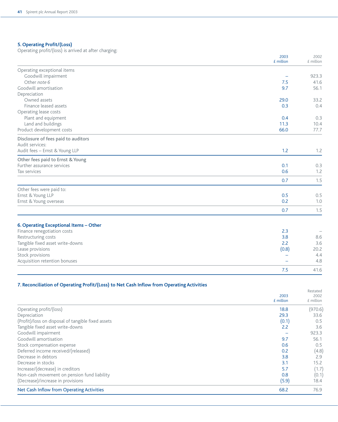## **5. Operating Profit/(Loss)**

Operating profit/(loss) is arrived at after charging:

|                                        | 2003<br>$E$ million | 2002<br>£ million |
|----------------------------------------|---------------------|-------------------|
| Operating exceptional items            |                     |                   |
| Goodwill impairment                    |                     | 923.3             |
| Other note 6                           | 7.5                 | 41.6              |
| Goodwill amortisation                  | 9.7                 | 56.1              |
| Depreciation                           |                     |                   |
| Owned assets                           | 29.0                | 33.2              |
| Finance leased assets                  | 0.3                 | 0.4               |
| Operating lease costs                  |                     |                   |
| Plant and equipment                    | 0.4                 | 0.3               |
| Land and buildings                     | 11.3                | 10.4              |
| Product development costs              | 66.0                | 77.7              |
| Disclosure of fees paid to auditors    |                     |                   |
| Audit services:                        |                     |                   |
| Audit fees - Ernst & Young LLP         | 1.2                 | 1.2               |
| Other fees paid to Ernst & Young       |                     |                   |
| Further assurance services             | 0.1                 | 0.3               |
| Tax services                           | 0.6                 | 1.2               |
|                                        | 0.7                 | 1.5               |
| Other fees were paid to:               |                     |                   |
| Ernst & Young LLP                      | 0.5                 | 0.5               |
| Ernst & Young overseas                 | 0.2                 | 1.0               |
|                                        | 0.7                 | 1.5               |
| 6. Operating Exceptional Items - Other |                     |                   |
| Finance renegotiation costs            | 2.3                 |                   |
| Restructuring costs                    | 3.8                 | 8.6               |
| Tangible fixed asset write-downs       | 2.2                 | 3.6               |
| Lease provisions                       | (0.8)               | 20.2              |
| Stock provisions                       |                     | 4.4               |
| Acquisition retention bonuses          |                     | 4.8               |
|                                        | 7.5                 | 41.6              |

### **7. Reconciliation of Operating Profit/(Loss) to Net Cash Inflow from Operating Activities**

|                                                    | 2003<br>£ million | Restated<br>2002<br>£ million |
|----------------------------------------------------|-------------------|-------------------------------|
| Operating profit/(loss)                            | 18.8              | (970.6)                       |
| Depreciation                                       | 29.3              | 33.6                          |
| (Profit)/loss on disposal of tangible fixed assets | (0.1)             | 0.5                           |
| Tangible fixed asset write-downs                   | 2.2               | 3.6                           |
| Goodwill impairment                                |                   | 923.3                         |
| Goodwill amortisation                              | 9.7               | 56.1                          |
| Stock compensation expense                         | 0.6               | 0.5                           |
| Deferred income received/(released)                | 0.2               | (4.8)                         |
| Decrease in debtors                                | 3.8               | 2.9                           |
| Decrease in stocks                                 | 3.1               | 15.2                          |
| Increase/(decrease) in creditors                   | 5.7               | (1.7)                         |
| Non-cash movement on pension fund liability        | 0.8               | (0.1)                         |
| (Decrease)/increase in provisions                  | (5.9)             | 18.4                          |
| Net Cash Inflow from Operating Activities          | 68.2              | 76.9                          |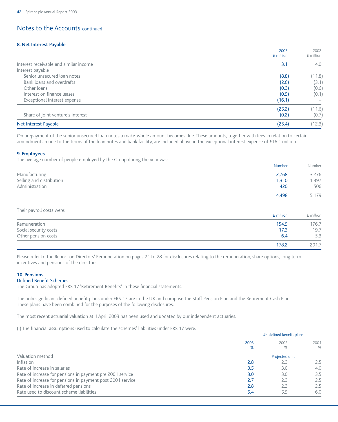#### **8. Net Interest Payable**

|                                        | 2003<br>£ million | 2002<br>£ million |
|----------------------------------------|-------------------|-------------------|
| Interest receivable and similar income | 3.1               | 4.0               |
| Interest payable                       |                   |                   |
| Senior unsecured loan notes            | (8.8)             | (11.8)            |
| Bank loans and overdrafts              | (2.6)             | (3.1)             |
| Other loans                            | (0.3)             | (0.6)             |
| Interest on finance leases             | (0.5)             | (0.1)             |
| Exceptional interest expense           | (16.1)            |                   |
|                                        | (25.2)            | (11.6)            |
| Share of joint venture's interest      | (0.2)             | (0.7)             |
| Net Interest Payable                   | (25.4)            | (12.3)            |

On prepayment of the senior unsecured loan notes a make-whole amount becomes due. These amounts, together with fees in relation to certain amendments made to the terms of the loan notes and bank facility, are included above in the exceptional interest expense of £16.1 million.

#### **9. Employees**

The average number of people employed by the Group during the year was:

|                          | <b>Number</b> | Number |
|--------------------------|---------------|--------|
| Manufacturing            | 2,768         | 3,276  |
| Selling and distribution | 1.310         | 1,397  |
| Administration           | 420           | 506    |
|                          | 4.498         | 5,179  |

Their payroll costs were:

|                       | £ million | £ million |
|-----------------------|-----------|-----------|
| Remuneration          | 154.5     | 76.7      |
| Social security costs | 17.3      | 19.7      |
| Other pension costs   | 6.4       | 5.3       |
|                       | 178.2     | 201.7     |

Please refer to the Report on Directors' Remuneration on pages 21 to 28 for disclosures relating to the remuneration, share options, long term incentives and pensions of the directors.

#### **10. Pensions**

#### Defined Benefit Schemes

The Group has adopted FRS 17 'Retirement Benefits' in these financial statements.

The only significant defined benefit plans under FRS 17 are in the UK and comprise the Staff Pension Plan and the Retirement Cash Plan. These plans have been combined for the purposes of the following disclosures.

The most recent actuarial valuation at 1 April 2003 has been used and updated by our independent actuaries.

(i) The financial assumptions used to calculate the schemes' liabilities under FRS 17 were:

|                                                            | UK defined benefit plans |                |               |  |
|------------------------------------------------------------|--------------------------|----------------|---------------|--|
|                                                            | 2003<br>2002             |                | 2001          |  |
|                                                            | %                        | %              | %             |  |
| Valuation method                                           |                          | Projected unit |               |  |
| Inflation                                                  | 2.8                      | 2.3            | $2.5^{\circ}$ |  |
| Rate of increase in salaries                               | 3.5                      | 3.0            | 4.0           |  |
| Rate of increase for pensions in payment pre 2001 service  | 3.0                      | 3.0            | 3.5           |  |
| Rate of increase for pensions in payment post 2001 service | 2.7                      | 2.3            | 2.5           |  |
| Rate of increase in deferred pensions                      | 2.8                      | 2.3            | 2.5           |  |
| Rate used to discount scheme liabilities                   | 5.4                      | 5.5            | 6.0           |  |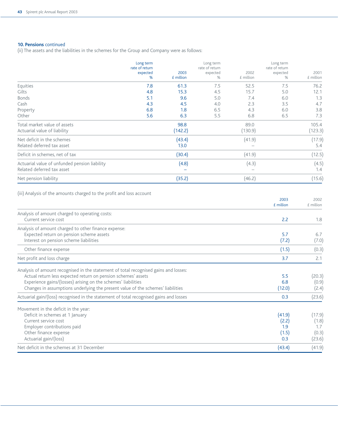### **10. Pensions** continued

(ii) The assets and the liabilities in the schemes for the Group and Company were as follows:

|                                                                             | Long term<br>rate of return<br>expected<br>% | 2003<br>£ million | Long term<br>rate of return<br>expected<br>% | 2002<br>£ million | Long term<br>rate of return<br>expected<br>% | 2001<br>£ million |
|-----------------------------------------------------------------------------|----------------------------------------------|-------------------|----------------------------------------------|-------------------|----------------------------------------------|-------------------|
| Equities                                                                    | 7.8                                          | 61.3              | 7.5                                          | 52.5              | 7.5                                          | 76.2              |
| Gilts                                                                       | 4.8                                          | 15.3              | 4.5                                          | 15.7              | 5.0                                          | 12.1              |
| <b>Bonds</b>                                                                | 5.1                                          | 9.6               | 5.0                                          | 7.4               | 6.0                                          | 1.3               |
| Cash                                                                        | 4.3                                          | 4.5               | 4.0                                          | 2.3               | 3.5                                          | 4.7               |
| Property                                                                    | 6.8                                          | 1.8               | 6.5                                          | 4.3               | 6.0                                          | 3.8               |
| Other                                                                       | 5.6                                          | 6.3               | 5.5                                          | 6.8               | 6.5                                          | 7.3               |
| Total market value of assets<br>Actuarial value of liability                |                                              | 98.8<br>(142.2)   |                                              | 89.0<br>(130.9)   |                                              | 105.4<br>(123.3)  |
| Net deficit in the schemes<br>Related deferred tax asset                    |                                              | (43.4)<br>13.0    |                                              | (41.9)            |                                              | (17.9)<br>5.4     |
| Deficit in schemes, net of tax                                              |                                              | (30.4)            |                                              | (41.9)            |                                              | (12.5)            |
| Actuarial value of unfunded pension liability<br>Related deferred tax asset |                                              | (4.8)             |                                              | (4.3)             |                                              | (4.5)<br>1.4      |
| Net pension liability                                                       |                                              | (35.2)            |                                              | (46.2)            |                                              | (15.6)            |

## (iii) Analysis of the amounts charged to the profit and loss account

|                                                                                        | 2003<br>$E$ million | 2002<br>£ million |
|----------------------------------------------------------------------------------------|---------------------|-------------------|
| Analysis of amount charged to operating costs:                                         |                     |                   |
| Current service cost                                                                   | 2.2                 | 1.8               |
| Analysis of amount charged to other finance expense:                                   |                     |                   |
| Expected return on pension scheme assets                                               | 5.7                 | 6.7               |
| Interest on pension scheme liabilities                                                 | (7.2)               | (7.0)             |
| Other finance expense                                                                  | (1.5)               | (0.3)             |
| Net profit and loss charge                                                             | 3.7                 | 2.1               |
| Analysis of amount recognised in the statement of total recognised gains and losses:   |                     |                   |
| Actual return less expected return on pension schemes' assets                          | 5.5                 | (20.3)            |
| Experience gains/(losses) arising on the schemes' liabilities                          | 6.8                 | (0.9)             |
| Changes in assumptions underlying the present value of the schemes' liabilities        | (12.0)              | (2.4)             |
| Actuarial gain/(loss) recognised in the statement of total recognised gains and losses | 0.3                 | (23.6)            |
| Movement in the deficit in the year:                                                   |                     |                   |
| Deficit in schemes at 1 January                                                        | (41.9)              | (17.9)            |
| Current service cost                                                                   | (2.2)               | (1.8)             |
| Employer contributions paid                                                            | 1.9                 | 1.7               |
| Other finance expense                                                                  | (1.5)               | (0.3)             |
| Actuarial gain/(loss)                                                                  | 0.3                 | (23.6)            |
| Net deficit in the schemes at 31 December                                              | (43.4)              | (41.9)            |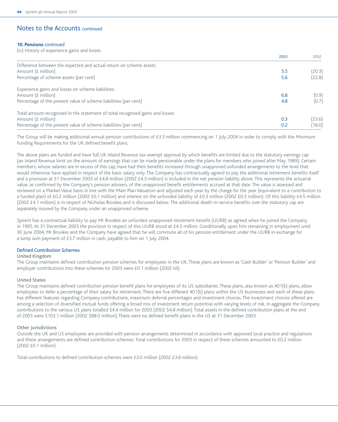#### **10. Pensions** continued

(iv) History of experience gains and losses

|                                                                                | 2003 | 2002   |
|--------------------------------------------------------------------------------|------|--------|
| Difference between the expected and actual return on scheme assets:            |      |        |
| Amount $(f$ million)                                                           | 5.5  | (20.3) |
| Percentage of scheme assets (per cent)                                         | 5.6  | (22.8) |
| Experience gains and losses on scheme liabilities:                             |      |        |
| Amount (£ million)                                                             | 6.8  | (0.9)  |
| Percentage of the present value of scheme liabilities (per cent)               | 4.8  | (0.7)  |
| Total amount recognised in the statement of total recognised gains and losses: |      |        |
| Amount $(f$ million)                                                           | 0.3  | (23.6) |
| Percentage of the present value of scheme liabilities (per cent)               | 0.2  | (18.0) |

The Group will be making additional annual pension contributions of £3.5 million commencing on 1 July 2004 in order to comply with the Minimum Funding Requirements for the UK defined benefit plans.

The above plans are funded and have full UK Inland Revenue tax-exempt approval by which benefits are limited due to the statutory earnings cap (an Inland Revenue limit on the amount of earnings that can be made pensionable under the plans for members who joined after May 1989). Certain members, whose salaries are in excess of this cap, have had their benefits increased through unapproved unfunded arrangements to the level that would otherwise have applied in respect of the basic salary only. The Company has contractually agreed to pay the additional retirement benefits itself and a provision at 31 December 2003 of £4.8 million (2002 £4.3 million) is included in the net pension liability above. This represents the actuarial value, as confirmed by the Company's pension advisers, of the unapproved benefit entitlements accrued at that date. The value is assessed and reviewed on a Market Value basis in line with the Main Plan Valuation and adjusted each year by the charge for the year (equivalent to a contribution to a funded plan) of £0.2 million (2002 £0.1 million) and interest on the unfunded liability of £0.3 million (2002 £0.3 million). Of this liability £4.5 million (2002 £4.1 million) is in respect of Nicholas Brookes and is discussed below. The additional death-in-service benefits over the statutory cap are separately insured by the Company under an unapproved scheme.

Spirent has a contractual liability to pay Mr Brookes an unfunded unapproved retirement benefit (UURB) as agreed when he joined the Company in 1995. At 31 December 2003 the provision in respect of this UURB stood at £4.5 million. Conditionally upon him remaining in employment until 30 June 2004, Mr Brookes and the Company have agreed that he will commute all of his pension entitlement under the UURB in exchange for a lump sum payment of £3.7 million in cash, payable to him on 1 July 2004.

#### Defined Contribution Schemes

#### United Kingdom

The Group maintains defined contribution pension schemes for employees in the UK. These plans are known as 'Cash Builder' or 'Pension Builder' and employer contributions into these schemes for 2003 were £0.1 million (2002 nil).

#### United States

The Group maintains defined contribution pension benefit plans for employees of its US subsidiaries. These plans, also known as 401(k) plans, allow employees to defer a percentage of their salary for retirement. There are five different 401(k) plans within the US businesses and each of these plans has different features regarding Company contributions, maximum deferral percentages and investment choices. The investment choices offered are among a selection of diversified mutual funds offering a broad mix of investment return potential with varying levels of risk. In aggregate the Company contributions to the various US plans totalled \$4.4 million for 2003 (2002 \$4.8 million). Total assets in the defined contribution plans at the end of 2003 were \$103.1 million (2002 \$88.0 million). There were no defined benefit plans in the US at 31 December 2003.

#### Other Jurisdictions

Outside the UK and US employees are provided with pension arrangements determined in accordance with approved local practice and regulations and these arrangements are defined contribution schemes. Total contributions for 2003 in respect of these schemes amounted to £0.2 million (2002 £0.1 million).

Total contributions to defined contribution schemes were £3.0 million (2002 £3.6 million).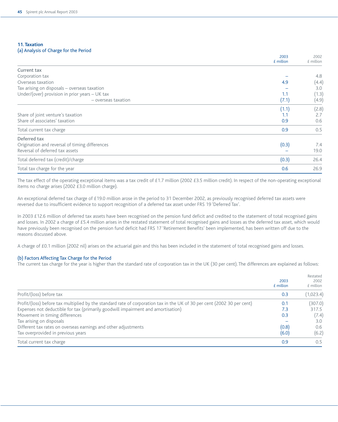#### **11. Taxation** (a) Analysis of Charge for the Period

|                                                  | 2003        | 2002        |
|--------------------------------------------------|-------------|-------------|
|                                                  | $E$ million | $E$ million |
| Current tax                                      |             |             |
| Corporation tax                                  |             | 4.8         |
| Overseas taxation                                | 4.9         | (4.4)       |
| Tax arising on disposals - overseas taxation     |             | 3.0         |
| Under/(over) provision in prior years $-$ UK tax | 1.1         | (1.3)       |
| - overseas taxation                              | (7.1)       | (4.9)       |
|                                                  | (1.1)       | (2.8)       |
| Share of joint venture's taxation                | 1.1         | 2.7         |
| Share of associates' taxation                    | 0.9         | 0.6         |
| Total current tax charge                         | 0.9         | 0.5         |
| Deferred tax                                     |             |             |
| Origination and reversal of timing differences   | (0.3)       | 7.4         |
| Reversal of deferred tax assets                  |             | 19.0        |
| Total deferred tax (credit)/charge               | (0.3)       | 26.4        |
| Total tax charge for the year                    | 0.6         | 26.9        |

The tax effect of the operating exceptional items was a tax credit of £1.7 million (2002 £3.5 million credit). In respect of the non-operating exceptional items no charge arises (2002 £3.0 million charge).

An exceptional deferred tax charge of £19.0 million arose in the period to 31 December 2002, as previously recognised deferred tax assets were reversed due to insufficient evidence to support recognition of a deferred tax asset under FRS 19 'Deferred Tax'.

In 2003 £12.6 million of deferred tax assets have been recognised on the pension fund deficit and credited to the statement of total recognised gains and losses. In 2002 a charge of £5.4 million arises in the restated statement of total recognised gains and losses as the deferred tax asset, which would have previously been recognised on the pension fund deficit had FRS 17 'Retirement Benefits' been implemented, has been written off due to the reasons discussed above.

A charge of £0.1 million (2002 nil) arises on the actuarial gain and this has been included in the statement of total recognised gains and losses.

#### (b) Factors Affecting Tax Charge for the Period

The current tax charge for the year is higher than the standard rate of corporation tax in the UK (30 per cent). The differences are explained as follows:

|                                                                                                                         | 2003<br>£ million | Restated<br>2002<br>£ million |
|-------------------------------------------------------------------------------------------------------------------------|-------------------|-------------------------------|
| Profit/(loss) before tax                                                                                                | 0.3               | (1,023.4)                     |
| Profit/(loss) before tax multiplied by the standard rate of corporation tax in the UK of 30 per cent (2002 30 per cent) | 0.1               | (307.0)                       |
| Expenses not deductible for tax (primarily goodwill impairment and amortisation)                                        | 7.3               | 317.5                         |
| Movement in timing differences                                                                                          | 0.3               | (7.4)                         |
| Tax arising on disposals                                                                                                |                   | 3.0                           |
| Different tax rates on overseas earnings and other adjustments                                                          | (0.8)             | 0.6                           |
| Tax overprovided in previous years                                                                                      | (6.0)             | (6.2)                         |
| Total current tax charge                                                                                                | 0.9               | 0.5                           |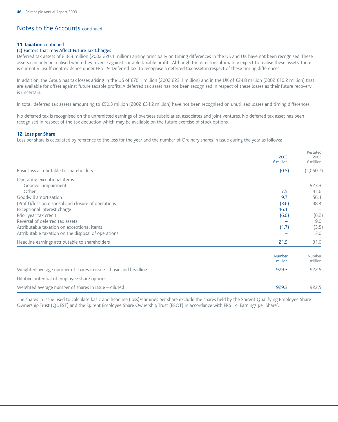#### **11. Taxation** continued

### (c) Factors that may Affect Future Tax Charges

Deferred tax assets of £18.3 million (2002 £20.1 million) arising principally on timing differences in the US and UK have not been recognised. These assets can only be realised when they reverse against suitable taxable profits. Although the directors ultimately expect to realise these assets, there is currently insufficient evidence under FRS 19 'Deferred Tax' to recognise a deferred tax asset in respect of these timing differences.

In addition, the Group has tax losses arising in the US of £70.1 million (2002 £23.1 million) and in the UK of £24.8 million (2002 £10.2 million) that are available for offset against future taxable profits. A deferred tax asset has not been recognised in respect of these losses as their future recovery is uncertain.

In total, deferred tax assets amounting to £50.3 million (2002 £31.2 million) have not been recognised on unutilised losses and timing differences.

No deferred tax is recognised on the unremitted earnings of overseas subsidiaries, associates and joint ventures. No deferred tax asset has been recognised in respect of the tax deduction which may be available on the future exercise of stock options.

#### **12. Loss per Share**

Loss per share is calculated by reference to the loss for the year and the number of Ordinary shares in issue during the year as follows:

|                                                                 | 2003<br>£ million | Restated<br>2002<br>£ million |
|-----------------------------------------------------------------|-------------------|-------------------------------|
| Basic loss attributable to shareholders                         | (0.5)             | (1,050.7)                     |
| Operating exceptional items                                     |                   |                               |
| Goodwill impairment                                             |                   | 923.3                         |
| Other                                                           | 7.5               | 41.6                          |
| Goodwill amortisation                                           | 9.7               | 56.1                          |
| (Profit)/loss on disposal and closure of operations             | (3.6)             | 48.4                          |
| Exceptional interest charge                                     | 16.1              |                               |
| Prior year tax credit                                           | (6.0)             | (6.2)                         |
| Reversal of deferred tax assets                                 |                   | 19.0                          |
| Attributable taxation on exceptional items                      | (1.7)             | (3.5)                         |
| Attributable taxation on the disposal of operations             |                   | 3.0                           |
| Headline earnings attributable to shareholders                  | 21.5              | 31.0                          |
|                                                                 | Number<br>million | Number<br>million             |
| Weighted average number of shares in issue – basic and headline | 929.3             | 922.5                         |
| Dilutive potential of employee share options                    |                   |                               |
| Weighted average number of shares in issue – diluted            | 929.3             | 922.5                         |

The shares in issue used to calculate basic and headline (loss)/earnings per share exclude the shares held by the Spirent Qualifying Employee Share Ownership Trust (QUEST) and the Spirent Employee Share Ownership Trust (ESOT) in accordance with FRS 14 'Earnings per Share'.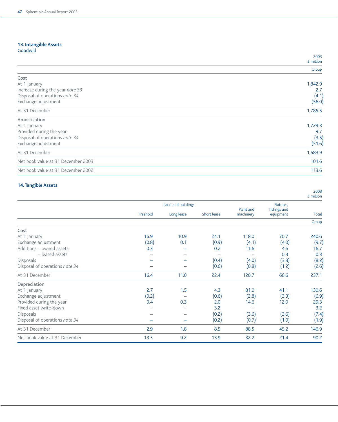# **13. Intangible Assets**

|  |  | Goodwill |  |
|--|--|----------|--|
|  |  |          |  |
|  |  |          |  |

|                                    | 2003      |
|------------------------------------|-----------|
|                                    | £ million |
|                                    | Group     |
| Cost                               |           |
| At 1 January                       | 1,842.9   |
| Increase during the year note 33   | 2.7       |
| Disposal of operations note 34     | (4.1)     |
| Exchange adjustment                | (56.0)    |
| At 31 December                     | 1,785.5   |
| Amortisation                       |           |
| At 1 January                       | 1,729.3   |
| Provided during the year           | 9.7       |
| Disposal of operations note 34     | (3.5)     |
| Exchange adjustment                | (51.6)    |
| At 31 December                     | 1,683.9   |
| Net book value at 31 December 2003 | 101.6     |
| Net book value at 31 December 2002 | 113.6     |

## **14. Tangible Assets**

|                                |          |                    |             |                        |                           | £ million    |
|--------------------------------|----------|--------------------|-------------|------------------------|---------------------------|--------------|
|                                |          | Land and buildings |             |                        | Fixtures.                 |              |
|                                | Freehold | Long lease         | Short lease | Plant and<br>machinery | fittings and<br>equipment | <b>Total</b> |
|                                |          |                    |             |                        |                           | Group        |
| Cost                           |          |                    |             |                        |                           |              |
| At 1 January                   | 16.9     | 10.9               | 24.1        | 118.0                  | 70.7                      | 240.6        |
| Exchange adjustment            | (0.8)    | 0.1                | (0.9)       | (4.1)                  | (4.0)                     | (9.7)        |
| Additions - owned assets       | 0.3      |                    | 0.2         | 11.6                   | 4.6                       | 16.7         |
| - leased assets                |          |                    |             |                        | 0.3                       | 0.3          |
| Disposals                      |          |                    | (0.4)       | (4.0)                  | (3.8)                     | (8.2)        |
| Disposal of operations note 34 |          | -                  | (0.6)       | (0.8)                  | (1.2)                     | (2.6)        |
| At 31 December                 | 16.4     | 11.0               | 22.4        | 120.7                  | 66.6                      | 237.1        |
| Depreciation                   |          |                    |             |                        |                           |              |
| At 1 January                   | 2.7      | 1.5                | 4.3         | 81.0                   | 41.1                      | 130.6        |
| Exchange adjustment            | (0.2)    |                    | (0.6)       | (2.8)                  | (3.3)                     | (6.9)        |
| Provided during the year       | 0.4      | 0.3                | 2.0         | 14.6                   | 12.0                      | 29.3         |
| Fixed asset write-down         |          | -                  | 3.2         |                        |                           | 3.2          |
| <b>Disposals</b>               |          |                    | (0.2)       | (3.6)                  | (3.6)                     | (7.4)        |
| Disposal of operations note 34 |          | -                  | (0.2)       | (0.7)                  | (1.0)                     | (1.9)        |
| At 31 December                 | 2.9      | 1.8                | 8.5         | 88.5                   | 45.2                      | 146.9        |
| Net book value at 31 December  | 13.5     | 9.2                | 13.9        | 32.2                   | 21.4                      | 90.2         |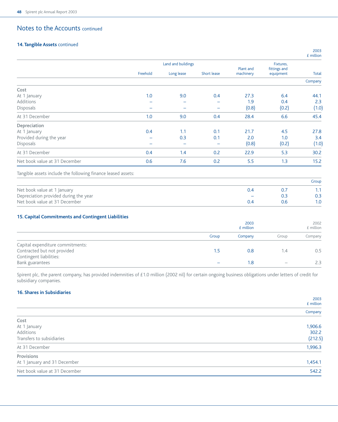### **14. Tangible Assets** continued

|                                                              | Land and buildings |            | Plant and   | Fixtures,<br>fittings and |           |              |
|--------------------------------------------------------------|--------------------|------------|-------------|---------------------------|-----------|--------------|
|                                                              | Freehold           | Long lease | Short lease | machinery                 | equipment | <b>Total</b> |
|                                                              |                    |            |             |                           |           | Company      |
| Cost                                                         |                    |            |             |                           |           |              |
| At 1 January                                                 | 1.0                | 9.0        | 0.4         | 27.3                      | 6.4       | 44.1         |
| Additions                                                    |                    |            |             | 1.9                       | 0.4       | 2.3          |
| <b>Disposals</b>                                             |                    |            |             | (0.8)                     | (0.2)     | (1.0)        |
| At 31 December                                               | 1.0                | 9.0        | 0.4         | 28.4                      | 6.6       | 45.4         |
| Depreciation                                                 |                    |            |             |                           |           |              |
| At 1 January                                                 | 0.4                | 1.1        | 0.1         | 21.7                      | 4.5       | 27.8         |
| Provided during the year                                     |                    | 0.3        | 0.1         | 2.0                       | 1.0       | 3.4          |
| Disposals                                                    |                    |            |             | (0.8)                     | (0.2)     | (1.0)        |
| At 31 December                                               | 0.4                | 1.4        | 0.2         | 22.9                      | 5.3       | 30.2         |
| Net book value at 31 December                                | 0.6                | 7.6        | 0.2         | 5.5                       | 1.3       | 15.2         |
| Tangible assets include the following finance leased assets: |                    |            |             |                           |           |              |
|                                                              |                    |            |             |                           |           | Group        |
| Net book value at 1 January                                  |                    |            |             | 0.4                       | 0.7       | 1.1          |
| Depreciation provided during the year                        |                    |            |             |                           | 0.3       | 0.3          |
| Net book value at 31 December                                |                    |            |             | 0.4                       | 0.6       | 1.0          |
| 15. Capital Commitments and Contingent Liabilities           |                    |            |             |                           |           |              |
|                                                              |                    |            |             | 2003                      |           | 2002         |
|                                                              |                    |            |             | £ million                 |           | £ million    |
|                                                              |                    |            | Group       | Company                   | Group     | Company      |
| Capital expenditure commitments:                             |                    |            |             |                           |           |              |
| Contracted but not provided                                  |                    |            | 1.5         | 0.8                       | 1.4       | 0.5          |

Spirent plc, the parent company, has provided indemnities of £1.0 million (2002 nil) for certain ongoing business obligations under letters of credit for subsidiary companies.

Bank guarantees – 2.3 – 2.3 – 2.3 – 2.3 – 2.3 – 2.3 – 2.3 – 2.3 – 2.3 – 2.3 – 2.3 – 2.3 – 2.3 – 2.3 – 2.3 – 2.3 – 2.3 – 2.3 – 2.3 – 2.3 – 2.3 – 2.3 – 2.3 – 2.3 – 2.3 – 2.3 – 2.3 – 2.3 – 2.3 – 2.3 – 2.3 – 2.3 – 2.3 – 2.3 –

#### **16. Shares in Subsidiaries**

Contingent liabilities:

|                               | 2003<br>£ million |
|-------------------------------|-------------------|
|                               | Company           |
| Cost                          |                   |
| At 1 January                  | 1,906.6           |
| Additions                     | 302.2             |
| Transfers to subsidiaries     | (212.5)           |
| At 31 December                | 1,996.3           |
| Provisions                    |                   |
| At 1 January and 31 December  | 1,454.1           |
| Net book value at 31 December | 542.2             |
|                               |                   |

2003 £ million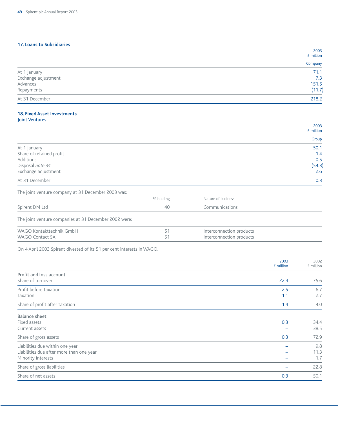### **17. Loans to Subsidiaries**

|                     | 2003<br>£ million |
|---------------------|-------------------|
|                     | Company           |
| At 1 January        | 71.1              |
| Exchange adjustment | 7.3               |
| Advances            | 151.5             |
| Repayments          | (11.7)            |
| At 31 December      | 218.2             |

### **18. Fixed Asset Investments** Joint Ventures

|                          | 2003<br>£ million |
|--------------------------|-------------------|
|                          | Group             |
| At 1 January             | 50.1              |
| Share of retained profit | 1.4               |
| Additions                | 0.5               |
| Disposal note 34         | (54.3)            |
| Exchange adjustment      | 2.6               |
| At 31 December           | 0.3               |

The joint venture company at 31 December 2003 was:

|                                                       | % holding | Nature of business                                   |  |
|-------------------------------------------------------|-----------|------------------------------------------------------|--|
| Spirent DM Ltd                                        | 40        | Communications                                       |  |
| The joint venture companies at 31 December 2002 were: |           |                                                      |  |
| WAGO Kontakttechnik GmbH<br>WAGO Contact SA           | 51<br>51  | Interconnection products<br>Interconnection products |  |

On 4 April 2003 Spirent divested of its 51 per cent interests in WAGO.

|                                          | 2003<br>$E$ million | 2002<br>£ million |
|------------------------------------------|---------------------|-------------------|
| Profit and loss account                  |                     |                   |
| Share of turnover                        | 22.4                | 75.6              |
| Profit before taxation                   | 2.5                 | 6.7               |
| Taxation                                 | 1.1                 | 2.7               |
| Share of profit after taxation           | 1.4                 | 4.0               |
| <b>Balance sheet</b>                     |                     |                   |
| Fixed assets                             | 0.3                 | 34.4              |
| Current assets                           |                     | 38.5              |
| Share of gross assets                    | 0.3                 | 72.9              |
| Liabilities due within one year          |                     | 9.8               |
| Liabilities due after more than one year |                     | 11.3              |
| Minority interests                       |                     | 1.7               |
| Share of gross liabilities               |                     | 22.8              |
| Share of net assets                      | 0.3                 | 50.1              |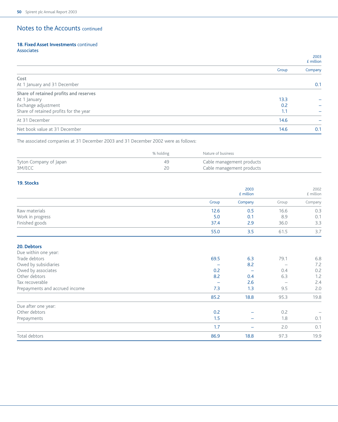#### **18. Fixed Asset Investments** continued Associates

|                                        |       | 2003<br>$E$ million |
|----------------------------------------|-------|---------------------|
|                                        | Group | Company             |
| Cost                                   |       |                     |
| At 1 January and 31 December           |       | 0.1                 |
| Share of retained profits and reserves |       |                     |
| At 1 January                           | 13.3  |                     |
| Exchange adjustment                    | 0.2   |                     |
| Share of retained profits for the year | 1.1   |                     |
| At 31 December                         | 14.6  |                     |
| Net book value at 31 December          | 14.6  | 0.1                 |

The associated companies at 31 December 2003 and 31 December 2002 were as follows:

|                        | % holding | Nature of business        |
|------------------------|-----------|---------------------------|
| Tyton Company of Japan | 49        | Cable management products |
| 3M/ECC                 |           | Cable management products |

### **19. Stocks**

|                  |       | 2003<br>$E$ million |       | 2002<br>£ million |
|------------------|-------|---------------------|-------|-------------------|
|                  | Group | Company             | Group | Company           |
| Raw materials    | 12.6  | 0.5                 | 16.6  | 0.3               |
| Work in progress | 5.0   | 0.1                 | 8.9   | 0.1               |
| Finished goods   | 37.4  | 2.9                 | 36.0  | 3.3               |
|                  | 55.0  | 3.5                 | 61.5  | 3.7               |
|                  |       |                     |       |                   |

### **20. Debtors**

| Due within one year:           |      |      |      |      |
|--------------------------------|------|------|------|------|
| Trade debtors                  | 69.5 | 6.3  | 79.1 | 6.8  |
| Owed by subsidiaries           |      | 8.2  |      | 7.2  |
| Owed by associates             | 0.2  |      | 0.4  | 0.2  |
| Other debtors                  | 8.2  | 0.4  | 6.3  | 1.2  |
| Tax recoverable                |      | 2.6  |      | 2.4  |
| Prepayments and accrued income | 7.3  | 1.3  | 9.5  | 2.0  |
|                                | 85.2 | 18.8 | 95.3 | 19.8 |
| Due after one year:            |      |      |      |      |
| Other debtors                  | 0.2  |      | 0.2  |      |
| Prepayments                    | 1.5  |      | 1.8  | 0.1  |
|                                | 1.7  |      | 2.0  | 0.1  |
| Total debtors                  | 86.9 | 18.8 | 97.3 | 19.9 |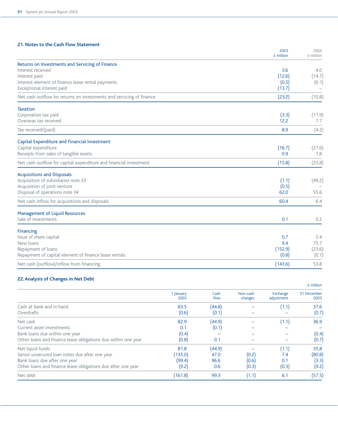### **21. Notes to the Cash Flow Statement**

|                                                                      | 2003<br>£ million | 2002<br>£ million |
|----------------------------------------------------------------------|-------------------|-------------------|
| Returns on Investments and Servicing of Finance                      |                   |                   |
| Interest received                                                    | 3.6               | 4.0               |
| Interest paid                                                        | (12.6)            | (14.7)            |
| Interest element of finance lease rental payments                    | (0.5)             | (0.1)             |
| Exceptional interest paid                                            | (13.7)            |                   |
| Net cash outflow for returns on investments and servicing of finance | (23.2)            | (10.8)            |
| <b>Taxation</b>                                                      |                   |                   |
| Corporation tax paid                                                 | (3.3)             | (11.9)            |
| Overseas tax received                                                | 12.2              | 7.7               |
| Tax received/(paid)                                                  | 8.9               | (4.2)             |
| Capital Expenditure and Financial Investment                         |                   |                   |
| Capital expenditure                                                  | (16.7)            | (27.6)            |
| Receipts from sales of tangible assets                               | 0.9               | 1.8               |
| Net cash outflow for capital expenditure and financial investment    | (15.8)            | (25.8)            |
| <b>Acquisitions and Disposals</b>                                    |                   |                   |
| Acquisition of subsidiaries note 33                                  | (1.1)             | (49.2)            |
| Acquisition of joint venture                                         | (0.5)             |                   |
| Disposal of operations note 34                                       | 62.0              | 55.6              |
| Net cash inflow for acquisitions and disposals                       | 60.4              | 6.4               |
| <b>Management of Liquid Resources</b>                                |                   |                   |
| Sale of investments                                                  | 0.1               | 0.2               |
| <b>Financing</b>                                                     |                   |                   |
| Issue of share capital                                               | 0.7               | 2.4               |
| New loans                                                            | 9.4               | 75.7              |
| Repayment of loans                                                   | (152.9)           | (23.6)            |
| Repayment of capital element of finance lease rentals                | (0.8)             | (0.7)             |
| Net cash (outflow)/inflow from financing                             | (143.6)           | 53.8              |

## **22. Analysis of Changes in Net Debt**

|                                                                                                                                                                     |                                   |                               |                         |                              | £ million                        |
|---------------------------------------------------------------------------------------------------------------------------------------------------------------------|-----------------------------------|-------------------------------|-------------------------|------------------------------|----------------------------------|
|                                                                                                                                                                     | 1 January<br>2003                 | Cash<br>flow                  | Non-cash<br>changes     | Exchange<br>adjustment       | 31 December<br>2003              |
| Cash at bank and in hand<br>Overdrafts                                                                                                                              | 83.5<br>(0.6)                     | (44.8)<br>(0.1)               |                         | (1.1)                        | 37.6<br>(0.7)                    |
| Net cash<br>Current asset investments<br>Bank loans due within one year<br>Other loans and finance lease obligations due within one year                            | 82.9<br>0.1<br>(0.4)<br>(0.8)     | (44.9)<br>(0.1)<br>0.1        |                         | (1.1)                        | 36.9<br>(0.4)<br>(0.7)           |
| Net liquid funds<br>Senior unsecured loan notes due after one year<br>Bank loans due after one year<br>Other loans and finance lease obligations due after one year | 81.8<br>135.0)<br>(99.4)<br>(9.2) | (44.9)<br>47.0<br>96.6<br>0.6 | (0.2)<br>(0.6)<br>(0.3) | (1.1)<br>7.4<br>0.1<br>(0.3) | 35.8<br>(80.8)<br>(3.3)<br>(9.2) |
| Net debt                                                                                                                                                            | (161.8)                           | 99.3                          | (1.1)                   | 6.1                          | (57.5)                           |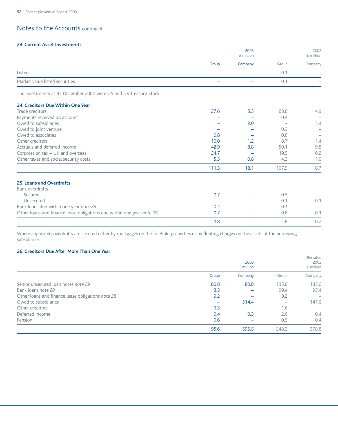### **23. Current Asset Investments**

|                                |       | 2003<br>£ million |       | 2002<br>£ million |
|--------------------------------|-------|-------------------|-------|-------------------|
|                                | Group | Company           | Group | Company           |
| Listed                         |       |                   | U. 1  |                   |
| Market value listed securities |       |                   | O.    | $\qquad \qquad$   |
|                                |       |                   |       |                   |

The investments at 31 December 2002 were US and UK Treasury Stock.

### **24. Creditors Due Within One Year**

| Trade creditors                                                       | 27.6  | 5.3  | 23.6  | 4.9  |
|-----------------------------------------------------------------------|-------|------|-------|------|
| Payments received on account                                          |       |      | 0.4   |      |
| Owed to subsidiaries                                                  |       | 2.0  |       | 1.4  |
| Owed to joint venture                                                 |       |      | 0.3   |      |
| Owed to associates                                                    | 0.8   |      | 0.6   |      |
| Other creditors                                                       | 10.0  | 1.2  | 8.7   | 1.4  |
| Accruals and deferred income                                          | 42.9  | 8.8  | 50.1  | 9.8  |
| Corporation tax - UK and overseas                                     | 24.7  |      | 19.5  | 0.2  |
| Other taxes and social security costs                                 | 5.3   | 0.8  | 4.3   | 1.0  |
|                                                                       | 111.3 | 18.1 | 107.5 | 18.7 |
| <b>25. Loans and Overdrafts</b>                                       |       |      |       |      |
| Bank overdrafts                                                       |       |      |       |      |
| Secured                                                               | 0.7   |      | 0.5   |      |
| Unsecured                                                             |       |      | 0.1   | 0.1  |
| Bank loans due within one year note 28                                | 0.4   |      | 0.4   |      |
| Other loans and finance lease obligations due within one year note 28 | 0.7   |      | 0.8   | 0.1  |
|                                                                       | 1.8   |      | 1.8   | 0.2  |

Where applicable, overdrafts are secured either by mortgages on the freehold properties or by floating charges on the assets of the borrowing subsidiaries.

### **26. Creditors Due After More Than One Year**

|                                                   | 2003  |           |       | Restated<br>2002 |
|---------------------------------------------------|-------|-----------|-------|------------------|
|                                                   |       | £ million |       | £ million        |
|                                                   | Group | Company   | Group | Company          |
| Senior unsecured loan notes note 29               | 80.8  | 80.8      | 135.0 | 135.0            |
| Bank loans note 28                                | 3.3   |           | 99.4  | 95.4             |
| Other loans and finance lease obligations note 28 | 9.2   |           | 9.2   |                  |
| Owed to subsidiaries                              |       | 514.4     |       | 147.6            |
| Other creditors                                   | 1.3   |           | 1.6   |                  |
| Deferred income                                   | 0.4   | 0.3       | 2.6   | 0.4              |
| Pension                                           | 0.6   |           | 0.5   | 0.4              |
|                                                   | 95.6  | 595.5     | 248.3 | 378.8            |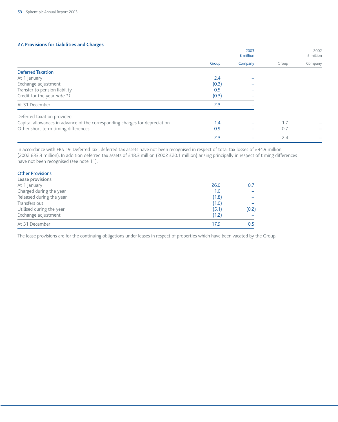#### **27. Provisions for Liabilities and Charges**

|                                                                             |       | 2003<br>£ million |       | 2002<br>£ million |
|-----------------------------------------------------------------------------|-------|-------------------|-------|-------------------|
|                                                                             | Group | Company           | Group | Company           |
| <b>Deferred Taxation</b>                                                    |       |                   |       |                   |
| At 1 January                                                                | 2.4   |                   |       |                   |
| Exchange adjustment                                                         | (0.3) |                   |       |                   |
| Transfer to pension liability                                               | 0.5   |                   |       |                   |
| Credit for the year note 11                                                 | (0.3) |                   |       |                   |
| At 31 December                                                              | 2.3   |                   |       |                   |
| Deferred taxation provided:                                                 |       |                   |       |                   |
| Capital allowances in advance of the corresponding charges for depreciation | 1.4   |                   | 1.7   |                   |
| Other short term timing differences                                         | 0.9   |                   | 0.7   |                   |
|                                                                             | 2.3   |                   | 2.4   |                   |

In accordance with FRS 19 'Deferred Tax', deferred tax assets have not been recognised in respect of total tax losses of £94.9 million (2002 £33.3 million). In addition deferred tax assets of £18.3 million (2002 £20.1 million) arising principally in respect of timing differences have not been recognised (see note 11).

| <b>Other Provisions</b>  |       |       |
|--------------------------|-------|-------|
| Lease provisions         |       |       |
| At 1 January             | 26.0  | 0.7   |
| Charged during the year  | 1.0   |       |
| Released during the year | (1.8) |       |
| Transfers out            | (1.0) |       |
| Utilised during the year | (5.1) | (0.2) |
| Exchange adjustment      | (1.2) |       |
| At 31 December           | 17.9  | 0.5   |

The lease provisions are for the continuing obligations under leases in respect of properties which have been vacated by the Group.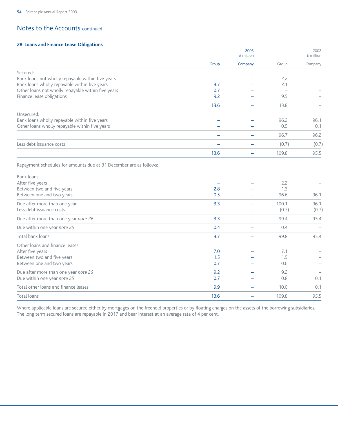### **28. Loans and Finance Lease Obligations**

|                                                                                   |          | 2003<br>$E$ million      |       | 2002<br>£ million |
|-----------------------------------------------------------------------------------|----------|--------------------------|-------|-------------------|
|                                                                                   | Group    | Company                  | Group | Company           |
| Secured:<br>Bank loans not wholly repayable within five years                     |          |                          | 2.2   |                   |
| Bank loans wholly repayable within five years                                     | 3.7      |                          | 2.1   |                   |
| Other loans not wholly repayable within five years                                | 0.7      |                          |       |                   |
| Finance lease obligations                                                         | 9.2      |                          | 9.5   |                   |
|                                                                                   | 13.6     |                          | 13.8  |                   |
| Unsecured:                                                                        |          |                          |       |                   |
| Bank loans wholly repayable within five years                                     |          |                          | 96.2  | 96.1              |
| Other loans wholly repayable within five years                                    |          |                          | 0.5   | 0.1               |
|                                                                                   |          |                          | 96.7  | 96.2              |
| Less debt issuance costs                                                          |          |                          | (0.7) | (0.7)             |
|                                                                                   | 13.6     |                          | 109.8 | 95.5              |
| Repayment schedules for amounts due at 31 December are as follows:<br>Bank loans: |          |                          |       |                   |
| After five years                                                                  |          |                          | 2.2   |                   |
| Between two and five years                                                        | 2.8      |                          | 1.3   |                   |
| Between one and two years                                                         | 0.5      |                          | 96.6  | 96.1              |
| Due after more than one year                                                      | 3.3      |                          | 100.1 | 96.1              |
| Less debt issuance costs                                                          | $\equiv$ |                          | (0.7) | (0.7)             |
| Due after more than one year note 26                                              | 3.3      | $\overline{\phantom{0}}$ | 99.4  | 95.4              |
| Due within one year note 25                                                       | 0.4      |                          | 0.4   |                   |
| Total bank loans                                                                  | 3.7      | $\overline{\phantom{0}}$ | 99.8  | 95.4              |
| Other loans and finance leases:                                                   |          |                          |       |                   |
| After five years                                                                  | 7.0      |                          | 7.1   |                   |
| Between two and five years                                                        | 1.5      |                          | 1.5   |                   |
| Between one and two years                                                         | 0.7      |                          | 0.6   |                   |
| Due after more than one year note 26                                              | 9.2      |                          | 9.2   |                   |
| Due within one year note 25                                                       | 0.7      |                          | 0.8   | 0.1               |
| Total other loans and finance leases                                              | 9.9      | $\overline{\phantom{0}}$ | 10.0  | 0.1               |
| Total loans                                                                       | 13.6     |                          | 109.8 | 95.5              |

Where applicable loans are secured either by mortgages on the freehold properties or by floating charges on the assets of the borrowing subsidiaries. The long term secured loans are repayable in 2017 and bear interest at an average rate of 4 per cent.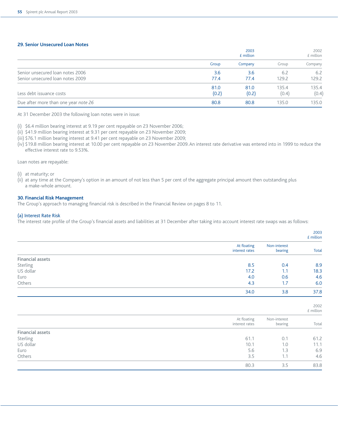#### **29. Senior Unsecured Loan Notes**

|                                      |       | 2003<br>£ million |       | 2002<br>£ million |
|--------------------------------------|-------|-------------------|-------|-------------------|
|                                      | Group | Company           | Group | Company           |
| Senior unsecured loan notes 2006     | 3.6   | 3.6               | 6.2   | 6.2               |
| Senior unsecured loan notes 2009     | 77.4  | 77.4              | 129.2 | 129.2             |
|                                      | 81.0  | 81.0              | 135.4 | 135.4             |
| Less debt issuance costs             | (0.2) | (0.2)             | (0.4) | (0.4)             |
| Due after more than one year note 26 | 80.8  | 80.8              | 135.0 | 135.0             |

At 31 December 2003 the following loan notes were in issue:

(i) \$6.4 million bearing interest at 9.19 per cent repayable on 23 November 2006;

(ii) \$41.9 million bearing interest at 9.31 per cent repayable on 23 November 2009;

(iii) \$76.1 million bearing interest at 9.41 per cent repayable on 23 November 2009;

(iv) \$19.8 million bearing interest at 10.00 per cent repayable on 23 November 2009. An interest rate derivative was entered into in 1999 to reduce the effective interest rate to 9.53%.

Loan notes are repayable:

(i) at maturity; or

(ii) at any time at the Company's option in an amount of not less than 5 per cent of the aggregate principal amount then outstanding plus a make-whole amount.

#### **30. Financial Risk Management**

The Group's approach to managing financial risk is described in the Financial Review on pages 8 to 11.

#### (a) Interest Rate Risk

The interest rate profile of the Group's financial assets and liabilities at 31 December after taking into account interest rate swaps was as follows:

|                         |                               |                         | 2003<br>£ million   |
|-------------------------|-------------------------------|-------------------------|---------------------|
|                         | At floating<br>interest rates | Non-interest<br>bearing | <b>Total</b>        |
| <b>Financial assets</b> |                               |                         |                     |
| Sterling                | 8.5                           | 0.4                     | 8.9                 |
| US dollar               | 17.2                          | 1.1                     | 18.3                |
| Euro                    | 4.0                           | 0.6                     | 4.6                 |
| Others                  | 4.3                           | 1.7                     | 6.0                 |
|                         | 34.0                          | 3.8                     | 37.8                |
|                         |                               |                         | 2002<br>$E$ million |
|                         | At floating<br>interest rates | Non-interest<br>bearing | Total               |
| <b>Financial assets</b> |                               |                         |                     |
| Sterling                | 61.1                          | 0.1                     | 61.2                |
| US dollar               | 10.1                          | 1.0                     | 11.1                |
| Euro                    | 5.6                           | 1.3                     | 6.9                 |
| Others                  | 3.5                           | 1.1                     | 4.6                 |
|                         | 80.3                          | 3.5                     | 83.8                |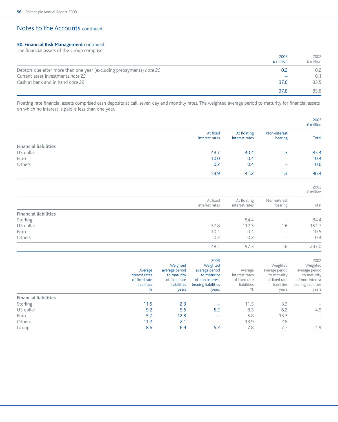### **30. Financial Risk Management** continued

The financial assets of the Group comprise:

|                                                                      | 2003<br>£ million | 2002<br>£ million |
|----------------------------------------------------------------------|-------------------|-------------------|
| Debtors due after more than one year (excluding prepayments) note 20 | 0.2               | 0.2               |
| Current asset investments note 23                                    |                   | 0.1               |
| Cash at bank and in hand note 22                                     | 37.6              | 83.5              |
|                                                                      | 37.8              | 83.8              |

Floating rate financial assets comprised cash deposits at call, seven day and monthly rates. The weighted average period to maturity for financial assets on which no interest is paid is less than one year.

|                              |                                                                |                                                                                    |                                                                                                      |                                                                |                                                                                    | 2003<br>£ million                                                                                    |
|------------------------------|----------------------------------------------------------------|------------------------------------------------------------------------------------|------------------------------------------------------------------------------------------------------|----------------------------------------------------------------|------------------------------------------------------------------------------------|------------------------------------------------------------------------------------------------------|
|                              |                                                                |                                                                                    | At fixed<br>interest rates                                                                           | At floating<br>interest rates                                  | Non-interest<br>bearing                                                            | <b>Total</b>                                                                                         |
| <b>Financial liabilities</b> |                                                                |                                                                                    |                                                                                                      |                                                                |                                                                                    |                                                                                                      |
| US dollar                    |                                                                |                                                                                    | 43.7                                                                                                 | 40.4                                                           | 1.3                                                                                | 85.4                                                                                                 |
| Euro                         |                                                                |                                                                                    | 10.0                                                                                                 | 0.4                                                            |                                                                                    | 10.4                                                                                                 |
| Others                       |                                                                |                                                                                    | 0.2                                                                                                  | 0.4                                                            |                                                                                    | 0.6                                                                                                  |
|                              |                                                                |                                                                                    | 53.9                                                                                                 | 41.2                                                           | 1.3                                                                                | 96.4                                                                                                 |
|                              |                                                                |                                                                                    |                                                                                                      |                                                                |                                                                                    | 2002<br>£ million                                                                                    |
|                              |                                                                |                                                                                    | At fixed<br>interest rates                                                                           | At floating<br>interest rates                                  | Non-interest<br>bearing                                                            | Total                                                                                                |
| <b>Financial liabilities</b> |                                                                |                                                                                    |                                                                                                      |                                                                |                                                                                    |                                                                                                      |
| Sterling                     |                                                                |                                                                                    | $\overline{\phantom{0}}$                                                                             | 84.4                                                           |                                                                                    | 84.4                                                                                                 |
| US dollar                    |                                                                |                                                                                    | 37.8                                                                                                 | 112.3                                                          | 1.6                                                                                | 151.7                                                                                                |
| Euro                         |                                                                |                                                                                    | 10.1                                                                                                 | 0.4                                                            |                                                                                    | 10.5                                                                                                 |
| Others                       |                                                                |                                                                                    | 0.2                                                                                                  | 0.2                                                            |                                                                                    | 0.4                                                                                                  |
|                              |                                                                |                                                                                    | 48.1                                                                                                 | 197.3                                                          | 1.6                                                                                | 247.0                                                                                                |
|                              | Average<br>interest rates<br>of fixed rate<br>liabilities<br>% | Weighted<br>average period<br>to maturity<br>of fixed rate<br>liabilities<br>years | 2003<br>Weighted<br>average period<br>to maturity<br>of non-interest<br>bearing liabilities<br>years | Average<br>interest rates<br>of fixed rate<br>liabilities<br>% | Weighted<br>average period<br>to maturity<br>of fixed rate<br>liabilities<br>years | 2002<br>Weighted<br>average period<br>to maturity<br>of non-interest<br>bearing liabilities<br>years |
| <b>Financial liabilities</b> |                                                                |                                                                                    |                                                                                                      |                                                                |                                                                                    |                                                                                                      |
| Sterling                     | 11.5                                                           | 2.3                                                                                | $\overline{\phantom{0}}$                                                                             | 11.5                                                           | 3.3                                                                                |                                                                                                      |
| US dollar                    | 9.2                                                            | 5.6                                                                                | 5.2                                                                                                  | 8.3                                                            | 6.2                                                                                | 4.9                                                                                                  |
| Euro                         | 5.7                                                            | 12.8                                                                               |                                                                                                      | 5.8                                                            | 13.3                                                                               |                                                                                                      |
| Others                       | 11.2                                                           | 2.1                                                                                |                                                                                                      | 13.9                                                           | 2.8                                                                                |                                                                                                      |
| Group                        | 8.6                                                            | 6.9                                                                                | 5.2                                                                                                  | 7.8                                                            | 7.7                                                                                | 4.9                                                                                                  |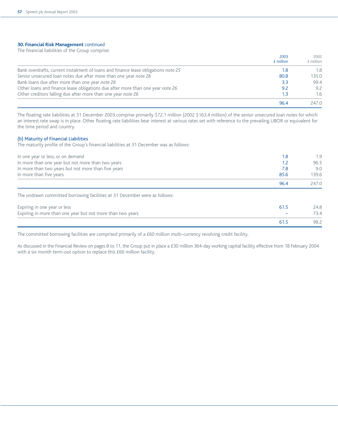#### **30. Financial Risk Management** continued

The financial liabilities of the Group comprise:

|                                                                                    | 2003<br>£ million | 2002<br>$E$ million |
|------------------------------------------------------------------------------------|-------------------|---------------------|
| Bank overdrafts, current instalment of loans and finance lease obligations note 25 | 1.8               | 1.8                 |
| Senior unsecured loan notes due after more than one year note 26                   | 80.8              | 135.0               |
| Bank loans due after more than one year note 26                                    | 3.3               | 99.4                |
| Other loans and finance lease obligations due after more than one year note 26     | 9.2               | 9.2                 |
| Other creditors falling due after more than one year note 26                       | 1.3               | 1.6                 |
|                                                                                    | 96.4              | 247.0               |

The floating rate liabilities at 31 December 2003 comprise primarily \$72.1 million (2002 \$163.4 million) of the senior unsecured loan notes for which an interest rate swap is in place. Other floating rate liabilities bear interest at various rates set with reference to the prevailing LIBOR or equivalent for the time period and country.

#### (b) Maturity of Financial Liabilities

The maturity profile of the Group's financial liabilities at 31 December was as follows:

| In one year or less, or on demand<br>In more than one year but not more than two years<br>In more than two years but not more than five years<br>In more than five years | 1.8<br>1.2<br>7.8<br>85.6 | 1.9<br>96.5<br>9.0<br>139.6 |
|--------------------------------------------------------------------------------------------------------------------------------------------------------------------------|---------------------------|-----------------------------|
|                                                                                                                                                                          | 96.4                      | 247.0                       |
| The undrawn committed borrowing facilities at 31 December were as follows:                                                                                               |                           |                             |
| Expiring in one year or less                                                                                                                                             | 61.5                      | 24.8                        |
| Expiring in more than one year but not more than two years                                                                                                               |                           | 73.4                        |

The committed borrowing facilities are comprised primarily of a £60 million multi-currency revolving credit facility.

As discussed in the Financial Review on pages 8 to 11, the Group put in place a £30 million 364-day working capital facility effective from 18 February 2004 with a six month term-out option to replace this £60 million facility.

61.5 98.2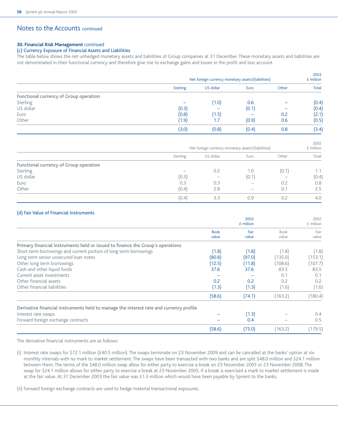#### **30. Financial Risk Management** continued

### (c) Currency Exposure of Financial Assets and Liabilities

The table below shows the net unhedged monetary assets and liabilities of Group companies at 31 December. These monetary assets and liabilities are not denominated in their functional currency and therefore give rise to exchange gains and losses in the profit and loss account.

|                                        | Net foreign currency monetary assets/(liabilities) |           |       | 2003<br>£ million |              |
|----------------------------------------|----------------------------------------------------|-----------|-------|-------------------|--------------|
|                                        | <b>Sterling</b>                                    | US dollar | Euro  | Other             | <b>Total</b> |
| Functional currency of Group operation |                                                    |           |       |                   |              |
| Sterling                               |                                                    | (1.0)     | 0.6   |                   | (0.4)        |
| US dollar                              | (0.3)                                              |           | (0.1) |                   | (0.4)        |
| Euro                                   | (0.8)                                              | (1.5)     |       | 0.2               | (2.1)        |
| Other                                  | (1.9)                                              | 1.7       | (0.9) | 0.6               | (0.5)        |
|                                        | (3.0)                                              | (0.8)     | (0.4) | 0.8               | (3.4)        |

|                                        | Net foreign currency monetary assets/(liabilities) |                   |                          | 2002<br>£ million |       |
|----------------------------------------|----------------------------------------------------|-------------------|--------------------------|-------------------|-------|
|                                        | Sterling                                           | US dollar         | Euro                     | Other             | Total |
| Functional currency of Group operation |                                                    |                   |                          |                   |       |
| Sterling                               |                                                    | 0.2               | 1.0                      | (0.1)             | 1.1   |
| US dollar                              | (0.3)                                              | $\hspace{0.05cm}$ | (0.1)                    | $\hspace{0.05cm}$ | (0.4) |
| Euro                                   | 0.3                                                | 0.3               | $\overline{\phantom{a}}$ | 0.2               | 0.8   |
| Other                                  | (0.4)                                              | 2.8               |                          | 0.1               | 2.5   |
|                                        | (0.4)                                              | 3.3               | 0.9                      | 0.2               | 4.0   |

#### (d) Fair Value of Financial Instruments

|                                                                                        |                      | 2003<br>$E$ million |               | 2002<br>£ million |
|----------------------------------------------------------------------------------------|----------------------|---------------------|---------------|-------------------|
|                                                                                        | <b>Book</b><br>value | Fair<br>value       | Book<br>value | Fair<br>value     |
| Primary financial instruments held or issued to finance the Group's operations         |                      |                     |               |                   |
| Short term borrowings and current portion of long term borrowings                      | (1.8)                | (1.8)               | (1.8)         | (1.8)             |
| Long term senior unsecured loan notes                                                  | (80.8)               | (97.0)              | (135.0)       | (153.1)           |
| Other long term borrowings                                                             | (12.5)               | (11.8)              | (108.6)       | 107.7)            |
| Cash and other liquid funds                                                            | 37.6                 | 37.6                | 83.5          | 83.5              |
| Current asset investments                                                              |                      |                     | 0.1           | 0.1               |
| Other financial assets                                                                 | 0.2                  | 0.2                 | 0.2           | 0.2               |
| Other financial liabilities                                                            | (1.3)                | (1.3)               | (1.6)         | (1.6)             |
|                                                                                        | (58.6)               | (74.1)              | (163.2)       | (180.4)           |
| Derivative financial instruments held to manage the interest rate and currency profile |                      |                     |               |                   |
| Interest rate swaps                                                                    |                      | (1.3)               |               | 0.4               |
| Forward foreign exchange contracts                                                     |                      | 0.4                 |               | 0.5               |
|                                                                                        | (58.6)               | (75.0)              | (163.2)       | (179.5)           |

The derivative financial instruments are as follows:

(i) Interest rate swaps for \$72.1 million (£40.5 million). The swaps terminate on 23 November 2009 and can be cancelled at the banks' option at six monthly intervals with no mark to market settlement. The swaps have been transacted with two banks and are split \$48.0 million and \$24.1 million between them. The terms of the \$48.0 million swap allow for either party to exercise a break on 23 November 2005 or 23 November 2008. The swap for \$24.1 million allows for either party to exercise a break at 23 November 2005. If a break is exercised a mark to market settlement is made at the fair value. At 31 December 2003 the fair value was £1.3 million which would have been payable by Spirent to the banks.

(ii) Forward foreign exchange contracts are used to hedge material transactional exposures.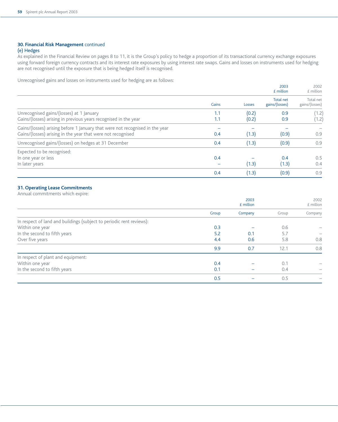### **30. Financial Risk Management** continued

#### (e) Hedges

As explained in the Financial Review on pages 8 to 11, it is the Group's policy to hedge a proportion of its transactional currency exchange exposures using forward foreign currency contracts and its interest rate exposures by using interest rate swaps. Gains and losses on instruments used for hedging are not recognised until the exposure that is being hedged itself is recognised.

Unrecognised gains and losses on instruments used for hedging are as follows:

|                                                                                                                                             |            |                | 2003<br>£ million           | 2002<br>£ million           |
|---------------------------------------------------------------------------------------------------------------------------------------------|------------|----------------|-----------------------------|-----------------------------|
|                                                                                                                                             | Gains      | Losses         | Total net<br>gains/(losses) | Total net<br>gains/(losses) |
| Unrecognised gains/(losses) at 1 January<br>Gains/(losses) arising in previous years recognised in the year                                 | 1.1<br>1.1 | (0.2)<br>(0.2) | 0.9<br>0.9                  | (1.2)<br>(1.2)              |
| Gains/(losses) arising before 1 January that were not recognised in the year<br>Gains/(losses) arising in the year that were not recognised | 0.4        | (1.3)          | (0.9)                       | 0.9                         |
| Unrecognised gains/(losses) on hedges at 31 December                                                                                        | 0.4        | (1.3)          | (0.9)                       | 0.9                         |
| Expected to be recognised:<br>In one year or less<br>In later years                                                                         | 0.4        | (1.3)          | 0.4<br>(1.3)                | 0.5<br>0.4                  |
|                                                                                                                                             | 0.4        | (1.3)          | (0.9)                       | 0.9                         |

### **31. Operating Lease Commitments**

Annual commitments which expire:

|                                                                      | 2003<br>£ million |         | 2002<br>$E$ million |         |
|----------------------------------------------------------------------|-------------------|---------|---------------------|---------|
|                                                                      | Group             | Company | Group               | Company |
| In respect of land and buildings (subject to periodic rent reviews): |                   |         |                     |         |
| Within one year                                                      | 0.3               |         | 0.6                 |         |
| In the second to fifth years                                         | 5.2               | 0.1     | 5.7                 |         |
| Over five years                                                      | 4.4               | 0.6     | 5.8                 | 0.8     |
|                                                                      | 9.9               | 0.7     | 12.1                | 0.8     |
| In respect of plant and equipment:                                   |                   |         |                     |         |
| Within one year                                                      | 0.4               |         | 0.1                 |         |
| In the second to fifth years                                         | 0.1               |         | 0.4                 |         |
|                                                                      | 0.5               |         | 0.5                 |         |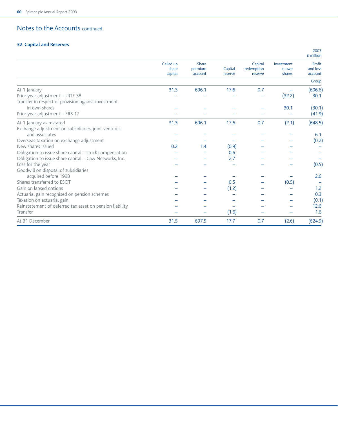## **32. Capital and Reserves**

|                                                          |                               |                             |                    |                                  |                                | £ million                     |
|----------------------------------------------------------|-------------------------------|-----------------------------|--------------------|----------------------------------|--------------------------------|-------------------------------|
|                                                          | Called up<br>share<br>capital | Share<br>premium<br>account | Capital<br>reserve | Capital<br>redemption<br>reserve | Investment<br>in own<br>shares | Profit<br>and loss<br>account |
|                                                          |                               |                             |                    |                                  |                                | Group                         |
| At 1 January                                             | 31.3                          | 696.1                       | 17.6               | 0.7                              |                                | (606.6)                       |
| Prior year adjustment - UITF 38                          |                               |                             |                    |                                  | (32.2)                         | 30.1                          |
| Transfer in respect of provision against investment      |                               |                             |                    |                                  |                                |                               |
| in own shares                                            |                               |                             |                    |                                  | 30.1                           | (30.1)                        |
| Prior year adjustment - FRS 17                           |                               |                             |                    |                                  |                                | (41.9)                        |
| At 1 January as restated                                 | 31.3                          | 696.1                       | 17.6               | 0.7                              | (2.1)                          | (648.5)                       |
| Exchange adjustment on subsidiaries, joint ventures      |                               |                             |                    |                                  |                                |                               |
| and associates                                           |                               |                             |                    |                                  |                                | 6.1                           |
| Overseas taxation on exchange adjustment                 |                               |                             |                    |                                  |                                | (0.2)                         |
| New shares issued                                        | 0.2                           | 1.4                         | (0.9)              |                                  |                                |                               |
| Obligation to issue share capital - stock compensation   |                               |                             | 0.6                |                                  |                                |                               |
| Obligation to issue share capital - Caw Networks, Inc.   |                               |                             | 2.7                |                                  |                                |                               |
| Loss for the year                                        |                               |                             |                    |                                  |                                | (0.5)                         |
| Goodwill on disposal of subsidiaries                     |                               |                             |                    |                                  |                                |                               |
| acquired before 1998                                     |                               |                             |                    |                                  |                                | 2.6                           |
| Shares transferred to ESOT                               |                               |                             | 0.5                |                                  | (0.5)                          |                               |
| Gain on lapsed options                                   |                               |                             | (1.2)              |                                  |                                | 1.2                           |
| Actuarial gain recognised on pension schemes             |                               |                             |                    |                                  |                                | 0.3                           |
| Taxation on actuarial gain                               |                               |                             |                    |                                  |                                | (0.1)                         |
| Reinstatement of deferred tax asset on pension liability |                               |                             |                    |                                  |                                | 12.6                          |
| Transfer                                                 |                               |                             | (1.6)              |                                  |                                | 1.6                           |
| At 31 December                                           | 31.5                          | 697.5                       | 17.7               | 0.7                              | (2.6)                          | (624.9)                       |

2003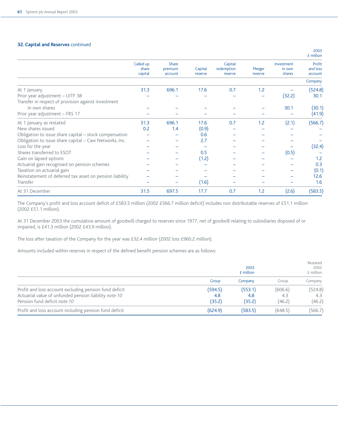#### **32. Capital and Reserves** continued

|                                                          |                               |                             |                    |                                  |                   |                                | £ million                     |
|----------------------------------------------------------|-------------------------------|-----------------------------|--------------------|----------------------------------|-------------------|--------------------------------|-------------------------------|
|                                                          | Called up<br>share<br>capital | Share<br>premium<br>account | Capital<br>reserve | Capital<br>redemption<br>reserve | Merger<br>reserve | Investment<br>in own<br>shares | Profit<br>and loss<br>account |
|                                                          |                               |                             |                    |                                  |                   |                                | Company                       |
| At 1 January                                             | 31.3                          | 696.1                       | 17.6               | 0.7                              | 1.2               |                                | (524.8)                       |
| Prior year adjustment - UITF 38                          |                               |                             |                    |                                  |                   | (32.2)                         | 30.1                          |
| Transfer in respect of provision against investment      |                               |                             |                    |                                  |                   |                                |                               |
| in own shares                                            |                               |                             |                    |                                  |                   | 30.1                           | (30.1)                        |
| Prior year adjustment - FRS 17                           |                               |                             |                    |                                  |                   |                                | (41.9)                        |
| At 1 January as restated                                 | 31.3                          | 696.1                       | 17.6               | 0.7                              | 1.2               | (2.1)                          | (566.7)                       |
| New shares issued                                        | 0.2                           | 1.4                         | (0.9)              |                                  |                   |                                |                               |
| Obligation to issue share capital – stock compensation   |                               |                             | 0.6                |                                  |                   |                                |                               |
| Obligation to issue share capital - Caw Networks, Inc.   |                               |                             | 2.7                |                                  |                   |                                |                               |
| Loss for the year                                        |                               |                             |                    |                                  |                   |                                | (32.4)                        |
| Shares transferred to ESOT                               |                               |                             | 0.5                |                                  |                   | (0.5)                          |                               |
| Gain on lapsed options                                   |                               |                             | (1.2)              |                                  |                   |                                | 1.2                           |
| Actuarial gain recognised on pension schemes             |                               |                             |                    |                                  |                   |                                | 0.3                           |
| Taxation on actuarial gain                               |                               |                             |                    |                                  |                   |                                | (0.1)                         |
| Reinstatement of deferred tax asset on pension liability |                               |                             |                    |                                  |                   |                                | 12.6                          |
| Transfer                                                 |                               |                             | (1.6)              |                                  |                   |                                | 1.6                           |
| At 31 December                                           | 31.5                          | 697.5                       | 17.7               | 0.7                              | 1.2               | (2.6)                          | (583.5)                       |

The Company's profit and loss account deficit of £583.5 million (2002 £566.7 million deficit) includes non distributable reserves of £51.1 million (2002 £51.1 million).

At 31 December 2003 the cumulative amount of goodwill charged to reserves since 1977, net of goodwill relating to subsidiaries disposed of or impaired, is £41.3 million (2002 £43.9 million).

The loss after taxation of the Company for the year was £32.4 million (2002 loss £960.2 million).

Amounts included within reserves in respect of the defined benefit pension schemes are as follows:

|                                                        | 2003<br>£ million |         |         | Restated<br>2002<br>£ million |  |
|--------------------------------------------------------|-------------------|---------|---------|-------------------------------|--|
|                                                        | Group             | Company | Group   | Company                       |  |
| Profit and loss account excluding pension fund deficit | (594.5)           | (553.1) | (606.6) | (524.8)                       |  |
| Actuarial value of unfunded pension liability note 10  | 4.8               | 4.8     | 4.3     | 4.3                           |  |
| Pension fund deficit note 10                           | (35.2)            | (35.2)  | (46.2)  | (46.2)                        |  |
| Profit and loss account including pension fund deficit | (624.9)           | (583.5) | (648.5) | (566.7)                       |  |

2003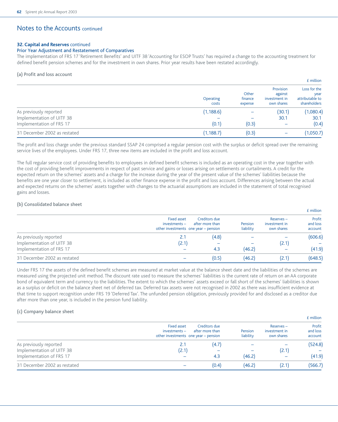#### **32. Capital and Reserves** continued

#### Prior Year Adjustment and Restatement of Comparatives

The implementation of FRS 17 'Retirement Benefits' and UITF 38 'Accounting for ESOP Trusts' has required a change to the accounting treatment for defined benefit pension schemes and for the investment in own shares. Prior year results have been restated accordingly.

#### (a) Profit and loss account

|                              |                    |                             |                                                     | £ million                                               |
|------------------------------|--------------------|-----------------------------|-----------------------------------------------------|---------------------------------------------------------|
|                              | Operating<br>costs | Other<br>finance<br>expense | Provision<br>against<br>investment in<br>own shares | Loss for the<br>year<br>attributable to<br>shareholders |
| As previously reported       | (1, 188.6)         |                             | (30.1)                                              | (1,080.4)                                               |
| Implementation of UITF 38    |                    |                             | 30.1                                                | 30.1                                                    |
| Implementation of FRS 17     | (0.1)              | (0.3)                       | $\overline{\phantom{m}}$                            | (0.4)                                                   |
| 31 December 2002 as restated | (1, 188.7)         | (0.3)                       | —                                                   | 1,050.7                                                 |

The profit and loss charge under the previous standard SSAP 24 comprised a regular pension cost with the surplus or deficit spread over the remaining service lives of the employees. Under FRS 17, three new items are included in the profit and loss account.

The full regular service cost of providing benefits to employees in defined benefit schemes is included as an operating cost in the year together with the cost of providing benefit improvements in respect of past service and gains or losses arising on settlements or curtailments. A credit for the expected return on the schemes' assets and a charge for the increase during the year of the present value of the schemes' liabilities because the benefits are one year closer to settlement, is included as other finance expense in the profit and loss account. Differences arising between the actual and expected returns on the schemes' assets together with changes to the actuarial assumptions are included in the statement of total recognised gains and losses.

#### (b) Consolidated balance sheet

|                              |                              |                                                                          |                      |                                             | £ million                     |
|------------------------------|------------------------------|--------------------------------------------------------------------------|----------------------|---------------------------------------------|-------------------------------|
|                              | Fixed asset<br>investments – | Creditors due<br>after more than<br>other investments one year - pension | Pension<br>liability | $Reserves -$<br>investment in<br>own shares | Profit<br>and loss<br>account |
| As previously reported       | 2.1                          | (4.8)                                                                    |                      |                                             | (606.6)                       |
| Implementation of UITF 38    | (2.1)                        |                                                                          |                      | (2.1)                                       |                               |
| Implementation of FRS 17     |                              | 4.3                                                                      | (46.2)               | $\overline{\phantom{m}}$                    | (41.9)                        |
| 31 December 2002 as restated |                              | (0.5)                                                                    | (46.2)               | (2.1)                                       | (648.5)                       |

Under FRS 17 the assets of the defined benefit schemes are measured at market value at the balance sheet date and the liabilities of the schemes are measured using the projected unit method. The discount rate used to measure the schemes' liabilities is the current rate of return on an AA corporate bond of equivalent term and currency to the liabilities. The extent to which the schemes' assets exceed or fall short of the schemes' liabilities is shown as a surplus or deficit on the balance sheet net of deferred tax. Deferred tax assets were not recognised in 2002 as there was insufficient evidence at that time to support recognition under FRS 19 'Deferred Tax'. The unfunded pension obligation, previously provided for and disclosed as a creditor due after more than one year, is included in the pension fund liability.

#### (c) Company balance sheet

|                              |                              |                                                                          |                      |                                             | £ million                     |
|------------------------------|------------------------------|--------------------------------------------------------------------------|----------------------|---------------------------------------------|-------------------------------|
|                              | Fixed asset<br>investments – | Creditors due<br>after more than<br>other investments one year – pension | Pension<br>liability | $Reserves -$<br>investment in<br>own shares | Profit<br>and loss<br>account |
| As previously reported       | 2.1                          | (4.7)                                                                    |                      |                                             | (524.8)                       |
| Implementation of UITF 38    | (2.1)                        |                                                                          |                      | (2.1)                                       |                               |
| Implementation of FRS 17     |                              | 4.3                                                                      | (46.2)               | $\overline{\phantom{m}}$                    | (41.9)                        |
| 31 December 2002 as restated |                              | (0.4)                                                                    | (46.2)               | (2.1)                                       | (566.7)                       |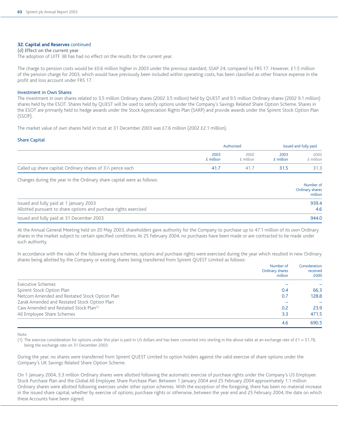#### **32. Capital and Reserves** continued

#### (d) Effect on the current year

The adoption of UITF 38 has had no effect on the results for the current year.

The charge to pension costs would be £0.6 million higher in 2003 under the previous standard, SSAP 24, compared to FRS 17. However, £1.5 million of the pension charge for 2003, which would have previously been included within operating costs, has been classified as other finance expense in the profit and loss account under FRS 17.

#### Investment in Own Shares

The investment in own shares related to 3.5 million Ordinary shares (2002 3.5 million) held by QUEST and 9.5 million Ordinary shares (2002 9.1 million) shares held by the ESOT. Shares held by QUEST will be used to satisfy options under the Company's Savings Related Share Option Scheme. Shares in the ESOT are primarily held to hedge awards under the Stock Appreciation Rights Plan (SARP) and provide awards under the Spirent Stock Option Plan (SSOP).

The market value of own shares held in trust at 31 December 2003 was £7.6 million (2002 £2.1 million).

#### Share Capital

|                                                                       | Authorised        | Issued and fully paid |                   |                   |
|-----------------------------------------------------------------------|-------------------|-----------------------|-------------------|-------------------|
|                                                                       | 2003<br>£ million | 2002<br>£ million     | 2003<br>£ million | 2002<br>E million |
| Called up share capital: Ordinary shares of $3\frac{1}{3}$ pence each | <b>41</b>         | 41                    |                   | 31.3              |

Changes during the year in the Ordinary share capital were as follows:

|                                                                  | <b>INGHIDEL OF</b><br>Ordinary shares<br>million |
|------------------------------------------------------------------|--------------------------------------------------|
| Issued and fully paid at 1 January 2003                          | 939.4                                            |
| Allotted pursuant to share options and purchase rights exercised | 4.6                                              |
| Issued and fully paid at 31 December 2003                        | 944.0                                            |

Number of

At the Annual General Meeting held on 20 May 2003, shareholders gave authority for the Company to purchase up to 47.1 million of its own Ordinary shares in the market subject to certain specified conditions. At 25 February 2004, no purchases have been made or are contracted to be made under such authority.

In accordance with the rules of the following share schemes, options and purchase rights were exercised during the year which resulted in new Ordinary shares being allotted by the Company or existing shares being transferred from Spirent QUEST Limited as follows:

|                                                    | Number of<br>Ordinary shares<br>million | Consideration<br>received<br>£000 |
|----------------------------------------------------|-----------------------------------------|-----------------------------------|
| <b>Executive Schemes</b>                           |                                         |                                   |
| Spirent Stock Option Plan                          | 0.4                                     | 66.3                              |
| Netcom Amended and Restated Stock Option Plan      | 0.7                                     | 128.8                             |
| Zarak Amended and Restated Stock Option Plan       |                                         |                                   |
| Caw Amended and Restated Stock Plan <sup>(1)</sup> | 0.2                                     | 23.9                              |
| All Employee Share Schemes                         | 3.3                                     | 471.5                             |
|                                                    | 4.6                                     | 690.5                             |

#### Note

(1) The exercise consideration for options under this plan is paid in US dollars and has been converted into sterling in the above table at an exchange rate of £1 = \$1.78, being the exchange rate on 31 December 2003.

During the year, no shares were transferred from Spirent QUEST Limited to option holders against the valid exercise of share options under the Company's UK Savings Related Share Option Scheme.

On 1 January 2004, 3.3 million Ordinary shares were allotted following the automatic exercise of purchase rights under the Company's US Employee Stock Purchase Plan and the Global All Employee Share Purchase Plan. Between 1 January 2004 and 25 February 2004 approximately 1.1 million Ordinary shares were allotted following exercises under other option schemes. With the exception of the foregoing, there has been no material increase in the issued share capital, whether by exercise of options, purchase rights or otherwise, between the year end and 25 February 2004, the date on which these Accounts have been signed.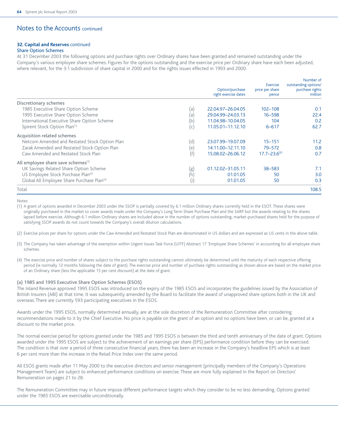#### **32. Capital and Reserves** continued

#### Share Option Schemes

At 31 December 2003 the following options and purchase rights over Ordinary shares have been granted and remained outstanding under the Company's various employee share schemes. Figures for the options outstanding and the exercise price per Ordinary share have each been adjusted, where relevant, for the 3:1 subdivision of share capital in 2000 and for the rights issues effected in 1993 and 2000.

|                                                        |                | Option/purchase<br>right exercise dates | Exercise<br>price per share<br>pence | Number of<br>outstanding options/<br>purchase rights<br>million |
|--------------------------------------------------------|----------------|-----------------------------------------|--------------------------------------|-----------------------------------------------------------------|
| Discretionary schemes                                  |                |                                         |                                      |                                                                 |
| 1985 Executive Share Option Scheme                     | (a)            | 22.04.97-26.04.05                       | $102 - 108$                          | 0.1                                                             |
| 1995 Executive Share Option Scheme                     | (a)            | 29.04.99-24.03.13                       | $16 - 598$                           | 22.4                                                            |
| International Executive Share Option Scheme            | (b)            | 11.04.98-10.04.05                       | 104                                  | 0.2                                                             |
| Spirent Stock Option Plan <sup>(1)</sup>               | (c)            | 11.05.01-11.12.10                       | $6 - 617$                            | 62.7                                                            |
| Acquisition related schemes                            |                |                                         |                                      |                                                                 |
| Netcom Amended and Restated Stock Option Plan          | $(\mathsf{d})$ | 23.07.99-19.07.09                       | $15 - 151$                           | 11.2                                                            |
| Zarak Amended and Restated Stock Option Plan           | (e)            | 14.11.00-12.11.10                       | 79-572                               | 0.8                                                             |
| Caw Amended and Restated Stock Plan                    |                | 15.08.02-26.06.12                       | $17.7 - 23.6^{(2)}$                  | 0.7                                                             |
| All employee share save schemes <sup>(3)</sup>         |                |                                         |                                      |                                                                 |
| UK Savings Related Share Option Scheme                 | (g)            | 01.12.02-31.05.11                       | 38-583                               | 7.1                                                             |
| US Employee Stock Purchase Plan <sup>(4)</sup>         | (h)            | 01.01.05                                | 50                                   | 3.0                                                             |
| Global All Employee Share Purchase Plan <sup>(4)</sup> | (i)            | 01.01.05                                | 50                                   | 0.3                                                             |
| Total                                                  |                |                                         |                                      | 108.5                                                           |

Notes

(1) A grant of options awarded in December 2003 under the SSOP is partially covered by 6.1 million Ordinary shares currently held in the ESOT. These shares were originally purchased in the market to cover awards made under the Company's Long Term Share Purchase Plan and the SARP but the awards relating to the shares lapsed before exercise. Although 6.1 million Ordinary shares are included above in the number of options outstanding, market-purchased shares held for the purpose of satisfying SSOP awards do not count towards the Company's overall dilution calculations.

(2) Exercise prices per share for options under the Caw Amended and Restated Stock Plan are denominated in US dollars and are expressed as US cents in the above table.

- (3) The Company has taken advantage of the exemption within Urgent Issues Task Force (UITF) Abstract 17 'Employee Share Schemes' in accounting for all employee share schemes.
- (4) The exercise price and number of shares subject to the purchase rights outstanding cannot ultimately be determined until the maturity of each respective offering period (ie normally 12 months following the date of grant). The exercise price and number of purchase rights outstanding as shown above are based on the market price of an Ordinary share (less the applicable 15 per cent discount) at the date of grant.

#### (a) 1985 and 1995 Executive Share Option Schemes (ESOS)

The Inland Revenue approved 1995 ESOS was introduced on the expiry of the 1985 ESOS and incorporates the guidelines issued by the Association of British Insurers (ABI) at that time. It was subsequently amended by the Board to facilitate the award of unapproved share options both in the UK and overseas. There are currently 593 participating executives in the ESOS.

Awards under the 1995 ESOS, normally determined annually, are at the sole discretion of the Remuneration Committee after considering recommendations made to it by the Chief Executive. No price is payable on the grant of an option and no options have been, or can be, granted at a discount to the market price.

The normal exercise period for options granted under the 1985 and 1995 ESOS is between the third and tenth anniversary of the date of grant. Options awarded under the 1995 ESOS are subject to the achievement of an earnings per share (EPS) performance condition before they can be exercised. The condition is that over a period of three consecutive financial years, there has been an increase in the Company's headline EPS which is at least 6 per cent more than the increase in the Retail Price Index over the same period.

All ESOS grants made after 11 May 2000 to the executive directors and senior management (principally members of the Company's Operations Management Team) are subject to enhanced performance conditions on exercise. These are more fully explained in the Report on Directors' Remuneration on pages 21 to 28.

The Remuneration Committee may in future impose different performance targets which they consider to be no less demanding. Options granted under the 1985 ESOS are exercisable unconditionally.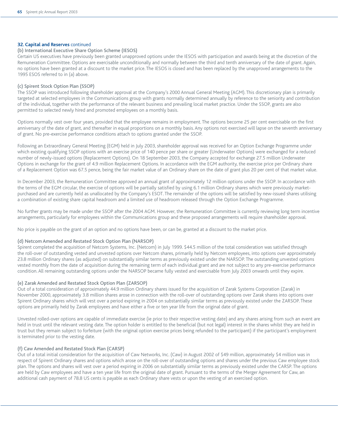#### **32. Capital and Reserves** continued

#### (b) International Executive Share Option Scheme (IESOS)

Certain US executives have previously been granted unapproved options under the IESOS with participation and awards being at the discretion of the Remuneration Committee. Options are exercisable unconditionally and normally between the third and tenth anniversary of the date of grant. Again, no options have been granted at a discount to the market price. The IESOS is closed and has been replaced by the unapproved arrangements to the 1995 ESOS referred to in (a) above.

#### (c) Spirent Stock Option Plan (SSOP)

The SSOP was introduced following shareholder approval at the Company's 2000 Annual General Meeting (AGM). This discretionary plan is primarily targeted at selected employees in the Communications group with grants normally determined annually by reference to the seniority and contribution of the individual, together with the performance of the relevant business and prevailing local market practice. Under the SSOP, grants are also permitted to selected newly hired and promoted employees on a monthly basis.

Options normally vest over four years, provided that the employee remains in employment. The options become 25 per cent exercisable on the first anniversary of the date of grant, and thereafter in equal proportions on a monthly basis. Any options not exercised will lapse on the seventh anniversary of grant. No pre-exercise performance conditions attach to options granted under the SSOP.

Following an Extraordinary General Meeting (EGM) held in July 2003, shareholder approval was received for an Option Exchange Programme under which existing qualifying SSOP options with an exercise price of 140 pence per share or greater (Underwater Options) were exchanged for a reduced number of newly-issued options (Replacement Options). On 18 September 2003, the Company accepted for exchange 27.5 million Underwater Options in exchange for the grant of 4.9 million Replacement Options. In accordance with the EGM authority, the exercise price per Ordinary share of a Replacement Option was 67.5 pence, being the fair market value of an Ordinary share on the date of grant plus 20 per cent of that market value.

In December 2003, the Remuneration Committee approved an annual grant of approximately 12 million options under the SSOP. In accordance with the terms of the EGM circular, the exercise of options will be partially satisfied by using 6.1 million Ordinary shares which were previously marketpurchased and are currently held as unallocated by the Company's ESOT. The remainder of the options will be satisfied by new-issued shares utilising a combination of existing share capital headroom and a limited use of headroom released through the Option Exchange Programme.

No further grants may be made under the SSOP after the 2004 AGM. However, the Remuneration Committee is currently reviewing long term incentive arrangements, particularly for employees within the Communications group and these proposed arrangements will require shareholder approval.

No price is payable on the grant of an option and no options have been, or can be, granted at a discount to the market price.

#### (d) Netcom Amended and Restated Stock Option Plan (NARSOP)

Spirent completed the acquisition of Netcom Systems, Inc. (Netcom) in July 1999. \$44.5 million of the total consideration was satisfied through the roll-over of outstanding vested and unvested options over Netcom shares, primarily held by Netcom employees, into options over approximately 23.8 million Ordinary shares (as adjusted) on substantially similar terms as previously existed under the NARSOP. The outstanding unvested options vested monthly from the date of acquisition during the remaining term of each individual grant and are not subject to any pre-exercise performance condition. All remaining outstanding options under the NARSOP became fully vested and exercisable from July 2003 onwards until they expire.

#### (e) Zarak Amended and Restated Stock Option Plan (ZARSOP)

Out of a total consideration of approximately 44.9 million Ordinary shares issued for the acquisition of Zarak Systems Corporation (Zarak) in November 2000, approximately 3.8 million shares arose in connection with the roll-over of outstanding options over Zarak shares into options over Spirent Ordinary shares which will vest over a period expiring in 2004 on substantially similar terms as previously existed under the ZARSOP. These options are primarily held by Zarak employees and have either a five or ten year life from the original date of grant.

Unvested rolled-over options are capable of immediate exercise (ie prior to their respective vesting date) and any shares arising from such an event are held in trust until the relevant vesting date. The option holder is entitled to the beneficial (but not legal) interest in the shares whilst they are held in trust but they remain subject to forfeiture (with the original option exercise prices being refunded to the participant) if the participant's employment is terminated prior to the vesting date.

#### (f) Caw Amended and Restated Stock Plan (CARSP)

Out of a total initial consideration for the acquisition of Caw Networks, Inc. (Caw) in August 2002 of \$49 million, approximately \$4 million was in respect of Spirent Ordinary shares and options which arose on the roll-over of outstanding options and shares under the previous Caw employee stock plan. The options and shares will vest over a period expiring in 2006 on substantially similar terms as previously existed under the CARSP. The options are held by Caw employees and have a ten year life from the original date of grant. Pursuant to the terms of the Merger Agreement for Caw, an additional cash payment of 78.8 US cents is payable as each Ordinary share vests or upon the vesting of an exercised option.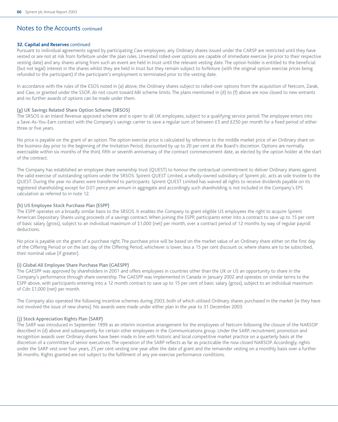#### **32. Capital and Reserves** continued

Pursuant to individual agreements signed by participating Caw employees, any Ordinary shares issued under the CARSP are restricted until they have vested or are not at risk from forfeiture under the plan rules. Unvested rolled-over options are capable of immediate exercise (ie prior to their respective vesting date) and any shares arising from such an event are held in trust until the relevant vesting date. The option holder is entitled to the beneficial (but not legal) interest in the shares whilst they are held in trust but they remain subject to forfeiture (with the original option exercise prices being refunded to the participant) if the participant's employment is terminated prior to the vesting date.

In accordance with the rules of the ESOS noted in (a) above, the Ordinary shares subject to rolled-over options from the acquisition of Netcom, Zarak, and Caw, or granted under the SSOP, do not count toward ABI scheme limits. The plans mentioned in (d) to (f) above are now closed to new entrants and no further awards of options can be made under them.

#### (g) UK Savings Related Share Option Scheme (SRSOS)

The SRSOS is an Inland Revenue approved scheme and is open to all UK employees, subject to a qualifying service period. The employee enters into a Save-As-You-Earn contract with the Company's savings carrier to save a regular sum of between £5 and £250 per month for a fixed period of either three or five years.

No price is payable on the grant of an option. The option exercise price is calculated by reference to the middle market price of an Ordinary share on the business day prior to the beginning of the Invitation Period, discounted by up to 20 per cent at the Board's discretion. Options are normally exercisable within six months of the third, fifth or seventh anniversary of the contract commencement date, as elected by the option holder at the start of the contract.

The Company has established an employee share ownership trust (QUEST) to honour the contractual commitment to deliver Ordinary shares against the valid exercise of outstanding options under the SRSOS. Spirent QUEST Limited, a wholly-owned subsidiary of Spirent plc, acts as sole trustee to the QUEST. During the year no shares were transferred to participants. Spirent QUEST Limited has waived all rights to receive dividends payable on its registered shareholding except for 0.01 pence per annum in aggregate and accordingly such shareholding is not included in the Company's EPS calculation as referred to in note 12.

#### (h) US Employee Stock Purchase Plan (ESPP)

The ESPP operates on a broadly similar basis to the SRSOS. It enables the Company to grant eligible US employees the right to acquire Spirent American Depositary Shares using proceeds of a savings contract. When joining the ESPP, participants enter into a contract to save up to 15 per cent of basic salary (gross), subject to an individual maximum of \$1,000 (net) per month, over a contract period of 12 months by way of regular payroll deductions.

No price is payable on the grant of a purchase right. The purchase price will be based on the market value of an Ordinary share either on the first day of the Offering Period or on the last day of the Offering Period, whichever is lower, less a 15 per cent discount or, where shares are to be subscribed, their nominal value (if greater).

#### (i) Global All Employee Share Purchase Plan (GAESPP)

The GAESPP was approved by shareholders in 2001 and offers employees in countries other than the UK or US an opportunity to share in the Company's performance through share ownership. The GAESPP was implemented in Canada in January 2002 and operates on similar terms to the ESPP above, with participants entering into a 12 month contract to save up to 15 per cent of basic salary (gross), subject to an individual maximum of Cdn \$1,000 (net) per month.

The Company also operated the following incentive schemes during 2003, both of which utilised Ordinary shares purchased in the market (ie they have not involved the issue of new shares). No awards were made under either plan in the year to 31 December 2003.

#### (j) Stock Appreciation Rights Plan (SARP)

The SARP was introduced in September 1999 as an interim incentive arrangement for the employees of Netcom following the closure of the NARSOP described in (d) above and subsequently for certain other employees in the Communications group. Under the SARP, recruitment, promotion and recognition awards over Ordinary shares have been made in line with historic and local competitive market practice on a quarterly basis at the discretion of a committee of senior executives. The operation of the SARP reflects as far as practicable the now closed NARSOP. Accordingly, rights under the SARP vest over four years, 25 per cent vesting one year after the date of grant and the remainder vesting on a monthly basis over a further 36 months. Rights granted are not subject to the fulfilment of any pre-exercise performance conditions.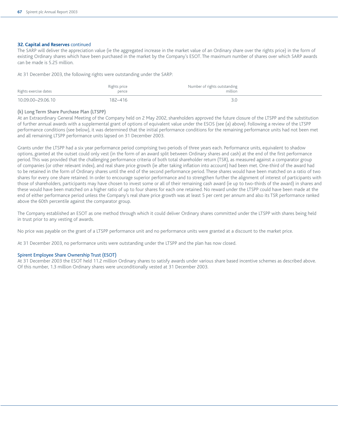#### **32. Capital and Reserves** continued

The SARP will deliver the appreciation value (ie the aggregated increase in the market value of an Ordinary share over the rights price) in the form of existing Ordinary shares which have been purchased in the market by the Company's ESOT. The maximum number of shares over which SARP awards can be made is 5.25 million.

At 31 December 2003, the following rights were outstanding under the SARP:

| Rights exercise dates | Rights price<br>pence | Number of rights outstanding<br>million |
|-----------------------|-----------------------|-----------------------------------------|
| 10.09.00-29.06.10     | 182-416               |                                         |

#### (k) Long Term Share Purchase Plan (LTSPP)

At an Extraordinary General Meeting of the Company held on 2 May 2002, shareholders approved the future closure of the LTSPP and the substitution of further annual awards with a supplemental grant of options of equivalent value under the ESOS (see (a) above). Following a review of the LTSPP performance conditions (see below), it was determined that the initial performance conditions for the remaining performance units had not been met and all remaining LTSPP performance units lapsed on 31 December 2003.

Grants under the LTSPP had a six year performance period comprising two periods of three years each. Performance units, equivalent to shadow options, granted at the outset could only vest (in the form of an award split between Ordinary shares and cash) at the end of the first performance period. This was provided that the challenging performance criteria of both total shareholder return (TSR), as measured against a comparator group of companies (or other relevant index), and real share price growth (ie after taking inflation into account) had been met. One-third of the award had to be retained in the form of Ordinary shares until the end of the second performance period. These shares would have been matched on a ratio of two shares for every one share retained. In order to encourage superior performance and to strengthen further the alignment of interest of participants with those of shareholders, participants may have chosen to invest some or all of their remaining cash award (ie up to two-thirds of the award) in shares and these would have been matched on a higher ratio of up to four shares for each one retained. No reward under the LTSPP could have been made at the end of either performance period unless the Company's real share price growth was at least 5 per cent per annum and also its TSR performance ranked above the 60th percentile against the comparator group.

The Company established an ESOT as one method through which it could deliver Ordinary shares committed under the LTSPP with shares being held in trust prior to any vesting of awards.

No price was payable on the grant of a LTSPP performance unit and no performance units were granted at a discount to the market price.

At 31 December 2003, no performance units were outstanding under the LTSPP and the plan has now closed.

#### Spirent Employee Share Ownership Trust (ESOT)

At 31 December 2003 the ESOT held 11.2 million Ordinary shares to satisfy awards under various share based incentive schemes as described above. Of this number, 1.3 million Ordinary shares were unconditionally vested at 31 December 2003.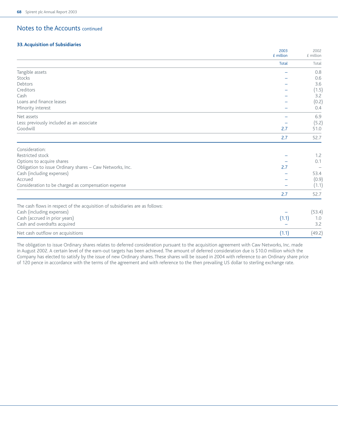#### **33. Acquisition of Subsidiaries**

|                                                                              | 2003<br>£ million | 2002<br>£ million |
|------------------------------------------------------------------------------|-------------------|-------------------|
|                                                                              | <b>Total</b>      | Total             |
| Tangible assets                                                              |                   | 0.8               |
| Stocks                                                                       |                   | 0.6               |
| Debtors                                                                      |                   | 3.6               |
| Creditors                                                                    |                   | (1.5)             |
| Cash                                                                         |                   | 3.2               |
| Loans and finance leases                                                     |                   | (0.2)             |
| Minority interest                                                            |                   | 0.4               |
| Net assets                                                                   |                   | 6.9               |
| Less: previously included as an associate                                    |                   | (5.2)             |
| Goodwill                                                                     | 2.7               | 51.0              |
|                                                                              | 2.7               | 52.7              |
| Consideration:                                                               |                   |                   |
| Restricted stock                                                             |                   | 1.2               |
| Options to acquire shares                                                    |                   | 0.1               |
| Obligation to issue Ordinary shares - Caw Networks, Inc.                     | 2.7               |                   |
| Cash (including expenses)                                                    |                   | 53.4              |
| Accrued                                                                      |                   | (0.9)             |
| Consideration to be charged as compensation expense                          |                   | (1.1)             |
|                                                                              | 2.7               | 52.7              |
| The cash flows in respect of the acquisition of subsidiaries are as follows: |                   |                   |
| Cash (including expenses)                                                    |                   | (53.4)            |
| Cash (accrued in prior years)                                                | (1.1)             | 1.0               |
| Cash and overdrafts acquired                                                 |                   | 3.2               |
| Net cash outflow on acquisitions                                             | (1.1)             | (49.2)            |

The obligation to issue Ordinary shares relates to deferred consideration pursuant to the acquisition agreement with Caw Networks, Inc. made in August 2002. A certain level of the earn-out targets has been achieved. The amount of deferred consideration due is \$10.0 million which the Company has elected to satisfy by the issue of new Ordinary shares. These shares will be issued in 2004 with reference to an Ordinary share price of 120 pence in accordance with the terms of the agreement and with reference to the then prevailing US dollar to sterling exchange rate.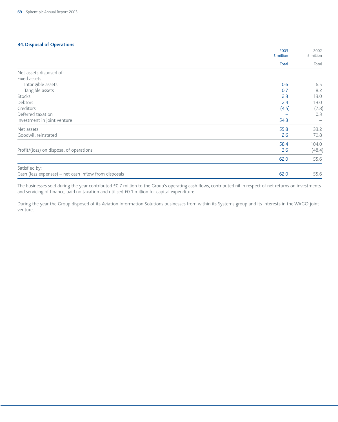#### **34. Disposal of Operations**

|                                                       | 2003<br>£ million | 2002<br>£ million        |
|-------------------------------------------------------|-------------------|--------------------------|
|                                                       | Total             | Total                    |
| Net assets disposed of:                               |                   |                          |
| Fixed assets                                          |                   |                          |
| Intangible assets                                     | 0.6               | 6.5                      |
| Tangible assets                                       | 0.7               | 8.2                      |
| Stocks                                                | 2.3               | 13.0                     |
| Debtors                                               | 2.4               | 13.0                     |
| Creditors                                             | (4.5)             | (7.8)                    |
| Deferred taxation                                     |                   | 0.3                      |
| Investment in joint venture                           | 54.3              | $\overline{\phantom{0}}$ |
| Net assets                                            | 55.8              | 33.2                     |
| Goodwill reinstated                                   | 2.6               | 70.8                     |
|                                                       | 58.4              | 104.0                    |
| Profit/(loss) on disposal of operations               | 3.6               | (48.4)                   |
|                                                       | 62.0              | 55.6                     |
| Satisfied by:                                         |                   |                          |
| Cash (less expenses) – net cash inflow from disposals | 62.0              | 55.6                     |

The businesses sold during the year contributed £0.7 million to the Group's operating cash flows, contributed nil in respect of net returns on investments and servicing of finance, paid no taxation and utilised £0.1 million for capital expenditure.

During the year the Group disposed of its Aviation Information Solutions businesses from within its Systems group and its interests in the WAGO joint venture.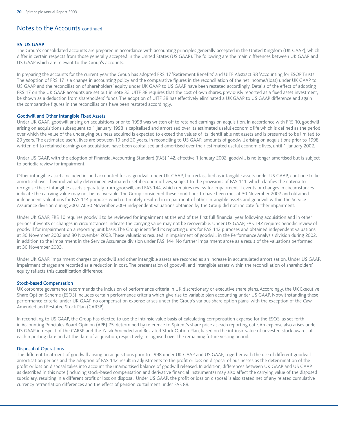#### **35. US GAAP**

The Group's consolidated accounts are prepared in accordance with accounting principles generally accepted in the United Kingdom (UK GAAP), which differ in certain respects from those generally accepted in the United States (US GAAP). The following are the main differences between UK GAAP and US GAAP which are relevant to the Group's accounts.

In preparing the accounts for the current year the Group has adopted FRS 17 'Retirement Benefits' and UITF Abstract 38 'Accounting for ESOP Trusts'. The adoption of FRS 17 is a change in accounting policy and the comparative figures in the reconciliation of the net income/(loss) under UK GAAP to US GAAP and the reconciliation of shareholders' equity under UK GAAP to US GAAP have been restated accordingly. Details of the effect of adopting FRS 17 on the UK GAAP accounts are set out in note 32. UITF 38 requires that the cost of own shares, previously reported as a fixed asset investment, be shown as a deduction from shareholders' funds. The adoption of UITF 38 has effectively eliminated a UK GAAP to US GAAP difference and again the comparative figures in the reconciliations have been restated accordingly.

#### Goodwill and Other Intangible Fixed Assets

Under UK GAAP, goodwill arising on acquisitions prior to 1998 was written off to retained earnings on acquisition. In accordance with FRS 10, goodwill arising on acquisitions subsequent to 1 January 1998 is capitalised and amortised over its estimated useful economic life which is defined as the period over which the value of the underlying business acquired is expected to exceed the values of its identifiable net assets and is presumed to be limited to 20 years. The estimated useful lives are between 10 and 20 years. In reconciling to US GAAP, amounts of goodwill arising on acquisitions prior to 1998 written off to retained earnings on acquisition, have been capitalised and amortised over their estimated useful economic lives, until 1 January 2002.

Under US GAAP, with the adoption of Financial Accounting Standard (FAS) 142, effective 1 January 2002, goodwill is no longer amortised but is subject to periodic review for impairment.

Other intangible assets included in, and accounted for as, goodwill under UK GAAP, but reclassified as intangible assets under US GAAP, continue to be amortised over their individually determined estimated useful economic lives, subject to the provisions of FAS 141, which clarifies the criteria to recognise these intangible assets separately from goodwill, and FAS 144, which requires review for impairment if events or changes in circumstances indicate the carrying value may not be recoverable. The Group considered these conditions to have been met at 30 November 2002 and obtained independent valuations for FAS 144 purposes which ultimately resulted in impairment of other intangible assets and goodwill within the Service Assurance division during 2002. At 30 November 2003 independent valuations obtained by the Group did not indicate further impairment.

Under UK GAAP, FRS 10 requires goodwill to be reviewed for impairment at the end of the first full financial year following acquisition and in other periods if events or changes in circumstances indicate the carrying value may not be recoverable. Under US GAAP, FAS 142 requires periodic review of goodwill for impairment on a reporting unit basis. The Group identified its reporting units for FAS 142 purposes and obtained independent valuations at 30 November 2002 and 30 November 2003. These valuations resulted in impairment of goodwill in the Performance Analysis division during 2002, in addition to the impairment in the Service Assurance division under FAS 144. No further impairment arose as a result of the valuations performed at 30 November 2003.

Under UK GAAP, impairment charges on goodwill and other intangible assets are recorded as an increase in accumulated amortisation. Under US GAAP, impairment charges are recorded as a reduction in cost. The presentation of goodwill and intangible assets within the reconciliation of shareholders' equity reflects this classification difference.

#### Stock-based Compensation

UK corporate governance recommends the inclusion of performance criteria in UK discretionary or executive share plans. Accordingly, the UK Executive Share Option Scheme (ESOS) includes certain performance criteria which give rise to variable plan accounting under US GAAP. Notwithstanding these performance criteria, under UK GAAP no compensation expense arises under the Group's various share option plans, with the exception of the Caw Amended and Restated Stock Plan (CARSP).

In reconciling to US GAAP, the Group has elected to use the intrinsic value basis of calculating compensation expense for the ESOS, as set forth in Accounting Principles Board Opinion (APB) 25, determined by reference to Spirent's share price at each reporting date. An expense also arises under US GAAP in respect of the CARSP and the Zarak Amended and Restated Stock Option Plan, based on the intrinsic value of unvested stock awards at each reporting date and at the date of acquisition, respectively, recognised over the remaining future vesting period.

#### Disposal of Operations

The different treatment of goodwill arising on acquisitions prior to 1998 under UK GAAP and US GAAP, together with the use of different goodwill amortisation periods and the adoption of FAS 142, result in adjustments to the profit or loss on disposal of businesses as the determination of the profit or loss on disposal takes into account the unamortised balance of goodwill released. In addition, differences between UK GAAP and US GAAP as described in this note (including stock-based compensation and derivative financial instruments) may also affect the carrying value of the disposed subsidiary, resulting in a different profit or loss on disposal. Under US GAAP, the profit or loss on disposal is also stated net of any related cumulative currency retranslation differences and the effect of pension curtailment under FAS 88.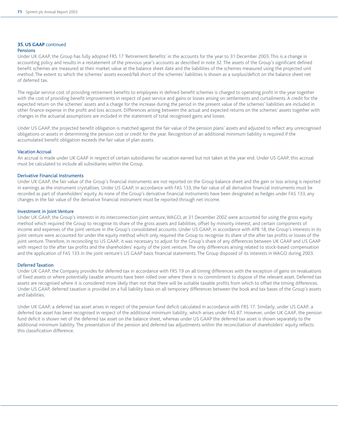### **35. US GAAP** continued

#### Pensions

Under UK GAAP, the Group has fully adopted FRS 17 'Retirement Benefits' in the accounts for the year to 31 December 2003. This is a change in accounting policy and results in a restatement of the previous year's accounts as described in note 32. The assets of the Group's significant defined benefit schemes are measured at their market value at the balance sheet date and the liabilities of the schemes measured using the projected unit method. The extent to which the schemes' assets exceed/fall short of the schemes' liabilities is shown as a surplus/deficit on the balance sheet net of deferred tax.

The regular service cost of providing retirement benefits to employees in defined benefit schemes is charged to operating profit in the year together with the cost of providing benefit improvements in respect of past service and gains or losses arising on settlements and curtailments. A credit for the expected return on the schemes' assets and a charge for the increase during the period in the present value of the schemes' liabilities are included in other finance expense in the profit and loss account. Differences arising between the actual and expected returns on the schemes' assets together with changes in the actuarial assumptions are included in the statement of total recognised gains and losses.

Under US GAAP, the projected benefit obligation is matched against the fair value of the pension plans' assets and adjusted to reflect any unrecognised obligations or assets in determining the pension cost or credit for the year. Recognition of an additional minimum liability is required if the accumulated benefit obligation exceeds the fair value of plan assets.

#### Vacation Accrual

An accrual is made under UK GAAP in respect of certain subsidiaries for vacation earned but not taken at the year end. Under US GAAP, this accrual must be calculated to include all subsidiaries within the Group.

#### Derivative Financial Instruments

Under UK GAAP, the fair value of the Group's financial instruments are not reported on the Group balance sheet and the gain or loss arising is reported in earnings as the instrument crystallises. Under US GAAP, in accordance with FAS 133, the fair value of all derivative financial instruments must be recorded as part of shareholders' equity. As none of the Group's derivative financial instruments have been designated as hedges under FAS 133, any changes in the fair value of the derivative financial instrument must be reported through net income.

#### Investment in Joint Venture

Under UK GAAP, the Group's interests in its interconnection joint venture, WAGO, at 31 December 2002 were accounted for using the gross equity method which required the Group to recognise its share of the gross assets and liabilities, offset by minority interest, and certain components of income and expenses of the joint venture in the Group's consolidated accounts. Under US GAAP, in accordance with APB 18, the Group's interests in its joint venture were accounted for under the equity method which only required the Group to recognise its share of the after tax profits or losses of the joint venture. Therefore, in reconciling to US GAAP, it was necessary to adjust for the Group's share of any differences between UK GAAP and US GAAP with respect to the after tax profits and the shareholders' equity of the joint venture. The only differences arising related to stock-based compensation and the application of FAS 133 in the joint venture's US GAAP basis financial statements. The Group disposed of its interests in WAGO during 2003.

#### Deferred Taxation

Under UK GAAP, the Company provides for deferred tax in accordance with FRS 19 on all timing differences with the exception of gains on revaluations of fixed assets or where potentially taxable amounts have been rolled over where there is no commitment to dispose of the relevant asset. Deferred tax assets are recognised where it is considered more likely than not that there will be suitable taxable profits from which to offset the timing differences. Under US GAAP, deferred taxation is provided on a full liability basis on all temporary differences between the book and tax bases of the Group's assets and liabilities.

Under UK GAAP, a deferred tax asset arises in respect of the pension fund deficit calculated in accordance with FRS 17. Similarly, under US GAAP, a deferred tax asset has been recognised in respect of the additional minimum liability, which arises under FAS 87. However, under UK GAAP, the pension fund deficit is shown net of the deferred tax asset on the balance sheet, whereas under US GAAP the deferred tax asset is shown separately to the additional minimum liability. The presentation of the pension and deferred tax adjustments within the reconciliation of shareholders' equity reflects this classification difference.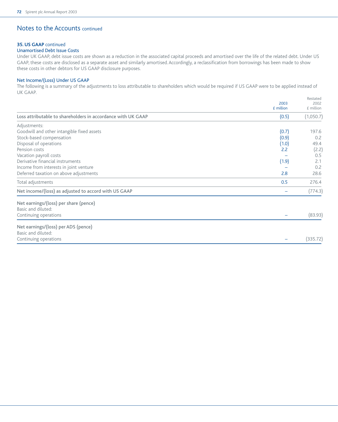# Notes to the Accounts continued

### **35. US GAAP** continued

### Unamortised Debt Issue Costs

Under UK GAAP, debt issue costs are shown as a reduction in the associated capital proceeds and amortised over the life of the related debt. Under US GAAP, these costs are disclosed as a separate asset and similarly amortised. Accordingly, a reclassification from borrowings has been made to show these costs in other debtors for US GAAP disclosure purposes.

### Net Income/(Loss) Under US GAAP

The following is a summary of the adjustments to loss attributable to shareholders which would be required if US GAAP were to be applied instead of UK GAAP.

Restated

|                                                              | 2003<br>£ million | nestated<br>2002<br>£ million |
|--------------------------------------------------------------|-------------------|-------------------------------|
| Loss attributable to shareholders in accordance with UK GAAP | (0.5)             | (1,050.7)                     |
| Adjustments:                                                 |                   |                               |
| Goodwill and other intangible fixed assets                   | (0.7)             | 197.6                         |
| Stock-based compensation                                     | (0.9)             | 0.2                           |
| Disposal of operations                                       | (1.0)             | 49.4                          |
| Pension costs                                                | 2.2               | (2.2)                         |
| Vacation payroll costs                                       |                   | 0.5                           |
| Derivative financial instruments                             | (1.9)             | 2.1                           |
| Income from interests in joint venture                       |                   | 0.2                           |
| Deferred taxation on above adjustments                       | 2.8               | 28.6                          |
| Total adjustments                                            | 0.5               | 276.4                         |
| Net income/(loss) as adjusted to accord with US GAAP         |                   | (774.3)                       |
| Net earnings/(loss) per share (pence)<br>Basic and diluted:  |                   |                               |
| Continuing operations                                        |                   | (83.93)                       |
| Net earnings/(loss) per ADS (pence)                          |                   |                               |
| Basic and diluted:                                           |                   |                               |
| Continuing operations                                        |                   | (335.72)                      |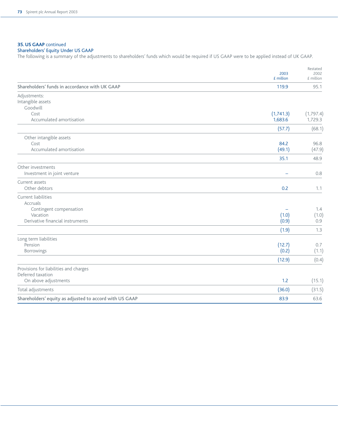## **35. US GAAP** continued

# Shareholders' Equity Under US GAAP

The following is a summary of the adjustments to shareholders' funds which would be required if US GAAP were to be applied instead of UK GAAP.

|                                                         | 2003<br>£ million | Restated<br>2002<br>£ million |
|---------------------------------------------------------|-------------------|-------------------------------|
| Shareholders' funds in accordance with UK GAAP          | 119.9             | 95.1                          |
| Adjustments:<br>Intangible assets<br>Goodwill           |                   |                               |
| Cost                                                    | (1,741.3)         | (1,797.4)                     |
| Accumulated amortisation                                | 1,683.6           | 1,729.3                       |
|                                                         | (57.7)            | (68.1)                        |
| Other intangible assets                                 |                   |                               |
| Cost                                                    | 84.2              | 96.8                          |
| Accumulated amortisation                                | (49.1)            | (47.9)                        |
|                                                         | 35.1              | 48.9                          |
| Other investments<br>Investment in joint venture        |                   | 0.8                           |
| Current assets                                          |                   |                               |
| Other debtors                                           | 0.2               | 1.1                           |
| Current liabilities                                     |                   |                               |
| Accruals                                                |                   |                               |
| Contingent compensation                                 |                   | 1.4                           |
| Vacation<br>Derivative financial instruments            | (1.0)             | (1.0)                         |
|                                                         | (0.9)             | 0.9                           |
|                                                         | (1.9)             | 1.3                           |
| Long term liabilities                                   |                   |                               |
| Pension                                                 | (12.7)            | 0.7                           |
| <b>Borrowings</b>                                       | (0.2)             | (1.1)                         |
|                                                         | (12.9)            | (0.4)                         |
| Provisions for liabilities and charges                  |                   |                               |
| Deferred taxation                                       | 1.2               |                               |
| On above adjustments                                    |                   | (15.1)                        |
| Total adjustments                                       | (36.0)            | (31.5)                        |
| Shareholders' equity as adjusted to accord with US GAAP | 83.9              | 63.6                          |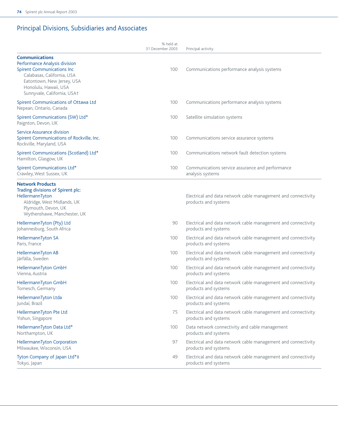# Principal Divisions, Subsidiaries and Associates

|                                                                                                                                                                                                                 | % held at<br>31 December 2003 | Principal activity                                                                    |
|-----------------------------------------------------------------------------------------------------------------------------------------------------------------------------------------------------------------|-------------------------------|---------------------------------------------------------------------------------------|
| <b>Communications</b><br>Performance Analysis division<br><b>Spirent Communications Inc</b><br>Calabasas, California, USA<br>Eatontown, New Jersey, USA<br>Honolulu, Hawaii, USA<br>Sunnyvale, California, USA+ | 100                           | Communications performance analysis systems                                           |
| Spirent Communications of Ottawa Ltd<br>Nepean, Ontario, Canada                                                                                                                                                 | 100                           | Communications performance analysis systems                                           |
| Spirent Communications (SW) Ltd*<br>Paignton, Devon, UK                                                                                                                                                         | 100                           | Satellite simulation systems                                                          |
| Service Assurance division<br>Spirent Communications of Rockville, Inc.<br>Rockville, Maryland, USA                                                                                                             | 100                           | Communications service assurance systems                                              |
| Spirent Communications (Scotland) Ltd*<br>Hamilton, Glasgow, UK                                                                                                                                                 | 100                           | Communications network fault detection systems                                        |
| Spirent Communications Ltd*<br>Crawley, West Sussex, UK                                                                                                                                                         | 100                           | Communications service assurance and performance<br>analysis systems                  |
| <b>Network Products</b><br>Trading divisions of Spirent plc:<br>HellermannTyton<br>Aldridge, West Midlands, UK<br>Plymouth, Devon, UK<br>Wythenshawe, Manchester, UK                                            |                               | Electrical and data network cable management and connectivity<br>products and systems |
| HellermannTyton (Pty) Ltd<br>Johannesburg, South Africa                                                                                                                                                         | 90                            | Electrical and data network cable management and connectivity<br>products and systems |
| HellermannTyton SA<br>Paris, France                                                                                                                                                                             | 100                           | Electrical and data network cable management and connectivity<br>products and systems |
| HellermannTyton AB<br>Järfälla, Sweden                                                                                                                                                                          | 100                           | Electrical and data network cable management and connectivity<br>products and systems |
| HellermannTyton GmbH<br>Vienna, Austria                                                                                                                                                                         | 100                           | Electrical and data network cable management and connectivity<br>products and systems |
| HellermannTyton GmbH<br>Tornesch, Germany                                                                                                                                                                       | 100                           | Electrical and data network cable management and connectivity<br>products and systems |
| HellermannTyton Ltda<br>Jundaí, Brazil                                                                                                                                                                          | 100                           | Electrical and data network cable management and connectivity<br>products and systems |
| HellermannTyton Pte Ltd<br>Yishun, Singapore                                                                                                                                                                    | 75                            | Electrical and data network cable management and connectivity<br>products and systems |
| HellermannTyton Data Ltd*<br>Northampton, UK                                                                                                                                                                    | 100                           | Data network connectivity and cable management<br>products and systems                |
| HellermannTyton Corporation<br>Milwaukee, Wisconsin, USA                                                                                                                                                        | 97                            | Electrical and data network cable management and connectivity<br>products and systems |
| Tyton Company of Japan Ltd*‡<br>Tokyo, Japan                                                                                                                                                                    | 49                            | Electrical and data network cable management and connectivity<br>products and systems |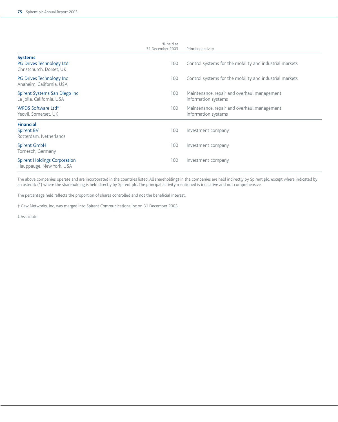|                                                                        | % held at<br>31 December 2003 | Principal activity                                                 |
|------------------------------------------------------------------------|-------------------------------|--------------------------------------------------------------------|
| <b>Systems</b><br>PG Drives Technology Ltd<br>Christchurch, Dorset, UK | 100                           | Control systems for the mobility and industrial markets            |
| PG Drives Technology Inc<br>Anaheim, California, USA                   | 100                           | Control systems for the mobility and industrial markets            |
| Spirent Systems San Diego Inc<br>La Jolla, California, USA             | 100                           | Maintenance, repair and overhaul management<br>information systems |
| WPDS Software Ltd*<br>Yeovil, Somerset, UK                             | 100                           | Maintenance, repair and overhaul management<br>information systems |
| <b>Financial</b><br>Spirent BV<br>Rotterdam, Netherlands               | 100                           | Investment company                                                 |
| Spirent GmbH<br>Tornesch, Germany                                      | 100                           | Investment company                                                 |
| <b>Spirent Holdings Corporation</b><br>Hauppauge, New York, USA        | 100                           | Investment company                                                 |

The above companies operate and are incorporated in the countries listed. All shareholdings in the companies are held indirectly by Spirent plc, except where indicated by an asterisk (\*) where the shareholding is held directly by Spirent plc. The principal activity mentioned is indicative and not comprehensive.

The percentage held reflects the proportion of shares controlled and not the beneficial interest.

† Caw Networks, Inc. was merged into Spirent Communications Inc on 31 December 2003.

‡ Associate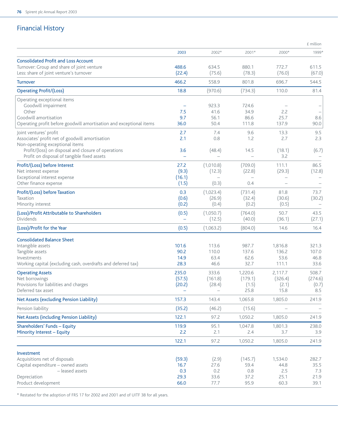# Financial History

|                                                                                              |             |                          |               |               | £ million   |
|----------------------------------------------------------------------------------------------|-------------|--------------------------|---------------|---------------|-------------|
|                                                                                              | 2003        | 2002*                    | 2001*         | 2000*         | 1999*       |
| <b>Consolidated Profit and Loss Account</b>                                                  |             |                          |               |               |             |
| Turnover: Group and share of joint venture                                                   | 488.6       | 634.5                    | 880.1         | 772.7         | 611.5       |
| Less: share of joint venture's turnover                                                      | (22.4)      | (75.6)                   | (78.3)        | (76.0)        | (67.0)      |
| <b>Turnover</b>                                                                              | 466.2       | 558.9                    | 801.8         | 696.7         | 544.5       |
| <b>Operating Profit/(Loss)</b>                                                               | 18.8        | (970.6)                  | (734.3)       | 110.0         | 81.4        |
| Operating exceptional items                                                                  |             |                          |               |               |             |
| Goodwill impairment                                                                          |             | 923.3                    | 724.6         |               |             |
| Other                                                                                        | 7.5         | 41.6                     | 34.9          | 2.2           |             |
| Goodwill amortisation<br>Operating profit before goodwill amortisation and exceptional items | 9.7<br>36.0 | 56.1<br>50.4             | 86.6<br>111.8 | 25.7<br>137.9 | 8.6<br>90.0 |
|                                                                                              |             |                          |               |               |             |
| Joint ventures' profit                                                                       | 2.7         | 7.4                      | 9.6           | 13.3          | 9.5         |
| Associates' profit net of goodwill amortisation                                              | 2.1         | 0.8                      | 1.2           | 2.7           | 2.3         |
| Non-operating exceptional items<br>Profit/(loss) on disposal and closure of operations       | 3.6         | (48.4)                   | 14.5          | (18.1)        | (6.7)       |
| Profit on disposal of tangible fixed assets                                                  |             |                          |               | 3.2           |             |
| Profit/(Loss) before Interest                                                                | 27.2        | (1,010.8)                | (709.0)       | 111.1         | 86.5        |
| Net interest expense                                                                         | (9.3)       | (12.3)                   | (22.8)        | (29.3)        | (12.8)      |
| Exceptional interest expense                                                                 | (16.1)      |                          |               |               |             |
| Other finance expense                                                                        | (1.5)       | (0.3)                    | 0.4           |               |             |
| Profit/(Loss) before Taxation                                                                | 0.3         | (1,023.4)                | (731.4)       | 81.8          | 73.7        |
| Taxation                                                                                     | (0.6)       | (26.9)                   | (32.4)        | (30.6)        | (30.2)      |
| Minority interest                                                                            | (0.2)       | (0.4)                    | (0.2)         | (0.5)         |             |
| (Loss)/Profit Attributable to Shareholders                                                   | (0.5)       | (1,050.7)                | (764.0)       | 50.7          | 43.5        |
| Dividends                                                                                    |             | (12.5)                   | (40.0)        | (36.1)        | (27.1)      |
| (Loss)/Profit for the Year                                                                   | (0.5)       | (1,063.2)                | (804.0)       | 14.6          | 16.4        |
| <b>Consolidated Balance Sheet</b>                                                            |             |                          |               |               |             |
| Intangible assets                                                                            | 101.6       | 113.6                    | 987.7         | 1,816.8       | 321.3       |
| Tangible assets                                                                              | 90.2        | 110.0                    | 137.6         | 136.2         | 107.0       |
| Investments                                                                                  | 14.9        | 63.4                     | 62.6          | 53.6          | 46.8        |
| Working capital (excluding cash, overdrafts and deferred tax)                                | 28.3        | 46.6                     | 32.7          | 111.1         | 33.6        |
| <b>Operating Assets</b>                                                                      | 235.0       | 333.6                    | 1,220.6       | 2,117.7       | 508.7       |
| Net borrowings                                                                               | (57.5)      | (161.8)                  | (179.1)       | (326.4)       | (274.6)     |
| Provisions for liabilities and charges                                                       | (20.2)      | (28.4)                   | (1.5)         | (2.1)         | (0.7)       |
| Deferred tax asset                                                                           |             | $\overline{\phantom{0}}$ | 25.8          | 15.8          | 8.5         |
| Net Assets (excluding Pension Liability)                                                     | 157.3       | 143.4                    | 1.065.8       | 1,805.0       | 241.9       |
| Pension liability                                                                            | (35.2)      | (46.2)                   | (15.6)        |               |             |
| Net Assets (including Pension Liability)                                                     | 122.1       | 97.2                     | 1,050.2       | 1,805.0       | 241.9       |
| Shareholders' Funds - Equity                                                                 | 119.9       | 95.1                     | 1,047.8       | 1,801.3       | 238.0       |
| Minority Interest - Equity                                                                   | 2.2         | 2.1                      | 2.4           | 3.7           | 3.9         |
|                                                                                              | 122.1       | 97.2                     | 1,050.2       | 1,805.0       | 241.9       |
| Investment                                                                                   |             |                          |               |               |             |
| Acquisitions net of disposals                                                                | (59.3)      | (2.9)                    | (145.7)       | 1,534.0       | 282.7       |
| Capital expenditure - owned assets                                                           | 16.7        | 27.6                     | 59.4          | 44.8          | 35.5        |
| - leased assets                                                                              | 0.3         | 0.2                      | 0.8           | 2.5           | 7.3         |
| Depreciation                                                                                 | 29.3        | 33.6                     | 37.2          | 25.1          | 21.9        |
| Product development                                                                          | 66.0        | 77.7                     | 95.9          | 60.3          | 39.1        |

\* Restated for the adoption of FRS 17 for 2002 and 2001 and of UITF 38 for all years.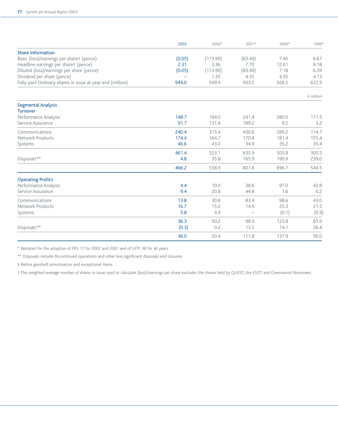|                                                           | 2003   | 2002*    | 2001*   | 2000* | 1999*     |
|-----------------------------------------------------------|--------|----------|---------|-------|-----------|
| <b>Share Information</b>                                  |        |          |         |       |           |
| Basic (loss)/earnings per sharet (pence)                  | (0.05) | (113.90) | (83.49) | 7.40  | 6.67      |
| Headline earnings per sharet (pence)                      | 2.31   | 3.36     | 7.70    | 12.61 | 9.18      |
| Diluted (loss)/earnings per share (pence)                 | (0.05) | (113.90) | (83.49) | 7.18  | 6.39      |
| Dividend per share (pence)                                |        | 1.35     | 4.35    | 4.35  | 4.13      |
| Fully paid Ordinary shares in issue at year end (million) | 944.0  | 939.4    | 933.2   | 926.5 | 622.5     |
|                                                           |        |          |         |       | £ million |
| <b>Segmental Analysis</b>                                 |        |          |         |       |           |
| <b>Turnover</b>                                           | 148.7  | 184.0    | 241.4   | 280.0 | 111.5     |
| Performance Analysis<br>Service Assurance                 | 91.7   | 131.4    | 189.2   | 9.2   |           |
|                                                           |        |          |         |       | 3.2       |
| Communications                                            | 240.4  | 315.4    | 430.6   | 289.2 | 114.7     |
| Network Products                                          | 174.4  | 164.7    | 170.4   | 181.4 | 155.4     |
| Systems                                                   | 46.6   | 43.0     | 34.9    | 35.2  | 35.4      |
|                                                           | 461.4  | 523.1    | 635.9   | 505.8 | 305.5     |
| Disposals**                                               | 4.8    | 35.8     | 165.9   | 190.9 | 239.0     |
|                                                           | 466.2  | 558.9    | 801.8   | 696.7 | 544.5     |
| <b>Operating Profit#</b>                                  |        |          |         |       |           |
| Performance Analysis                                      | 4.4    | 10.0     | 38.6    | 97.0  | 42.8      |
| Service Assurance                                         | 9.4    | 20.8     | 44.8    | 1.6   | 0.2       |
| Communications                                            | 13.8   | 30.8     | 83.4    | 98.6  | 43.0      |
| Network Products                                          | 16.7   | 15.0     | 14.9    | 25.3  | 21.5      |
| Systems                                                   | 5.8    | 4.4      |         | (0.1) | (0.9)     |
|                                                           | 36.3   | 50.2     | 98.3    | 123.8 | 63.6      |
| Disposals**                                               | (0.3)  | 0.2      | 13.5    | 14.1  | 26.4      |
|                                                           | 36.0   | 50.4     | 111.8   | 137.9 | 90.0      |

\* Restated for the adoption of FRS 17 for 2002 and 2001 and of UITF 38 for all years.

\*\* Disposals include discontinued operations and other less significant disposals and closures.

‡ Before goodwill amortisation and exceptional items.

† The weighted average number of shares in issue used to calculate (loss)/earnings per share excludes the shares held by QUEST, the ESOT and Greenwood Nominees.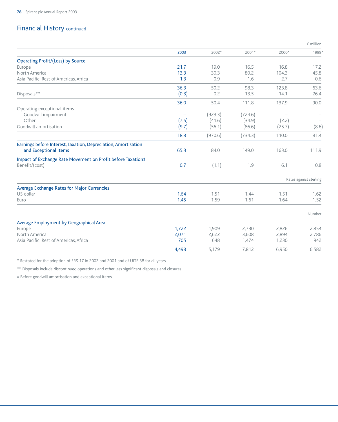# Financial History continued

|                                                                |          |         |         |        | £ million              |
|----------------------------------------------------------------|----------|---------|---------|--------|------------------------|
|                                                                | 2003     | 2002*   | 2001*   | 2000*  | 1999*                  |
| <b>Operating Profit/(Loss) by Source</b>                       |          |         |         |        |                        |
| Europe                                                         | 21.7     | 19.0    | 16.5    | 16.8   | 17.2                   |
| North America                                                  | 13.3     | 30.3    | 80.2    | 104.3  | 45.8                   |
| Asia Pacific, Rest of Americas, Africa                         | 1.3      | 0.9     | 1.6     | 2.7    | 0.6                    |
|                                                                | 36.3     | 50.2    | 98.3    | 123.8  | 63.6                   |
| Disposals**                                                    | (0.3)    | 0.2     | 13.5    | 14.1   | 26.4                   |
|                                                                | 36.0     | 50.4    | 111.8   | 137.9  | 90.0                   |
| Operating exceptional items                                    |          |         |         |        |                        |
| Goodwill impairment                                            | $\equiv$ | (923.3) | (724.6) |        |                        |
| Other                                                          | (7.5)    | (41.6)  | (34.9)  | (2.2)  |                        |
| Goodwill amortisation                                          | (9.7)    | (56.1)  | (86.6)  | (25.7) | (8.6)                  |
|                                                                | 18.8     | (970.6) | (734.3) | 110.0  | 81.4                   |
| Earnings before Interest, Taxation, Depreciation, Amortisation |          |         |         |        |                        |
| and Exceptional Items                                          | 65.3     | 84.0    | 149.0   | 163.0  | 111.9                  |
| Impact of Exchange Rate Movement on Profit before Taxation‡    |          |         |         |        |                        |
| Benefit/(cost)                                                 | 0.7      | (1.1)   | 1.9     | 6.1    | 0.8                    |
|                                                                |          |         |         |        | Rates against sterling |
| Average Exchange Rates for Major Currencies                    |          |         |         |        |                        |
| US dollar                                                      | 1.64     | 1.51    | 1.44    | 1.51   | 1.62                   |
| Euro                                                           | 1.45     | 1.59    | 1.61    | 1.64   | 1.52                   |
|                                                                |          |         |         |        | Number                 |
| Average Employment by Geographical Area                        |          |         |         |        |                        |
| Europe                                                         | 1.722    | 1.909   | 2.730   | 2,826  | 2,854                  |
| North America                                                  | 2,071    | 2,622   | 3,608   | 2,894  | 2,786                  |
| Asia Pacific, Rest of Americas, Africa                         | 705      | 648     | 1,474   | 1,230  | 942                    |
|                                                                | 4,498    | 5,179   | 7,812   | 6,950  | 6,582                  |

\* Restated for the adoption of FRS 17 in 2002 and 2001 and of UITF 38 for all years.

\*\* Disposals include discontinued operations and other less significant disposals and closures.

‡ Before goodwill amortisation and exceptional items.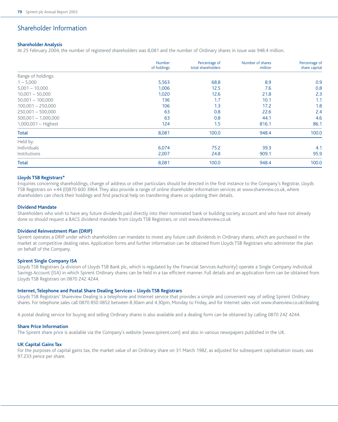# Shareholder Information

#### **Shareholder Analysis**

At 25 February 2004, the number of registered shareholders was 8,081 and the number of Ordinary shares in issue was 948.4 million.

|                       | Number<br>of holdings | Percentage of<br>total shareholders | Number of shares<br>million | Percentage of<br>share capital |
|-----------------------|-----------------------|-------------------------------------|-----------------------------|--------------------------------|
| Range of holdings:    |                       |                                     |                             |                                |
| $1 - 5,000$           | 5,563                 | 68.8                                | 8.9                         | 0.9                            |
| $5,001 - 10,000$      | 1,006                 | 12.5                                | 7.6                         | 0.8                            |
| $10,001 - 50,000$     | 1,020                 | 12.6                                | 21.8                        | 2.3                            |
| $50,001 - 100,000$    | 136                   | 1.7                                 | 10.1                        | 1.1                            |
| $100.001 - 250.000$   | 106                   | 1.3                                 | 17.2                        | 1.8                            |
| $250,001 - 500,000$   | 63                    | 0.8                                 | 22.6                        | 2.4                            |
| $500,001 - 1,000,000$ | 63                    | 0.8                                 | 44.1                        | 4.6                            |
| $1,000,001 -$ Highest | 124                   | 1.5                                 | 816.1                       | 86.1                           |
| <b>Total</b>          | 8,081                 | 100.0                               | 948.4                       | 100.0                          |
| Held by:              |                       |                                     |                             |                                |
| Individuals           | 6,074                 | 75.2                                | 39.3                        | 4.1                            |
| Institutions          | 2,007                 | 24.8                                | 909.1                       | 95.9                           |
| <b>Total</b>          | 8,081                 | 100.0                               | 948.4                       | 100.0                          |

#### **Lloyds TSB Registrars\***

Enquiries concerning shareholdings, change of address or other particulars should be directed in the first instance to the Company's Registrar, Lloyds TSB Registrars on +44 (0)870 600 3964. They also provide a range of online shareholder information services at www.shareview.co.uk, where shareholders can check their holdings and find practical help on transferring shares or updating their details.

#### **Dividend Mandate**

Shareholders who wish to have any future dividends paid directly into their nominated bank or building society account and who have not already done so should request a BACS dividend mandate from Lloyds TSB Registrars, or visit www.shareview.co.uk

#### **Dividend Reinvestment Plan (DRIP)**

Spirent operates a DRIP under which shareholders can mandate to invest any future cash dividends in Ordinary shares, which are purchased in the market at competitive dealing rates. Application forms and further information can be obtained from Lloyds TSB Registrars who administer the plan on behalf of the Company.

#### **Spirent Single Company ISA**

Lloyds TSB Registrars (a division of Lloyds TSB Bank plc, which is regulated by the Financial Services Authority) operate a Single Company Individual Savings Account (ISA) in which Spirent Ordinary shares can be held in a tax efficient manner. Full details and an application form can be obtained from Lloyds TSB Registrars on 0870 242 4244.

#### **Internet, Telephone and Postal Share Dealing Services – Lloyds TSB Registrars**

Lloyds TSB Registrars' Shareview Dealing is a telephone and Internet service that provides a simple and convenient way of selling Spirent Ordinary shares. For telephone sales call 0870 850 0852 between 8.30am and 4.30pm, Monday to Friday, and for Internet sales visit www.shareview.co.uk/dealing

A postal dealing service for buying and selling Ordinary shares is also available and a dealing form can be obtained by calling 0870 242 4244.

#### **Share Price Information**

The Spirent share price is available via the Company's website (www.spirent.com) and also in various newspapers published in the UK.

#### **UK Capital Gains Tax**

For the purposes of capital gains tax, the market value of an Ordinary share on 31 March 1982, as adjusted for subsequent capitalisation issues, was 97.233 pence per share.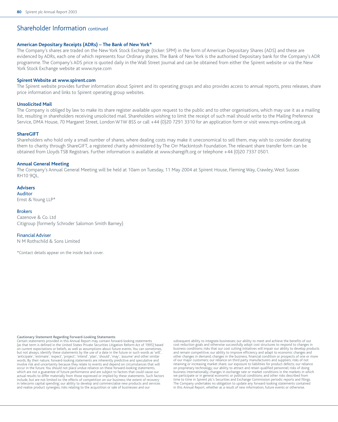# Shareholder Information continued

#### **American Depositary Receipts (ADRs) – The Bank of New York\***

The Company's shares are traded on the New York Stock Exchange (ticker: SPM) in the form of American Depositary Shares (ADS) and these are evidenced by ADRs, each one of which represents four Ordinary shares. The Bank of New York is the authorised Depositary bank for the Company's ADR programme. The Company's ADS price is quoted daily in the Wall Street Journal and can be obtained from either the Spirent website or via the New York Stock Exchange website at www.nyse.com

#### **Spirent Website at www.spirent.com**

The Spirent website provides further information about Spirent and its operating groups and also provides access to annual reports, press releases, share price information and links to Spirent operating group websites.

#### **Unsolicited Mail**

The Company is obliged by law to make its share register available upon request to the public and to other organisations, which may use it as a mailing list, resulting in shareholders receiving unsolicited mail. Shareholders wishing to limit the receipt of such mail should write to the Mailing Preference Service, DMA House, 70 Margaret Street, London W1W 8SS or call +44 (0)20 7291 3310 for an application form or visit www.mps-online.org.uk

#### **ShareGIFT**

Shareholders who hold only a small number of shares, where dealing costs may make it uneconomical to sell them, may wish to consider donating them to charity through ShareGIFT, a registered charity administered by The Orr Mackintosh Foundation. The relevant share transfer form can be obtained from Lloyds TSB Registrars. Further information is available at www.sharegift.org or telephone +44 (0)20 7337 0501.

#### **Annual General Meeting**

The Company's Annual General Meeting will be held at 10am on Tuesday, 11 May 2004 at Spirent House, Fleming Way, Crawley, West Sussex RH10 9QL.

**Advisers** Auditor Ernst & Young LLP\*

Brokers

Cazenove & Co. Ltd Citigroup (formerly Schroder Salomon Smith Barney)

#### Financial Adviser

N M Rothschild & Sons Limited

\*Contact details appear on the inside back cover.

#### **Cautionary Statement Regarding Forward-Looking Statements**

Certain statements provided in this Annual Report may contain forward-looking statements (as that term is defined in the United States Private Securities Litigation Reform Act of 1995) based on current expectations or beliefs, as well as assumptions about future events. You can sometimes, but not always, identify these statements by the use of a date in the future or such words as 'will', 'anticipate', 'estimate', 'expect', 'project', 'intend', 'plan', 'should', 'may', 'assume' and other similar words. By their nature, forward-looking statements are inherently predictive and speculative and involve risk and uncertainty because they relate to events and depend on circumstances that will occur in the future. You should not place undue reliance on these forward-looking statements, which are not a guarantee of future performance and are subject to factors that could cause our actual results to differ materially from those expressed or implied by these statements. Such factors include, but are not limited to: the effects of competition on our business; the extent of recovery in telecoms capital spending; our ability to develop and commercialise new products and services and realise product synergies; risks relating to the acquisition or sale of businesses and our

subsequent ability to integrate businesses; our ability to meet and achieve the benefits of our cost reduction goals and otherwise successfully adopt cost structures to respond to changes in business conditions; risks that our cost cutting initiatives will impair our ability to develop products and remain competitive; our ability to improve efficiency and adapt to economic changes and other changes in demand; changes in the business, financial condition or prospects of one or more of our major customers; our reliance on third party manufacturers and suppliers; risks of not retaining or increasing market share; our exposure to liabilities for product defects; our reliance on proprietary technology; our ability to attract and retain qualified personnel; risks of doing business internationally; changes in exchange rate or market conditions in the markets in which we participate or in general economic or political conditions; and other risks described from time to time in Spirent plc's Securities and Exchange Commission periodic reports and filings. The Company undertakes no obligation to update any forward-looking statements contained in this Annual Report, whether as a result of new information, future events or otherwise.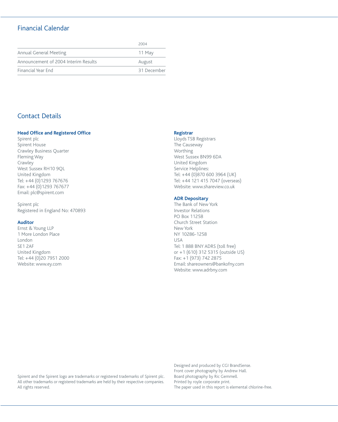# Financial Calendar

|                                      | 2004        |
|--------------------------------------|-------------|
| Annual General Meeting               | 11 May      |
| Announcement of 2004 Interim Results | August      |
| Financial Year End                   | 31 December |

# Contact Details

### **Head Office and Registered Office**

Spirent plc Spirent House Crawley Business Quarter Fleming Way Crawley West Sussex RH10 9QL United Kingdom Tel: +44 (0)1293 767676 Fax: +44 (0)1293 767677 Email: plc@spirent.com

Spirent plc Registered in England No: 470893

#### **Auditor**

Ernst & Young LLP 1 More London Place London SE1 2AF United Kingdom Tel: +44 (0)20 7951 2000 Website: www.ey.com

#### **Registrar**

Lloyds TSB Registrars The Causeway Worthing West Sussex BN99 6DA United Kingdom Service Helplines: Tel: +44 (0)870 600 3964 (UK) Tel: +44 121 415 7047 (overseas) Website: www.shareview.co.uk

#### **ADR Depositary**

The Bank of New York Investor Relations PO Box 11258 Church Street Station New York NY 10286-1258 USA Tel: 1 888 BNY ADRS (toll free) or +1 (610) 312 5315 (outside US) Fax: +1 (973) 742 2875 Email: shareowners@bankofny.com Website: www.adrbny.com

Spirent and the Spirent logo are trademarks or registered trademarks of Spirent plc. All other trademarks or registered trademarks are held by their respective companies. All rights reserved.

Designed and produced by CGI BrandSense. Front cover photography by Andrew Hall. Board photography by Ric Gemmell. Printed by royle corporate print. The paper used in this report is elemental chlorine-free.